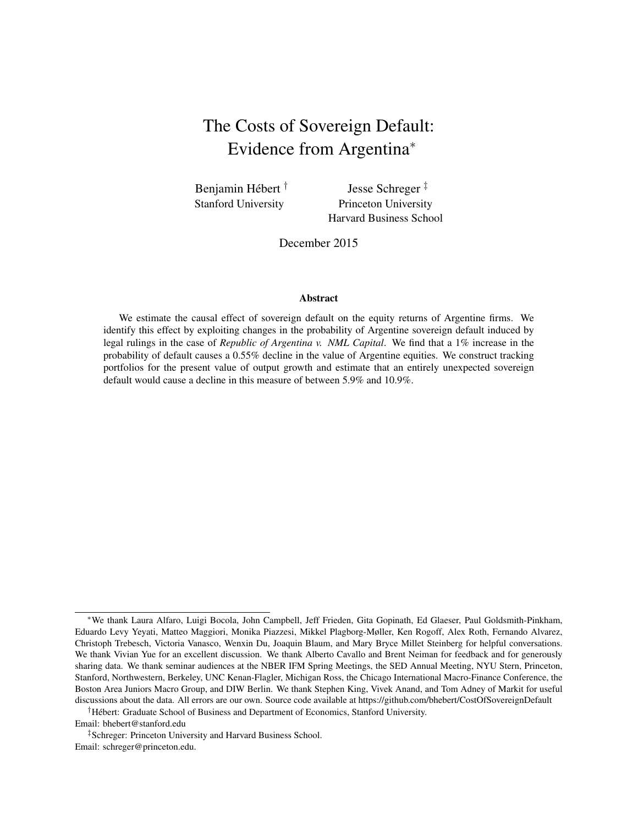# The Costs of Sovereign Default: Evidence from Argentina<sup>∗</sup>

Benjamin Hébert<sup>†</sup> Stanford University

Jesse Schreger ‡ Princeton University Harvard Business School

December 2015

#### Abstract

We estimate the causal effect of sovereign default on the equity returns of Argentine firms. We identify this effect by exploiting changes in the probability of Argentine sovereign default induced by legal rulings in the case of *Republic of Argentina v. NML Capital*. We find that a 1% increase in the probability of default causes a 0.55% decline in the value of Argentine equities. We construct tracking portfolios for the present value of output growth and estimate that an entirely unexpected sovereign default would cause a decline in this measure of between 5.9% and 10.9%.

†Hébert: Graduate School of Business and Department of Economics, Stanford University. Email: bhebert@stanford.edu

‡Schreger: Princeton University and Harvard Business School. Email: schreger@princeton.edu.

<sup>∗</sup>We thank Laura Alfaro, Luigi Bocola, John Campbell, Jeff Frieden, Gita Gopinath, Ed Glaeser, Paul Goldsmith-Pinkham, Eduardo Levy Yeyati, Matteo Maggiori, Monika Piazzesi, Mikkel Plagborg-Møller, Ken Rogoff, Alex Roth, Fernando Alvarez, Christoph Trebesch, Victoria Vanasco, Wenxin Du, Joaquin Blaum, and Mary Bryce Millet Steinberg for helpful conversations. We thank Vivian Yue for an excellent discussion. We thank Alberto Cavallo and Brent Neiman for feedback and for generously sharing data. We thank seminar audiences at the NBER IFM Spring Meetings, the SED Annual Meeting, NYU Stern, Princeton, Stanford, Northwestern, Berkeley, UNC Kenan-Flagler, Michigan Ross, the Chicago International Macro-Finance Conference, the Boston Area Juniors Macro Group, and DIW Berlin. We thank Stephen King, Vivek Anand, and Tom Adney of Markit for useful discussions about the data. All errors are our own. Source code available at https://github.com/bhebert/CostOfSovereignDefault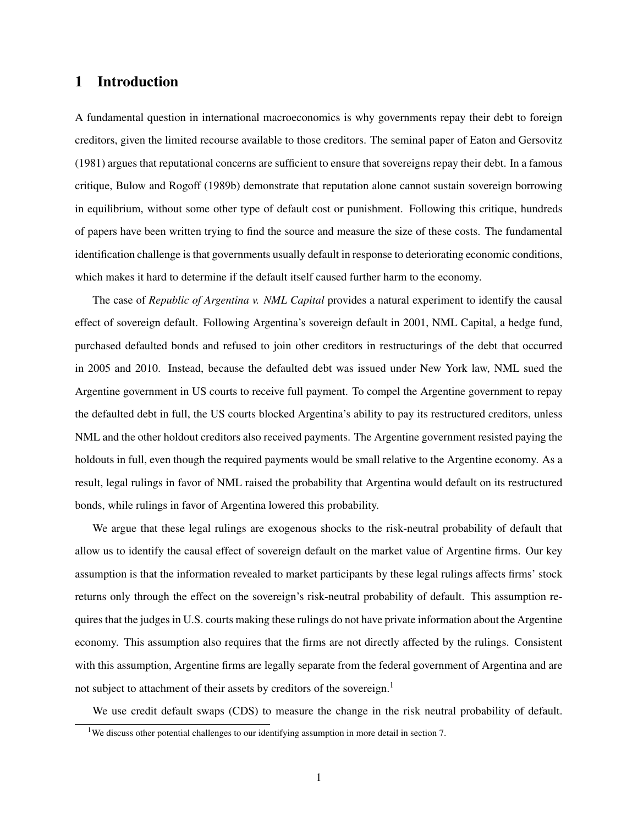# 1 Introduction

A fundamental question in international macroeconomics is why governments repay their debt to foreign creditors, given the limited recourse available to those creditors. The seminal paper of [Eaton and Gersovitz](#page-29-0) [\(1981\)](#page-29-0) argues that reputational concerns are sufficient to ensure that sovereigns repay their debt. In a famous critique, [Bulow and Rogoff](#page-28-0) [\(1989b\)](#page-28-0) demonstrate that reputation alone cannot sustain sovereign borrowing in equilibrium, without some other type of default cost or punishment. Following this critique, hundreds of papers have been written trying to find the source and measure the size of these costs. The fundamental identification challenge is that governments usually default in response to deteriorating economic conditions, which makes it hard to determine if the default itself caused further harm to the economy.

The case of *Republic of Argentina v. NML Capital* provides a natural experiment to identify the causal effect of sovereign default. Following Argentina's sovereign default in 2001, NML Capital, a hedge fund, purchased defaulted bonds and refused to join other creditors in restructurings of the debt that occurred in 2005 and 2010. Instead, because the defaulted debt was issued under New York law, NML sued the Argentine government in US courts to receive full payment. To compel the Argentine government to repay the defaulted debt in full, the US courts blocked Argentina's ability to pay its restructured creditors, unless NML and the other holdout creditors also received payments. The Argentine government resisted paying the holdouts in full, even though the required payments would be small relative to the Argentine economy. As a result, legal rulings in favor of NML raised the probability that Argentina would default on its restructured bonds, while rulings in favor of Argentina lowered this probability.

We argue that these legal rulings are exogenous shocks to the risk-neutral probability of default that allow us to identify the causal effect of sovereign default on the market value of Argentine firms. Our key assumption is that the information revealed to market participants by these legal rulings affects firms' stock returns only through the effect on the sovereign's risk-neutral probability of default. This assumption requires that the judges in U.S. courts making these rulings do not have private information about the Argentine economy. This assumption also requires that the firms are not directly affected by the rulings. Consistent with this assumption, Argentine firms are legally separate from the federal government of Argentina and are not subject to attachment of their assets by creditors of the sovereign.<sup>[1](#page-1-0)</sup>

We use credit default swaps (CDS) to measure the change in the risk neutral probability of default.

<span id="page-1-0"></span><sup>&</sup>lt;sup>1</sup>We discuss other potential challenges to our identifying assumption in more detail in section [7.](#page-23-0)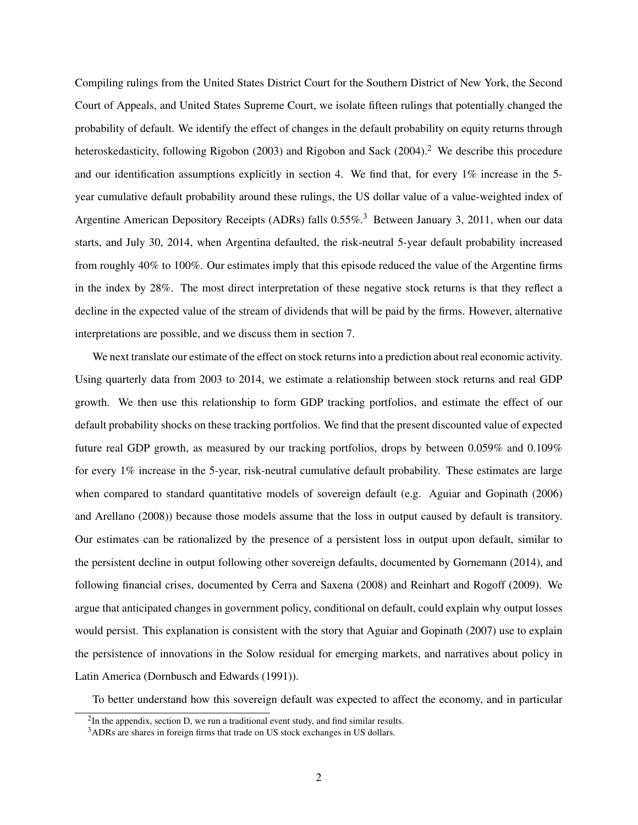Compiling rulings from the United States District Court for the Southern District of New York, the Second Court of Appeals, and United States Supreme Court, we isolate fifteen rulings that potentially changed the probability of default. We identify the effect of changes in the default probability on equity returns through heteroskedasticity, following [Rigobon](#page-29-1) [\(2003\)](#page-29-1) and [Rigobon and Sack](#page-30-0) [\(2004\)](#page-30-0).<sup>[2](#page-2-0)</sup> We describe this procedure and our identification assumptions explicitly in section [4.](#page-11-0) We find that, for every 1% increase in the 5 year cumulative default probability around these rulings, the US dollar value of a value-weighted index of Argentine American Depository Receipts (ADRs) falls 0.55%.<sup>[3](#page-2-1)</sup> Between January 3, 2011, when our data starts, and July 30, 2014, when Argentina defaulted, the risk-neutral 5-year default probability increased from roughly 40% to 100%. Our estimates imply that this episode reduced the value of the Argentine firms in the index by 28%. The most direct interpretation of these negative stock returns is that they reflect a decline in the expected value of the stream of dividends that will be paid by the firms. However, alternative interpretations are possible, and we discuss them in section [7.](#page-23-0)

We next translate our estimate of the effect on stock returns into a prediction about real economic activity. Using quarterly data from 2003 to 2014, we estimate a relationship between stock returns and real GDP growth. We then use this relationship to form GDP tracking portfolios, and estimate the effect of our default probability shocks on these tracking portfolios. We find that the present discounted value of expected future real GDP growth, as measured by our tracking portfolios, drops by between 0.059% and 0.109% for every 1% increase in the 5-year, risk-neutral cumulative default probability. These estimates are large when compared to standard quantitative models of sovereign default (e.g. [Aguiar and Gopinath](#page-28-1) [\(2006\)](#page-28-1) and [Arellano](#page-28-2) [\(2008\)](#page-28-2)) because those models assume that the loss in output caused by default is transitory. Our estimates can be rationalized by the presence of a persistent loss in output upon default, similar to the persistent decline in output following other sovereign defaults, documented by [Gornemann](#page-29-2) [\(2014\)](#page-29-2), and following financial crises, documented by [Cerra and Saxena](#page-28-3) [\(2008\)](#page-28-3) and [Reinhart and Rogoff](#page-29-3) [\(2009\)](#page-29-3). We argue that anticipated changes in government policy, conditional on default, could explain why output losses would persist. This explanation is consistent with the story that [Aguiar and Gopinath](#page-28-4) [\(2007\)](#page-28-4) use to explain the persistence of innovations in the Solow residual for emerging markets, and narratives about policy in Latin America [\(Dornbusch and Edwards](#page-28-5) [\(1991\)](#page-28-5)).

To better understand how this sovereign default was expected to affect the economy, and in particular

<span id="page-2-0"></span> $2$ In the appendix, section [D,](#page-46-0) we run a traditional event study, and find similar results.

<span id="page-2-1"></span><sup>3</sup>ADRs are shares in foreign firms that trade on US stock exchanges in US dollars.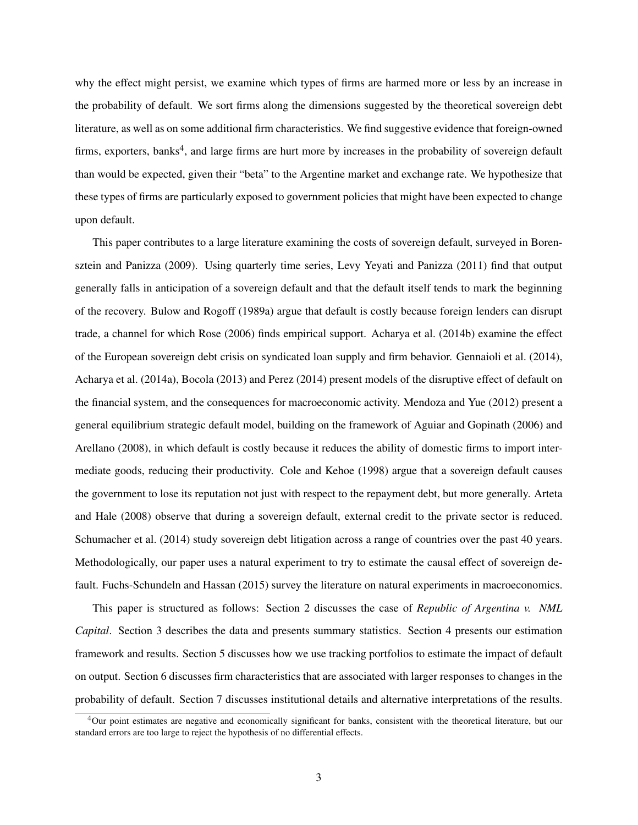why the effect might persist, we examine which types of firms are harmed more or less by an increase in the probability of default. We sort firms along the dimensions suggested by the theoretical sovereign debt literature, as well as on some additional firm characteristics. We find suggestive evidence that foreign-owned firms, exporters, banks<sup>[4](#page-3-0)</sup>, and large firms are hurt more by increases in the probability of sovereign default than would be expected, given their "beta" to the Argentine market and exchange rate. We hypothesize that these types of firms are particularly exposed to government policies that might have been expected to change upon default.

This paper contributes to a large literature examining the costs of sovereign default, surveyed in [Boren](#page-28-6)[sztein and Panizza](#page-28-6) [\(2009\)](#page-28-6). Using quarterly time series, [Levy Yeyati and Panizza](#page-30-1) [\(2011\)](#page-30-1) find that output generally falls in anticipation of a sovereign default and that the default itself tends to mark the beginning of the recovery. [Bulow and Rogoff](#page-28-7) [\(1989a\)](#page-28-7) argue that default is costly because foreign lenders can disrupt trade, a channel for which [Rose](#page-30-2) [\(2006\)](#page-30-2) finds empirical support. [Acharya et al.](#page-28-8) [\(2014b\)](#page-28-8) examine the effect of the European sovereign debt crisis on syndicated loan supply and firm behavior. [Gennaioli et al.](#page-29-4) [\(2014\)](#page-29-4), [Acharya et al.](#page-28-9) [\(2014a\)](#page-28-9), [Bocola](#page-28-10) [\(2013\)](#page-28-10) and [Perez](#page-29-5) [\(2014\)](#page-29-5) present models of the disruptive effect of default on the financial system, and the consequences for macroeconomic activity. [Mendoza and Yue](#page-29-6) [\(2012\)](#page-29-6) present a general equilibrium strategic default model, building on the framework of [Aguiar and Gopinath](#page-28-1) [\(2006\)](#page-28-1) and [Arellano](#page-28-2) [\(2008\)](#page-28-2), in which default is costly because it reduces the ability of domestic firms to import intermediate goods, reducing their productivity. [Cole and Kehoe](#page-28-11) [\(1998\)](#page-28-11) argue that a sovereign default causes the government to lose its reputation not just with respect to the repayment debt, but more generally. [Arteta](#page-28-12) [and Hale](#page-28-12) [\(2008\)](#page-28-12) observe that during a sovereign default, external credit to the private sector is reduced. [Schumacher et al.](#page-30-3) [\(2014\)](#page-30-3) study sovereign debt litigation across a range of countries over the past 40 years. Methodologically, our paper uses a natural experiment to try to estimate the causal effect of sovereign default. [Fuchs-Schundeln and Hassan](#page-29-7) [\(2015\)](#page-29-7) survey the literature on natural experiments in macroeconomics.

This paper is structured as follows: Section 2 discusses the case of *Republic of Argentina v. NML Capital*. Section 3 describes the data and presents summary statistics. Section 4 presents our estimation framework and results. Section [5](#page-15-0) discusses how we use tracking portfolios to estimate the impact of default on output. Section [6](#page-20-0) discusses firm characteristics that are associated with larger responses to changes in the probability of default. Section [7](#page-23-0) discusses institutional details and alternative interpretations of the results.

<span id="page-3-0"></span><sup>&</sup>lt;sup>4</sup>Our point estimates are negative and economically significant for banks, consistent with the theoretical literature, but our standard errors are too large to reject the hypothesis of no differential effects.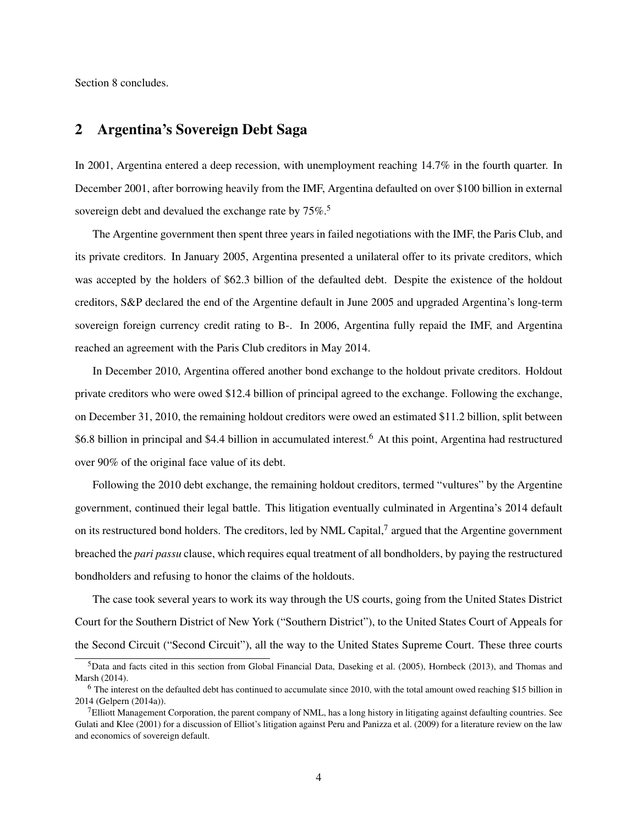Section [8](#page-27-0) concludes.

## 2 Argentina's Sovereign Debt Saga

In 2001, Argentina entered a deep recession, with unemployment reaching 14.7% in the fourth quarter. In December 2001, after borrowing heavily from the IMF, Argentina defaulted on over \$100 billion in external sovereign debt and devalued the exchange rate by  $75\%$  $75\%$  $75\%$ <sup>5</sup>

The Argentine government then spent three years in failed negotiations with the IMF, the Paris Club, and its private creditors. In January 2005, Argentina presented a unilateral offer to its private creditors, which was accepted by the holders of \$62.3 billion of the defaulted debt. Despite the existence of the holdout creditors, S&P declared the end of the Argentine default in June 2005 and upgraded Argentina's long-term sovereign foreign currency credit rating to B-. In 2006, Argentina fully repaid the IMF, and Argentina reached an agreement with the Paris Club creditors in May 2014.

In December 2010, Argentina offered another bond exchange to the holdout private creditors. Holdout private creditors who were owed \$12.4 billion of principal agreed to the exchange. Following the exchange, on December 31, 2010, the remaining holdout creditors were owed an estimated \$11.2 billion, split between \$[6](#page-4-1).8 billion in principal and \$4.4 billion in accumulated interest.<sup>6</sup> At this point, Argentina had restructured over 90% of the original face value of its debt.

Following the 2010 debt exchange, the remaining holdout creditors, termed "vultures" by the Argentine government, continued their legal battle. This litigation eventually culminated in Argentina's 2014 default on its restructured bond holders. The creditors, led by NML Capital, $^7$  $^7$  argued that the Argentine government breached the *pari passu* clause, which requires equal treatment of all bondholders, by paying the restructured bondholders and refusing to honor the claims of the holdouts.

The case took several years to work its way through the US courts, going from the United States District Court for the Southern District of New York ("Southern District"), to the United States Court of Appeals for the Second Circuit ("Second Circuit"), all the way to the United States Supreme Court. These three courts

<span id="page-4-0"></span><sup>5</sup>Data and facts cited in this section from Global Financial Data, [Daseking et al.](#page-28-13) [\(2005\)](#page-28-13), [Hornbeck](#page-29-8) [\(2013\)](#page-29-8), and [Thomas and](#page-30-4) [Marsh](#page-30-4) [\(2014\)](#page-30-4).

<span id="page-4-1"></span><sup>6</sup> The interest on the defaulted debt has continued to accumulate since 2010, with the total amount owed reaching \$15 billion in 2014 [\(Gelpern](#page-29-9) [\(2014a\)](#page-29-9)).

<span id="page-4-2"></span> $^7$ Elliott Management Corporation, the parent company of NML, has a long history in litigating against defaulting countries. See [Gulati and Klee](#page-29-10) [\(2001\)](#page-29-10) for a discussion of Elliot's litigation against Peru and [Panizza et al.](#page-29-11) [\(2009\)](#page-29-11) for a literature review on the law and economics of sovereign default.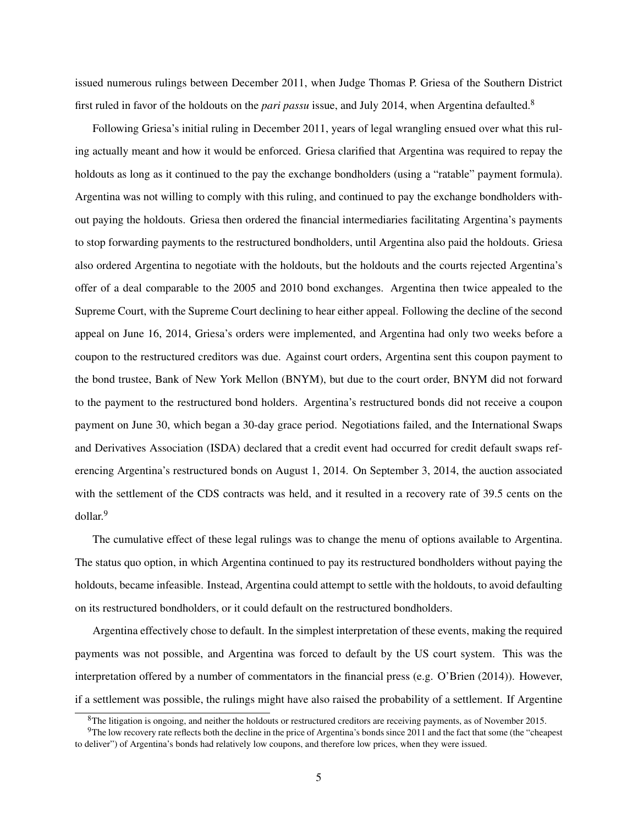issued numerous rulings between December 2011, when Judge Thomas P. Griesa of the Southern District first ruled in favor of the holdouts on the *pari passu* issue, and July 2014, when Argentina defaulted.[8](#page-5-0)

Following Griesa's initial ruling in December 2011, years of legal wrangling ensued over what this ruling actually meant and how it would be enforced. Griesa clarified that Argentina was required to repay the holdouts as long as it continued to the pay the exchange bondholders (using a "ratable" payment formula). Argentina was not willing to comply with this ruling, and continued to pay the exchange bondholders without paying the holdouts. Griesa then ordered the financial intermediaries facilitating Argentina's payments to stop forwarding payments to the restructured bondholders, until Argentina also paid the holdouts. Griesa also ordered Argentina to negotiate with the holdouts, but the holdouts and the courts rejected Argentina's offer of a deal comparable to the 2005 and 2010 bond exchanges. Argentina then twice appealed to the Supreme Court, with the Supreme Court declining to hear either appeal. Following the decline of the second appeal on June 16, 2014, Griesa's orders were implemented, and Argentina had only two weeks before a coupon to the restructured creditors was due. Against court orders, Argentina sent this coupon payment to the bond trustee, Bank of New York Mellon (BNYM), but due to the court order, BNYM did not forward to the payment to the restructured bond holders. Argentina's restructured bonds did not receive a coupon payment on June 30, which began a 30-day grace period. Negotiations failed, and the International Swaps and Derivatives Association (ISDA) declared that a credit event had occurred for credit default swaps referencing Argentina's restructured bonds on August 1, 2014. On September 3, 2014, the auction associated with the settlement of the CDS contracts was held, and it resulted in a recovery rate of 39.5 cents on the dollar.[9](#page-5-1)

The cumulative effect of these legal rulings was to change the menu of options available to Argentina. The status quo option, in which Argentina continued to pay its restructured bondholders without paying the holdouts, became infeasible. Instead, Argentina could attempt to settle with the holdouts, to avoid defaulting on its restructured bondholders, or it could default on the restructured bondholders.

Argentina effectively chose to default. In the simplest interpretation of these events, making the required payments was not possible, and Argentina was forced to default by the US court system. This was the interpretation offered by a number of commentators in the financial press (e.g. [O'Brien](#page-29-12) [\(2014\)](#page-29-12)). However, if a settlement was possible, the rulings might have also raised the probability of a settlement. If Argentine

<span id="page-5-1"></span><span id="page-5-0"></span><sup>&</sup>lt;sup>8</sup>The litigation is ongoing, and neither the holdouts or restructured creditors are receiving payments, as of November 2015.

<sup>&</sup>lt;sup>9</sup>The low recovery rate reflects both the decline in the price of Argentina's bonds since 2011 and the fact that some (the "cheapest") to deliver") of Argentina's bonds had relatively low coupons, and therefore low prices, when they were issued.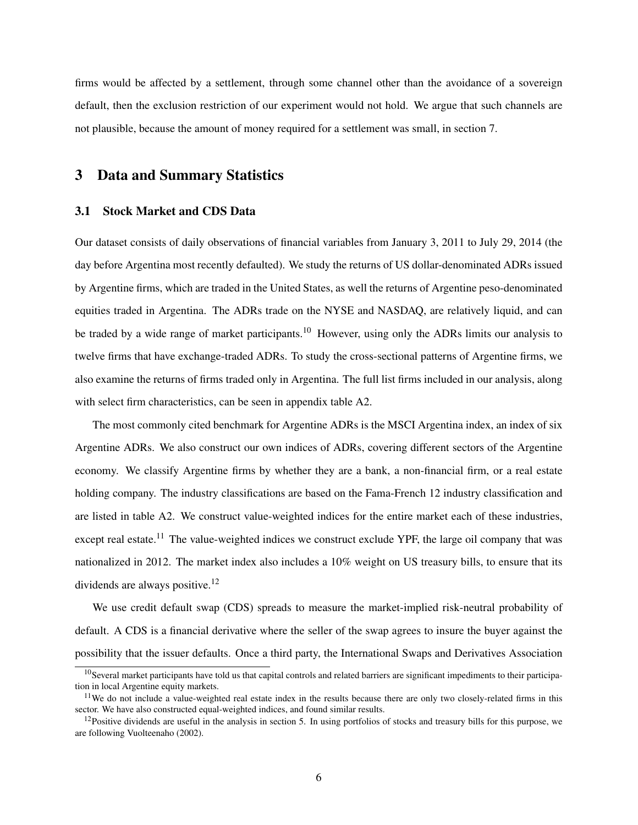firms would be affected by a settlement, through some channel other than the avoidance of a sovereign default, then the exclusion restriction of our experiment would not hold. We argue that such channels are not plausible, because the amount of money required for a settlement was small, in section [7.](#page-23-0)

## 3 Data and Summary Statistics

## 3.1 Stock Market and CDS Data

Our dataset consists of daily observations of financial variables from January 3, 2011 to July 29, 2014 (the day before Argentina most recently defaulted). We study the returns of US dollar-denominated ADRs issued by Argentine firms, which are traded in the United States, as well the returns of Argentine peso-denominated equities traded in Argentina. The ADRs trade on the NYSE and NASDAQ, are relatively liquid, and can be traded by a wide range of market participants.<sup>[10](#page-6-0)</sup> However, using only the ADRs limits our analysis to twelve firms that have exchange-traded ADRs. To study the cross-sectional patterns of Argentine firms, we also examine the returns of firms traded only in Argentina. The full list firms included in our analysis, along with select firm characteristics, can be seen in appendix table [A2.](#page-39-0)

The most commonly cited benchmark for Argentine ADRs is the MSCI Argentina index, an index of six Argentine ADRs. We also construct our own indices of ADRs, covering different sectors of the Argentine economy. We classify Argentine firms by whether they are a bank, a non-financial firm, or a real estate holding company. The industry classifications are based on the Fama-French 12 industry classification and are listed in table [A2.](#page-39-0) We construct value-weighted indices for the entire market each of these industries, except real estate.<sup>[11](#page-6-1)</sup> The value-weighted indices we construct exclude YPF, the large oil company that was nationalized in 2012. The market index also includes a 10% weight on US treasury bills, to ensure that its dividends are always positive.<sup>[12](#page-6-2)</sup>

We use credit default swap (CDS) spreads to measure the market-implied risk-neutral probability of default. A CDS is a financial derivative where the seller of the swap agrees to insure the buyer against the possibility that the issuer defaults. Once a third party, the International Swaps and Derivatives Association

<span id="page-6-0"></span><sup>&</sup>lt;sup>10</sup>Several market participants have told us that capital controls and related barriers are significant impediments to their participation in local Argentine equity markets.

<span id="page-6-1"></span><sup>&</sup>lt;sup>11</sup>We do not include a value-weighted real estate index in the results because there are only two closely-related firms in this sector. We have also constructed equal-weighted indices, and found similar results.

<span id="page-6-2"></span> $12$ Positive dividends are useful in the analysis in section [5.](#page-15-0) In using portfolios of stocks and treasury bills for this purpose, we are following [Vuolteenaho](#page-30-5) [\(2002\)](#page-30-5).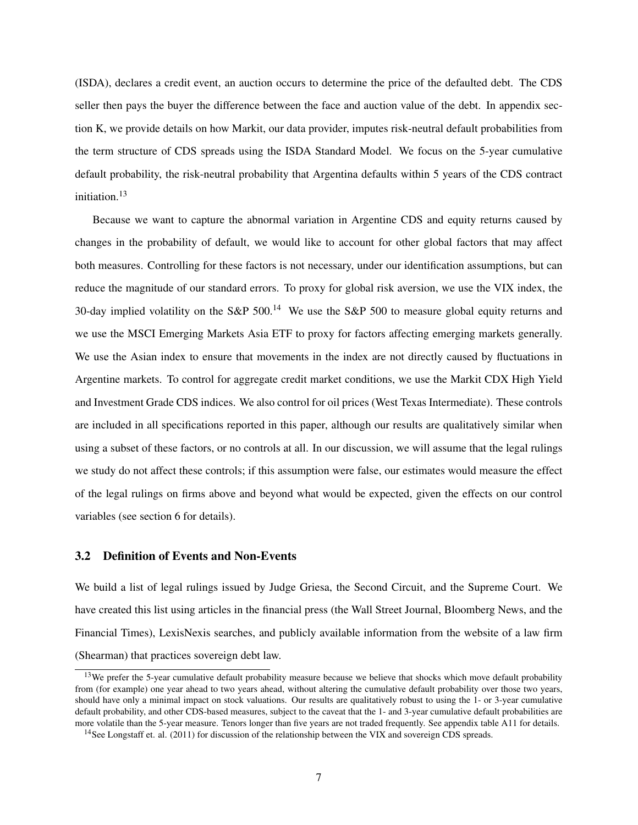(ISDA), declares a credit event, an auction occurs to determine the price of the defaulted debt. The CDS seller then pays the buyer the difference between the face and auction value of the debt. In appendix section [K,](#page-62-0) we provide details on how Markit, our data provider, imputes risk-neutral default probabilities from the term structure of CDS spreads using the ISDA Standard Model. We focus on the 5-year cumulative default probability, the risk-neutral probability that Argentina defaults within 5 years of the CDS contract initiation.<sup>[13](#page-7-0)</sup>

Because we want to capture the abnormal variation in Argentine CDS and equity returns caused by changes in the probability of default, we would like to account for other global factors that may affect both measures. Controlling for these factors is not necessary, under our identification assumptions, but can reduce the magnitude of our standard errors. To proxy for global risk aversion, we use the VIX index, the 30-day implied volatility on the S&P 500.<sup>[14](#page-7-1)</sup> We use the S&P 500 to measure global equity returns and we use the MSCI Emerging Markets Asia ETF to proxy for factors affecting emerging markets generally. We use the Asian index to ensure that movements in the index are not directly caused by fluctuations in Argentine markets. To control for aggregate credit market conditions, we use the Markit CDX High Yield and Investment Grade CDS indices. We also control for oil prices (West Texas Intermediate). These controls are included in all specifications reported in this paper, although our results are qualitatively similar when using a subset of these factors, or no controls at all. In our discussion, we will assume that the legal rulings we study do not affect these controls; if this assumption were false, our estimates would measure the effect of the legal rulings on firms above and beyond what would be expected, given the effects on our control variables (see section [6](#page-20-0) for details).

## 3.2 Definition of Events and Non-Events

We build a list of legal rulings issued by Judge Griesa, the Second Circuit, and the Supreme Court. We have created this list using articles in the financial press (the Wall Street Journal, Bloomberg News, and the Financial Times), LexisNexis searches, and publicly available information from the website of a law firm (Shearman) that practices sovereign debt law.

<span id="page-7-0"></span><sup>&</sup>lt;sup>13</sup>We prefer the 5-year cumulative default probability measure because we believe that shocks which move default probability from (for example) one year ahead to two years ahead, without altering the cumulative default probability over those two years, should have only a minimal impact on stock valuations. Our results are qualitatively robust to using the 1- or 3-year cumulative default probability, and other CDS-based measures, subject to the caveat that the 1- and 3-year cumulative default probabilities are more volatile than the 5-year measure. Tenors longer than five years are not traded frequently. See appendix table [A11](#page-66-0) for details.

<span id="page-7-1"></span><sup>&</sup>lt;sup>14</sup>See Longstaff et. al. (2011) for discussion of the relationship between the VIX and sovereign CDS spreads.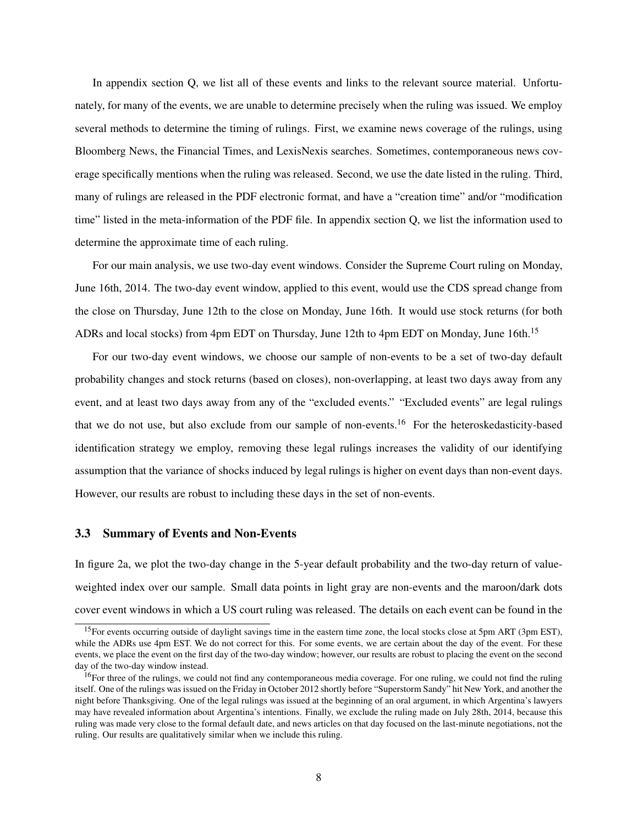In appendix section [Q,](#page-74-0) we list all of these events and links to the relevant source material. Unfortunately, for many of the events, we are unable to determine precisely when the ruling was issued. We employ several methods to determine the timing of rulings. First, we examine news coverage of the rulings, using Bloomberg News, the Financial Times, and LexisNexis searches. Sometimes, contemporaneous news coverage specifically mentions when the ruling was released. Second, we use the date listed in the ruling. Third, many of rulings are released in the PDF electronic format, and have a "creation time" and/or "modification time" listed in the meta-information of the PDF file. In appendix section [Q,](#page-74-0) we list the information used to determine the approximate time of each ruling.

For our main analysis, we use two-day event windows. Consider the Supreme Court ruling on Monday, June 16th, 2014. The two-day event window, applied to this event, would use the CDS spread change from the close on Thursday, June 12th to the close on Monday, June 16th. It would use stock returns (for both ADRs and local stocks) from 4pm EDT on Thursday, June 12th to 4pm EDT on Monday, June 16th.<sup>[15](#page-8-0)</sup>

For our two-day event windows, we choose our sample of non-events to be a set of two-day default probability changes and stock returns (based on closes), non-overlapping, at least two days away from any event, and at least two days away from any of the "excluded events." "Excluded events" are legal rulings that we do not use, but also exclude from our sample of non-events.[16](#page-8-1) For the heteroskedasticity-based identification strategy we employ, removing these legal rulings increases the validity of our identifying assumption that the variance of shocks induced by legal rulings is higher on event days than non-event days. However, our results are robust to including these days in the set of non-events.

## 3.3 Summary of Events and Non-Events

In figure [2a,](#page-35-0) we plot the two-day change in the 5-year default probability and the two-day return of valueweighted index over our sample. Small data points in light gray are non-events and the maroon/dark dots cover event windows in which a US court ruling was released. The details on each event can be found in the

<span id="page-8-0"></span><sup>&</sup>lt;sup>15</sup>For events occurring outside of daylight savings time in the eastern time zone, the local stocks close at 5pm ART (3pm EST), while the ADRs use 4pm EST. We do not correct for this. For some events, we are certain about the day of the event. For these events, we place the event on the first day of the two-day window; however, our results are robust to placing the event on the second day of the two-day window instead.

<span id="page-8-1"></span> $16$ For three of the rulings, we could not find any contemporaneous media coverage. For one ruling, we could not find the ruling itself. One of the rulings was issued on the Friday in October 2012 shortly before "Superstorm Sandy" hit New York, and another the night before Thanksgiving. One of the legal rulings was issued at the beginning of an oral argument, in which Argentina's lawyers may have revealed information about Argentina's intentions. Finally, we exclude the ruling made on July 28th, 2014, because this ruling was made very close to the formal default date, and news articles on that day focused on the last-minute negotiations, not the ruling. Our results are qualitatively similar when we include this ruling.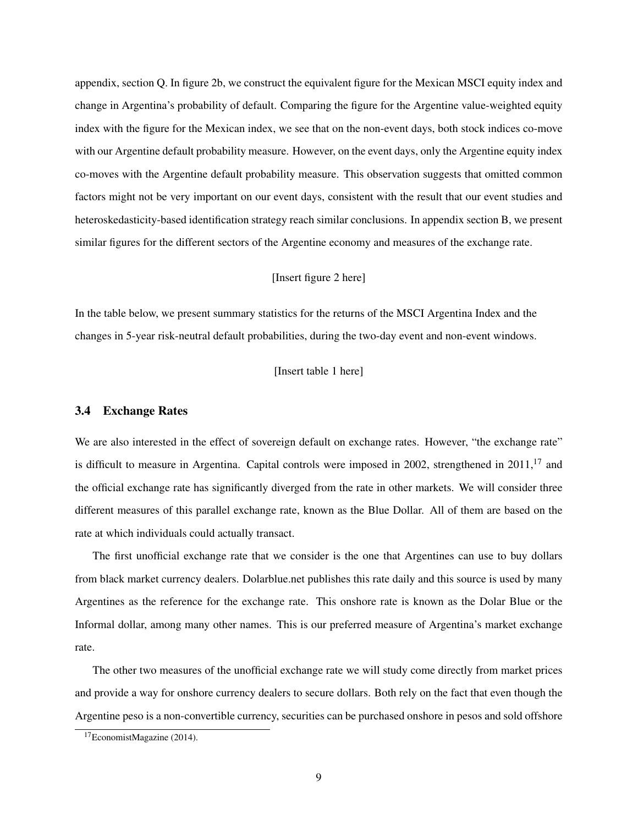appendix, section [Q.](#page-74-0) In figure [2b,](#page-35-1) we construct the equivalent figure for the Mexican MSCI equity index and change in Argentina's probability of default. Comparing the figure for the Argentine value-weighted equity index with the figure for the Mexican index, we see that on the non-event days, both stock indices co-move with our Argentine default probability measure. However, on the event days, only the Argentine equity index co-moves with the Argentine default probability measure. This observation suggests that omitted common factors might not be very important on our event days, consistent with the result that our event studies and heteroskedasticity-based identification strategy reach similar conclusions. In appendix section [B,](#page-43-0) we present similar figures for the different sectors of the Argentine economy and measures of the exchange rate.

## [Insert figure [2](#page-35-2) here]

In the table below, we present summary statistics for the returns of the MSCI Argentina Index and the changes in 5-year risk-neutral default probabilities, during the two-day event and non-event windows.

[Insert table [1](#page-30-6) here]

## 3.4 Exchange Rates

We are also interested in the effect of sovereign default on exchange rates. However, "the exchange rate" is difficult to measure in Argentina. Capital controls were imposed in 2002, strengthened in 2011,<sup>[17](#page-9-0)</sup> and the official exchange rate has significantly diverged from the rate in other markets. We will consider three different measures of this parallel exchange rate, known as the Blue Dollar. All of them are based on the rate at which individuals could actually transact.

The first unofficial exchange rate that we consider is the one that Argentines can use to buy dollars from black market currency dealers. Dolarblue.net publishes this rate daily and this source is used by many Argentines as the reference for the exchange rate. This onshore rate is known as the Dolar Blue or the Informal dollar, among many other names. This is our preferred measure of Argentina's market exchange rate.

The other two measures of the unofficial exchange rate we will study come directly from market prices and provide a way for onshore currency dealers to secure dollars. Both rely on the fact that even though the Argentine peso is a non-convertible currency, securities can be purchased onshore in pesos and sold offshore

<span id="page-9-0"></span><sup>17</sup>[EconomistMagazine](#page-29-13) [\(2014\)](#page-29-13).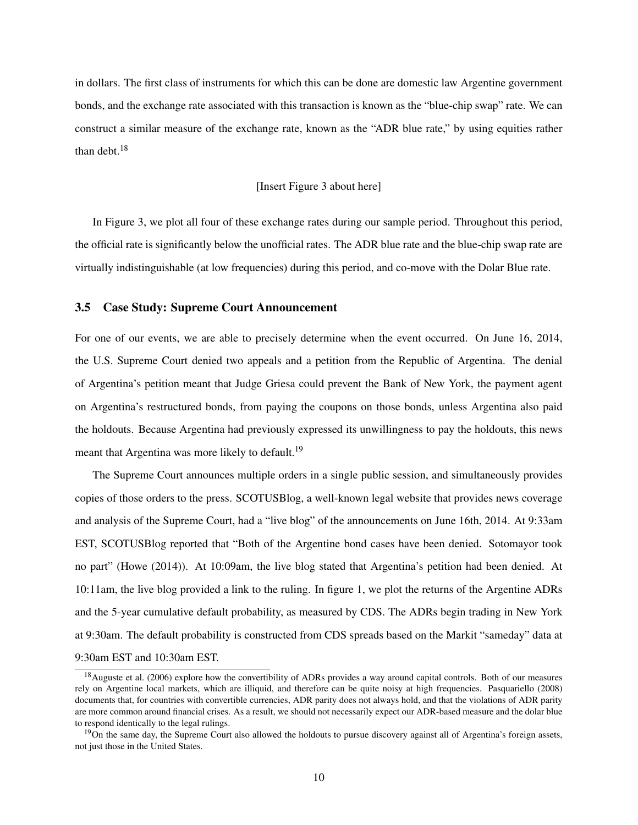in dollars. The first class of instruments for which this can be done are domestic law Argentine government bonds, and the exchange rate associated with this transaction is known as the "blue-chip swap" rate. We can construct a similar measure of the exchange rate, known as the "ADR blue rate," by using equities rather than debt. $18$ 

#### [Insert Figure [3](#page-35-3) about here]

In Figure [3,](#page-35-3) we plot all four of these exchange rates during our sample period. Throughout this period, the official rate is significantly below the unofficial rates. The ADR blue rate and the blue-chip swap rate are virtually indistinguishable (at low frequencies) during this period, and co-move with the Dolar Blue rate.

### 3.5 Case Study: Supreme Court Announcement

For one of our events, we are able to precisely determine when the event occurred. On June 16, 2014, the U.S. Supreme Court denied two appeals and a petition from the Republic of Argentina. The denial of Argentina's petition meant that Judge Griesa could prevent the Bank of New York, the payment agent on Argentina's restructured bonds, from paying the coupons on those bonds, unless Argentina also paid the holdouts. Because Argentina had previously expressed its unwillingness to pay the holdouts, this news meant that Argentina was more likely to default.<sup>[19](#page-10-1)</sup>

The Supreme Court announces multiple orders in a single public session, and simultaneously provides copies of those orders to the press. SCOTUSBlog, a well-known legal website that provides news coverage and analysis of the Supreme Court, had a "live blog" of the announcements on June 16th, 2014. At 9:33am EST, SCOTUSBlog reported that "Both of the Argentine bond cases have been denied. Sotomayor took no part" [\(Howe](#page-29-14) [\(2014\)](#page-29-14)). At 10:09am, the live blog stated that Argentina's petition had been denied. At 10:11am, the live blog provided a link to the ruling. In figure [1,](#page-34-0) we plot the returns of the Argentine ADRs and the 5-year cumulative default probability, as measured by CDS. The ADRs begin trading in New York at 9:30am. The default probability is constructed from CDS spreads based on the Markit "sameday" data at 9:30am EST and 10:30am EST.

<span id="page-10-0"></span> $18$ [Auguste et al.](#page-28-14) [\(2006\)](#page-28-14) explore how the convertibility of ADRs provides a way around capital controls. Both of our measures rely on Argentine local markets, which are illiquid, and therefore can be quite noisy at high frequencies. [Pasquariello](#page-29-15) [\(2008\)](#page-29-15) documents that, for countries with convertible currencies, ADR parity does not always hold, and that the violations of ADR parity are more common around financial crises. As a result, we should not necessarily expect our ADR-based measure and the dolar blue to respond identically to the legal rulings.

<span id="page-10-1"></span> $19$ On the same day, the Supreme Court also allowed the holdouts to pursue discovery against all of Argentina's foreign assets, not just those in the United States.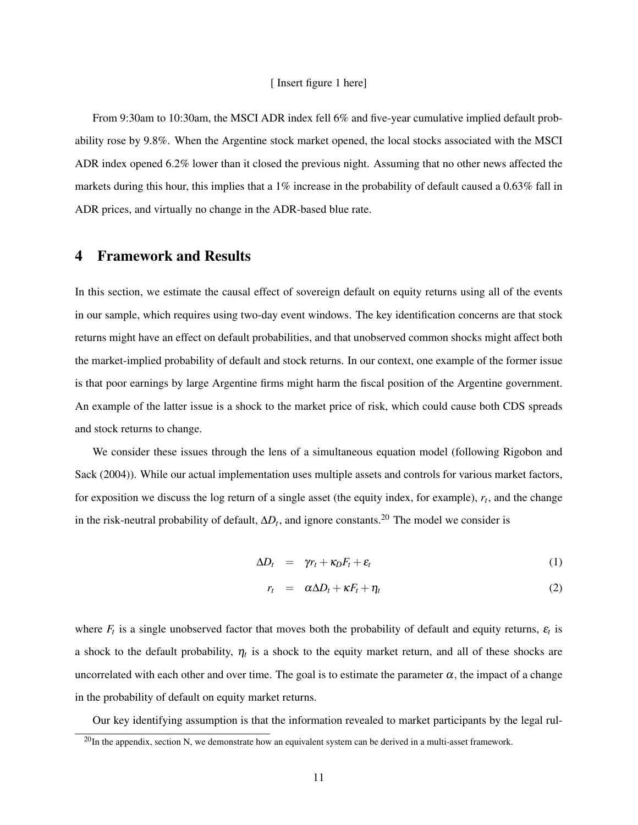### [ Insert figure [1](#page-34-0) here]

From 9:30am to 10:30am, the MSCI ADR index fell 6% and five-year cumulative implied default probability rose by 9.8%. When the Argentine stock market opened, the local stocks associated with the MSCI ADR index opened 6.2% lower than it closed the previous night. Assuming that no other news affected the markets during this hour, this implies that a 1% increase in the probability of default caused a 0.63% fall in ADR prices, and virtually no change in the ADR-based blue rate.

# <span id="page-11-0"></span>4 Framework and Results

In this section, we estimate the causal effect of sovereign default on equity returns using all of the events in our sample, which requires using two-day event windows. The key identification concerns are that stock returns might have an effect on default probabilities, and that unobserved common shocks might affect both the market-implied probability of default and stock returns. In our context, one example of the former issue is that poor earnings by large Argentine firms might harm the fiscal position of the Argentine government. An example of the latter issue is a shock to the market price of risk, which could cause both CDS spreads and stock returns to change.

We consider these issues through the lens of a simultaneous equation model (following [Rigobon and](#page-30-0) [Sack](#page-30-0) [\(2004\)](#page-30-0)). While our actual implementation uses multiple assets and controls for various market factors, for exposition we discuss the log return of a single asset (the equity index, for example), *r<sup>t</sup>* , and the change in the risk-neutral probability of default,  $\Delta D_t$ , and ignore constants.<sup>[20](#page-11-1)</sup> The model we consider is

<span id="page-11-2"></span>
$$
\Delta D_t = \gamma r_t + \kappa_D F_t + \varepsilon_t \tag{1}
$$

$$
r_t = \alpha \Delta D_t + \kappa F_t + \eta_t \tag{2}
$$

where  $F_t$  is a single unobserved factor that moves both the probability of default and equity returns,  $\varepsilon_t$  is a shock to the default probability,  $\eta_t$  is a shock to the equity market return, and all of these shocks are uncorrelated with each other and over time. The goal is to estimate the parameter  $\alpha$ , the impact of a change in the probability of default on equity market returns.

Our key identifying assumption is that the information revealed to market participants by the legal rul-

<span id="page-11-1"></span> $^{20}$ In the appendix, section [N,](#page-68-0) we demonstrate how an equivalent system can be derived in a multi-asset framework.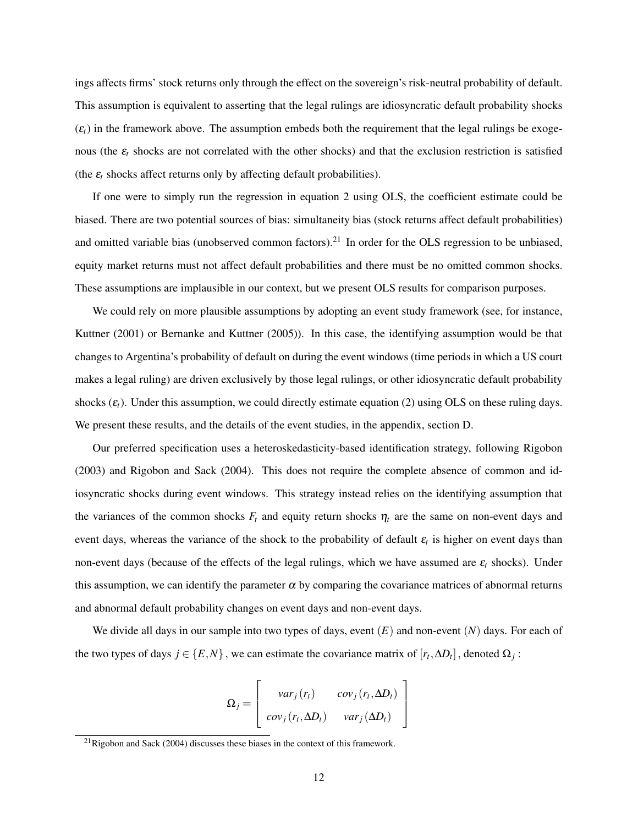ings affects firms' stock returns only through the effect on the sovereign's risk-neutral probability of default. This assumption is equivalent to asserting that the legal rulings are idiosyncratic default probability shocks  $(\varepsilon_t)$  in the framework above. The assumption embeds both the requirement that the legal rulings be exogenous (the  $\varepsilon$ <sub>c</sub> shocks are not correlated with the other shocks) and that the exclusion restriction is satisfied (the  $\varepsilon_t$  shocks affect returns only by affecting default probabilities).

If one were to simply run the regression in equation [2](#page-11-2) using OLS, the coefficient estimate could be biased. There are two potential sources of bias: simultaneity bias (stock returns affect default probabilities) and omitted variable bias (unobserved common factors).<sup>[21](#page-12-0)</sup> In order for the OLS regression to be unbiased, equity market returns must not affect default probabilities and there must be no omitted common shocks. These assumptions are implausible in our context, but we present OLS results for comparison purposes.

We could rely on more plausible assumptions by adopting an event study framework (see, for instance, [Kuttner](#page-29-16) [\(2001\)](#page-29-16) or [Bernanke and Kuttner](#page-28-15) [\(2005\)](#page-28-15)). In this case, the identifying assumption would be that changes to Argentina's probability of default on during the event windows (time periods in which a US court makes a legal ruling) are driven exclusively by those legal rulings, or other idiosyncratic default probability shocks  $(\varepsilon_t)$ . Under this assumption, we could directly estimate equation [\(2\)](#page-11-2) using OLS on these ruling days. We present these results, and the details of the event studies, in the appendix, section [D.](#page-46-0)

Our preferred specification uses a heteroskedasticity-based identification strategy, following [Rigobon](#page-29-1) [\(2003\)](#page-29-1) and [Rigobon and Sack](#page-30-0) [\(2004\)](#page-30-0). This does not require the complete absence of common and idiosyncratic shocks during event windows. This strategy instead relies on the identifying assumption that the variances of the common shocks  $F_t$  and equity return shocks  $\eta_t$  are the same on non-event days and event days, whereas the variance of the shock to the probability of default  $\varepsilon_t$  is higher on event days than non-event days (because of the effects of the legal rulings, which we have assumed are  $\varepsilon_t$  shocks). Under this assumption, we can identify the parameter  $\alpha$  by comparing the covariance matrices of abnormal returns and abnormal default probability changes on event days and non-event days.

We divide all days in our sample into two types of days, event (*E*) and non-event (*N*) days. For each of the two types of days  $j \in \{E, N\}$ , we can estimate the covariance matrix of  $[r_t, \Delta D_t]$ , denoted  $\Omega_j$ :

$$
\Omega_j = \begin{bmatrix} var_j(r_t) & cov_j(r_t, \Delta D_t) \\ cov_j(r_t, \Delta D_t) & var_j(\Delta D_t) \end{bmatrix}
$$

<span id="page-12-0"></span> $^{21}$ [Rigobon and Sack](#page-30-0) [\(2004\)](#page-30-0) discusses these biases in the context of this framework.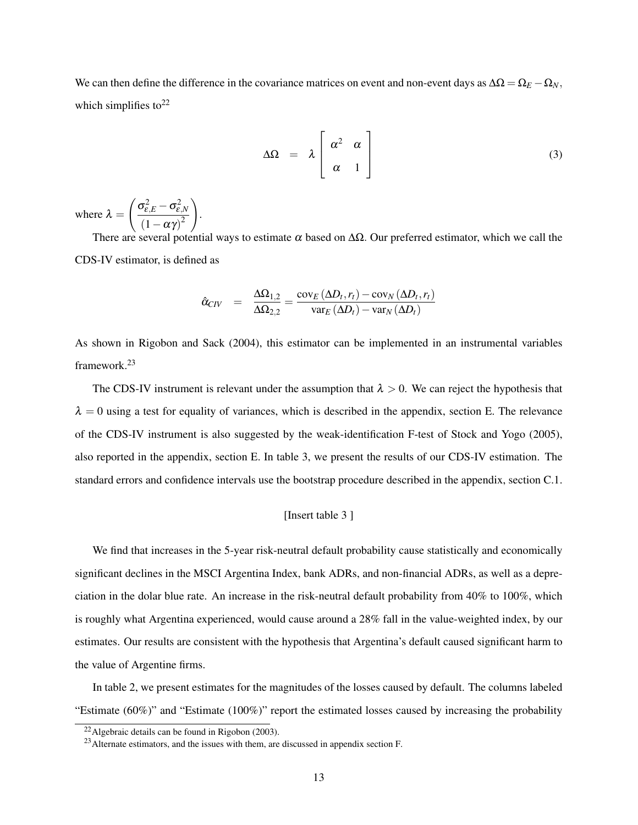We can then define the difference in the covariance matrices on event and non-event days as  $\Delta\Omega = \Omega_E - \Omega_N$ , which simplifies to<sup>[22](#page-13-0)</sup>

$$
\Delta\Omega = \lambda \left[ \begin{array}{cc} \alpha^2 & \alpha \\ \alpha & 1 \end{array} \right] \tag{3}
$$

where  $\lambda =$  $\int \sigma_{\varepsilon,E}^2 - \sigma_{\varepsilon,N}^2$  $(1-\alpha\gamma)^2$  $\setminus$ .

There are several potential ways to estimate  $\alpha$  based on  $\Delta\Omega$ . Our preferred estimator, which we call the CDS-IV estimator, is defined as

$$
\hat{\alpha}_{CIV} = \frac{\Delta\Omega_{1,2}}{\Delta\Omega_{2,2}} = \frac{\text{cov}_{E}\left(\Delta D_{t}, r_{t}\right) - \text{cov}_{N}\left(\Delta D_{t}, r_{t}\right)}{\text{var}_{E}\left(\Delta D_{t}\right) - \text{var}_{N}\left(\Delta D_{t}\right)}
$$

As shown in [Rigobon and Sack](#page-30-0) [\(2004\)](#page-30-0), this estimator can be implemented in an instrumental variables framework.[23](#page-13-1)

The CDS-IV instrument is relevant under the assumption that  $\lambda > 0$ . We can reject the hypothesis that  $\lambda = 0$  using a test for equality of variances, which is described in the appendix, section [E.](#page-51-0) The relevance of the CDS-IV instrument is also suggested by the weak-identification F-test of [Stock and Yogo](#page-30-7) [\(2005\)](#page-30-7), also reported in the appendix, section [E.](#page-51-0) In table [3,](#page-32-0) we present the results of our CDS-IV estimation. The standard errors and confidence intervals use the bootstrap procedure described in the appendix, section [C.1.](#page-43-1)

## [Insert table [3](#page-32-0) ]

We find that increases in the 5-year risk-neutral default probability cause statistically and economically significant declines in the MSCI Argentina Index, bank ADRs, and non-financial ADRs, as well as a depreciation in the dolar blue rate. An increase in the risk-neutral default probability from 40% to 100%, which is roughly what Argentina experienced, would cause around a 28% fall in the value-weighted index, by our estimates. Our results are consistent with the hypothesis that Argentina's default caused significant harm to the value of Argentine firms.

In table [2,](#page-31-0) we present estimates for the magnitudes of the losses caused by default. The columns labeled "Estimate (60%)" and "Estimate (100%)" report the estimated losses caused by increasing the probability

<span id="page-13-0"></span> $22$ Algebraic details can be found in [Rigobon](#page-29-1) [\(2003\)](#page-29-1).

<span id="page-13-1"></span><sup>&</sup>lt;sup>23</sup> Alternate estimators, and the issues with them, are discussed in appendix section [F.](#page-51-1)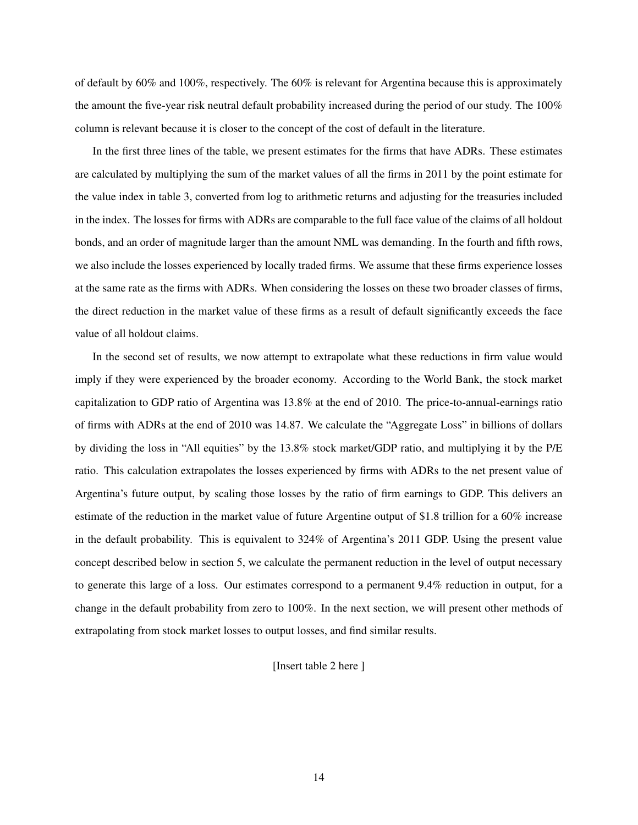of default by 60% and 100%, respectively. The 60% is relevant for Argentina because this is approximately the amount the five-year risk neutral default probability increased during the period of our study. The 100% column is relevant because it is closer to the concept of the cost of default in the literature.

In the first three lines of the table, we present estimates for the firms that have ADRs. These estimates are calculated by multiplying the sum of the market values of all the firms in 2011 by the point estimate for the value index in table [3,](#page-32-0) converted from log to arithmetic returns and adjusting for the treasuries included in the index. The losses for firms with ADRs are comparable to the full face value of the claims of all holdout bonds, and an order of magnitude larger than the amount NML was demanding. In the fourth and fifth rows, we also include the losses experienced by locally traded firms. We assume that these firms experience losses at the same rate as the firms with ADRs. When considering the losses on these two broader classes of firms, the direct reduction in the market value of these firms as a result of default significantly exceeds the face value of all holdout claims.

In the second set of results, we now attempt to extrapolate what these reductions in firm value would imply if they were experienced by the broader economy. According to the World Bank, the stock market capitalization to GDP ratio of Argentina was 13.8% at the end of 2010. The price-to-annual-earnings ratio of firms with ADRs at the end of 2010 was 14.87. We calculate the "Aggregate Loss" in billions of dollars by dividing the loss in "All equities" by the 13.8% stock market/GDP ratio, and multiplying it by the P/E ratio. This calculation extrapolates the losses experienced by firms with ADRs to the net present value of Argentina's future output, by scaling those losses by the ratio of firm earnings to GDP. This delivers an estimate of the reduction in the market value of future Argentine output of \$1.8 trillion for a 60% increase in the default probability. This is equivalent to 324% of Argentina's 2011 GDP. Using the present value concept described below in section [5,](#page-15-0) we calculate the permanent reduction in the level of output necessary to generate this large of a loss. Our estimates correspond to a permanent 9.4% reduction in output, for a change in the default probability from zero to 100%. In the next section, we will present other methods of extrapolating from stock market losses to output losses, and find similar results.

## [Insert table [2](#page-31-0) here ]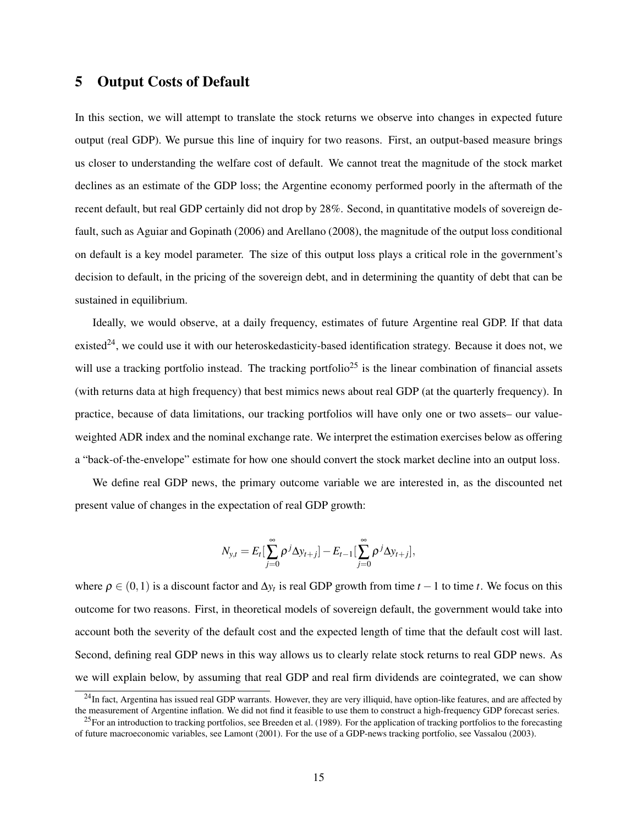# <span id="page-15-0"></span>5 Output Costs of Default

In this section, we will attempt to translate the stock returns we observe into changes in expected future output (real GDP). We pursue this line of inquiry for two reasons. First, an output-based measure brings us closer to understanding the welfare cost of default. We cannot treat the magnitude of the stock market declines as an estimate of the GDP loss; the Argentine economy performed poorly in the aftermath of the recent default, but real GDP certainly did not drop by 28%. Second, in quantitative models of sovereign default, such as [Aguiar and Gopinath](#page-28-1) [\(2006\)](#page-28-1) and [Arellano](#page-28-2) [\(2008\)](#page-28-2), the magnitude of the output loss conditional on default is a key model parameter. The size of this output loss plays a critical role in the government's decision to default, in the pricing of the sovereign debt, and in determining the quantity of debt that can be sustained in equilibrium.

Ideally, we would observe, at a daily frequency, estimates of future Argentine real GDP. If that data existed<sup>[24](#page-15-1)</sup>, we could use it with our heteroskedasticity-based identification strategy. Because it does not, we will use a tracking portfolio instead. The tracking portfolio<sup>[25](#page-15-2)</sup> is the linear combination of financial assets (with returns data at high frequency) that best mimics news about real GDP (at the quarterly frequency). In practice, because of data limitations, our tracking portfolios will have only one or two assets– our valueweighted ADR index and the nominal exchange rate. We interpret the estimation exercises below as offering a "back-of-the-envelope" estimate for how one should convert the stock market decline into an output loss.

We define real GDP news, the primary outcome variable we are interested in, as the discounted net present value of changes in the expectation of real GDP growth:

$$
N_{y,t}=E_t\left[\sum_{j=0}^\infty\rho^j\Delta y_{t+j}\right]-E_{t-1}\left[\sum_{j=0}^\infty\rho^j\Delta y_{t+j}\right],
$$

where  $\rho \in (0,1)$  is a discount factor and  $\Delta y_t$  is real GDP growth from time  $t-1$  to time  $t$ . We focus on this outcome for two reasons. First, in theoretical models of sovereign default, the government would take into account both the severity of the default cost and the expected length of time that the default cost will last. Second, defining real GDP news in this way allows us to clearly relate stock returns to real GDP news. As we will explain below, by assuming that real GDP and real firm dividends are cointegrated, we can show

<span id="page-15-1"></span> $^{24}$ In fact, Argentina has issued real GDP warrants. However, they are very illiquid, have option-like features, and are affected by the measurement of Argentine inflation. We did not find it feasible to use them to construct a high-frequency GDP forecast series.

<span id="page-15-2"></span> $^{25}$ For an introduction to tracking portfolios, see [Breeden et al.](#page-28-16) [\(1989\)](#page-28-16). For the application of tracking portfolios to the forecasting of future macroeconomic variables, see [Lamont](#page-29-17) [\(2001\)](#page-29-17). For the use of a GDP-news tracking portfolio, see [Vassalou](#page-30-8) [\(2003\)](#page-30-8).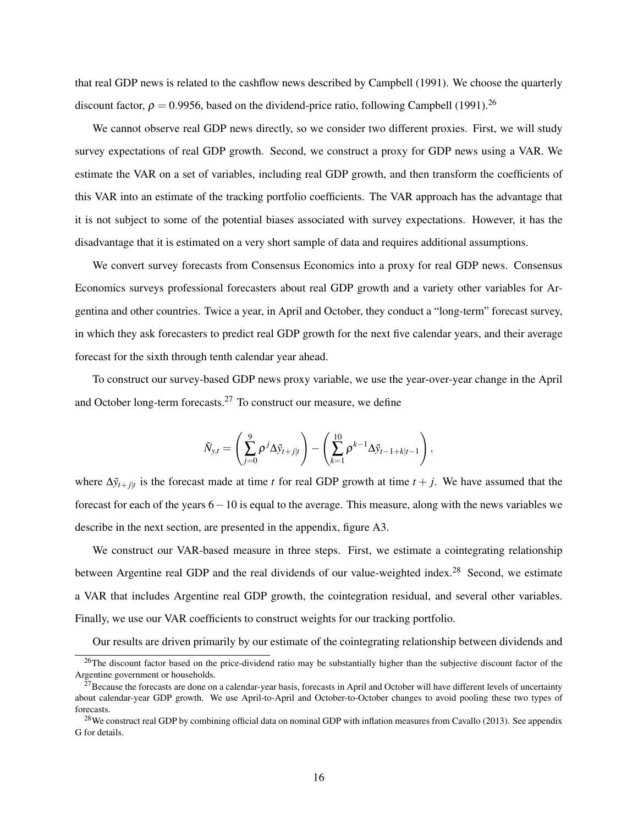that real GDP news is related to the cashflow news described by [Campbell](#page-28-17) [\(1991\)](#page-28-17). We choose the quarterly discount factor,  $\rho = 0.9956$ , based on the dividend-price ratio, following [Campbell](#page-28-17) [\(1991\)](#page-28-17).<sup>[26](#page-16-0)</sup>

We cannot observe real GDP news directly, so we consider two different proxies. First, we will study survey expectations of real GDP growth. Second, we construct a proxy for GDP news using a VAR. We estimate the VAR on a set of variables, including real GDP growth, and then transform the coefficients of this VAR into an estimate of the tracking portfolio coefficients. The VAR approach has the advantage that it is not subject to some of the potential biases associated with survey expectations. However, it has the disadvantage that it is estimated on a very short sample of data and requires additional assumptions.

We convert survey forecasts from Consensus Economics into a proxy for real GDP news. Consensus Economics surveys professional forecasters about real GDP growth and a variety other variables for Argentina and other countries. Twice a year, in April and October, they conduct a "long-term" forecast survey, in which they ask forecasters to predict real GDP growth for the next five calendar years, and their average forecast for the sixth through tenth calendar year ahead.

To construct our survey-based GDP news proxy variable, we use the year-over-year change in the April and October long-term forecasts. $27$  To construct our measure, we define

$$
\tilde{N}_{y,t} = \left(\sum_{j=0}^{9} \rho^{j} \Delta \tilde{y}_{t+j|t}\right) - \left(\sum_{k=1}^{10} \rho^{k-1} \Delta \tilde{y}_{t-1+k|t-1}\right),
$$

where  $\Delta \tilde{y}_{t+j|t}$  is the forecast made at time *t* for real GDP growth at time  $t+j$ . We have assumed that the forecast for each of the years 6−10 is equal to the average. This measure, along with the news variables we describe in the next section, are presented in the appendix, figure [A3.](#page-57-0)

We construct our VAR-based measure in three steps. First, we estimate a cointegrating relationship between Argentine real GDP and the real dividends of our value-weighted index.<sup>[28](#page-16-2)</sup> Second, we estimate a VAR that includes Argentine real GDP growth, the cointegration residual, and several other variables. Finally, we use our VAR coefficients to construct weights for our tracking portfolio.

Our results are driven primarily by our estimate of the cointegrating relationship between dividends and

<span id="page-16-0"></span> $26$ The discount factor based on the price-dividend ratio may be substantially higher than the subjective discount factor of the Argentine government or households.

<span id="page-16-1"></span> $27$ Because the forecasts are done on a calendar-year basis, forecasts in April and October will have different levels of uncertainty about calendar-year GDP growth. We use April-to-April and October-to-October changes to avoid pooling these two types of forecasts.

<span id="page-16-2"></span><sup>&</sup>lt;sup>28</sup>We construct real GDP by combining official data on nominal GDP with inflation measures from [Cavallo](#page-28-18) [\(2013\)](#page-28-18). See appendix [G](#page-52-0) for details.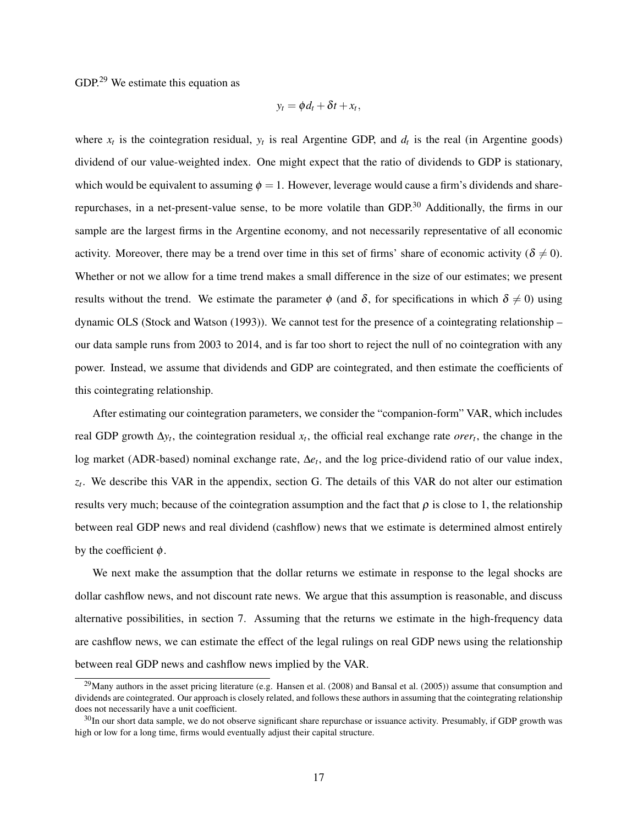GDP.[29](#page-17-0) We estimate this equation as

$$
y_t = \phi d_t + \delta t + x_t,
$$

where  $x_t$  is the cointegration residual,  $y_t$  is real Argentine GDP, and  $d_t$  is the real (in Argentine goods) dividend of our value-weighted index. One might expect that the ratio of dividends to GDP is stationary, which would be equivalent to assuming  $\phi = 1$ . However, leverage would cause a firm's dividends and share-repurchases, in a net-present-value sense, to be more volatile than GDP.<sup>[30](#page-17-1)</sup> Additionally, the firms in our sample are the largest firms in the Argentine economy, and not necessarily representative of all economic activity. Moreover, there may be a trend over time in this set of firms' share of economic activity ( $\delta \neq 0$ ). Whether or not we allow for a time trend makes a small difference in the size of our estimates; we present results without the trend. We estimate the parameter  $\phi$  (and  $\delta$ , for specifications in which  $\delta \neq 0$ ) using dynamic OLS [\(Stock and Watson](#page-30-9) [\(1993\)](#page-30-9)). We cannot test for the presence of a cointegrating relationship – our data sample runs from 2003 to 2014, and is far too short to reject the null of no cointegration with any power. Instead, we assume that dividends and GDP are cointegrated, and then estimate the coefficients of this cointegrating relationship.

After estimating our cointegration parameters, we consider the "companion-form" VAR, which includes real GDP growth  $\Delta y_t$ , the cointegration residual  $x_t$ , the official real exchange rate *orer<sub>t</sub>*, the change in the log market (ADR-based) nominal exchange rate, ∆*e<sup>t</sup>* , and the log price-dividend ratio of our value index, *zt* . We describe this VAR in the appendix, section [G.](#page-52-0) The details of this VAR do not alter our estimation results very much; because of the cointegration assumption and the fact that  $\rho$  is close to 1, the relationship between real GDP news and real dividend (cashflow) news that we estimate is determined almost entirely by the coefficient  $\phi$ .

We next make the assumption that the dollar returns we estimate in response to the legal shocks are dollar cashflow news, and not discount rate news. We argue that this assumption is reasonable, and discuss alternative possibilities, in section [7.](#page-23-0) Assuming that the returns we estimate in the high-frequency data are cashflow news, we can estimate the effect of the legal rulings on real GDP news using the relationship between real GDP news and cashflow news implied by the VAR.

<span id="page-17-0"></span> $^{29}$ Many authors in the asset pricing literature (e.g. [Hansen et al.](#page-29-18) [\(2008\)](#page-29-18) and [Bansal et al.](#page-28-19) [\(2005\)](#page-28-19)) assume that consumption and dividends are cointegrated. Our approach is closely related, and follows these authors in assuming that the cointegrating relationship does not necessarily have a unit coefficient.

<span id="page-17-1"></span> $30$ In our short data sample, we do not observe significant share repurchase or issuance activity. Presumably, if GDP growth was high or low for a long time, firms would eventually adjust their capital structure.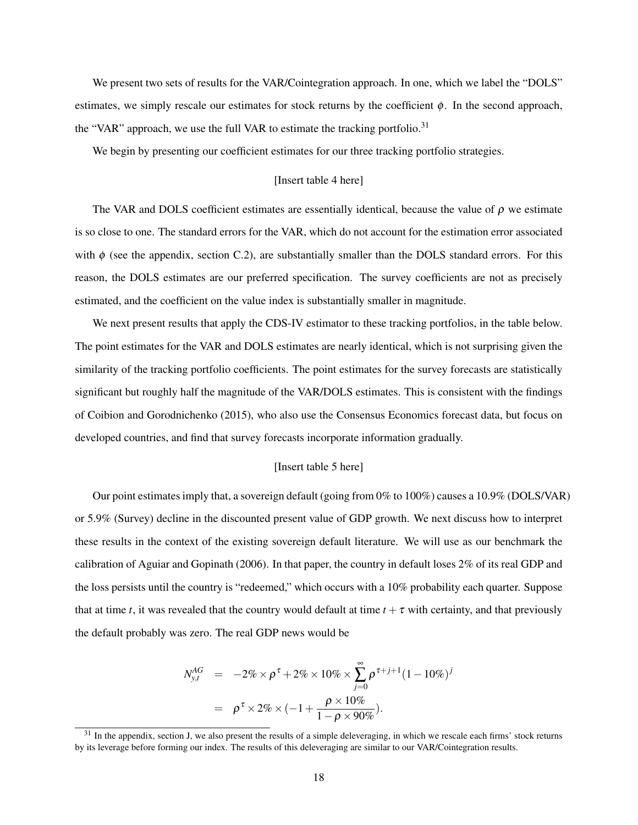We present two sets of results for the VAR/Cointegration approach. In one, which we label the "DOLS" estimates, we simply rescale our estimates for stock returns by the coefficient  $\phi$ . In the second approach, the "VAR" approach, we use the full VAR to estimate the tracking portfolio.<sup>[31](#page-18-0)</sup>

We begin by presenting our coefficient estimates for our three tracking portfolio strategies.

## [Insert table [4](#page-33-0) here]

The VAR and DOLS coefficient estimates are essentially identical, because the value of  $\rho$  we estimate is so close to one. The standard errors for the VAR, which do not account for the estimation error associated with  $\phi$  (see the appendix, section [C.2\)](#page-44-0), are substantially smaller than the DOLS standard errors. For this reason, the DOLS estimates are our preferred specification. The survey coefficients are not as precisely estimated, and the coefficient on the value index is substantially smaller in magnitude.

We next present results that apply the CDS-IV estimator to these tracking portfolios, in the table below. The point estimates for the VAR and DOLS estimates are nearly identical, which is not surprising given the similarity of the tracking portfolio coefficients. The point estimates for the survey forecasts are statistically significant but roughly half the magnitude of the VAR/DOLS estimates. This is consistent with the findings of [Coibion and Gorodnichenko](#page-28-20) [\(2015\)](#page-28-20), who also use the Consensus Economics forecast data, but focus on developed countries, and find that survey forecasts incorporate information gradually.

### [Insert table [5](#page-33-1) here]

Our point estimates imply that, a sovereign default (going from 0% to 100%) causes a 10.9% (DOLS/VAR) or 5.9% (Survey) decline in the discounted present value of GDP growth. We next discuss how to interpret these results in the context of the existing sovereign default literature. We will use as our benchmark the calibration of [Aguiar and Gopinath](#page-28-1) [\(2006\)](#page-28-1). In that paper, the country in default loses 2% of its real GDP and the loss persists until the country is "redeemed," which occurs with a 10% probability each quarter. Suppose that at time *t*, it was revealed that the country would default at time  $t + \tau$  with certainty, and that previously the default probably was zero. The real GDP news would be

$$
N_{y,t}^{AG} = -2\% \times \rho^{\tau} + 2\% \times 10\% \times \sum_{j=0}^{\infty} \rho^{\tau+j+1} (1 - 10\%)^{j}
$$
  
=  $\rho^{\tau} \times 2\% \times (-1 + \frac{\rho \times 10\%}{1 - \rho \times 90\%}).$ 

<span id="page-18-0"></span> $31$  In the appendix, section [J,](#page-61-0) we also present the results of a simple deleveraging, in which we rescale each firms' stock returns by its leverage before forming our index. The results of this deleveraging are similar to our VAR/Cointegration results.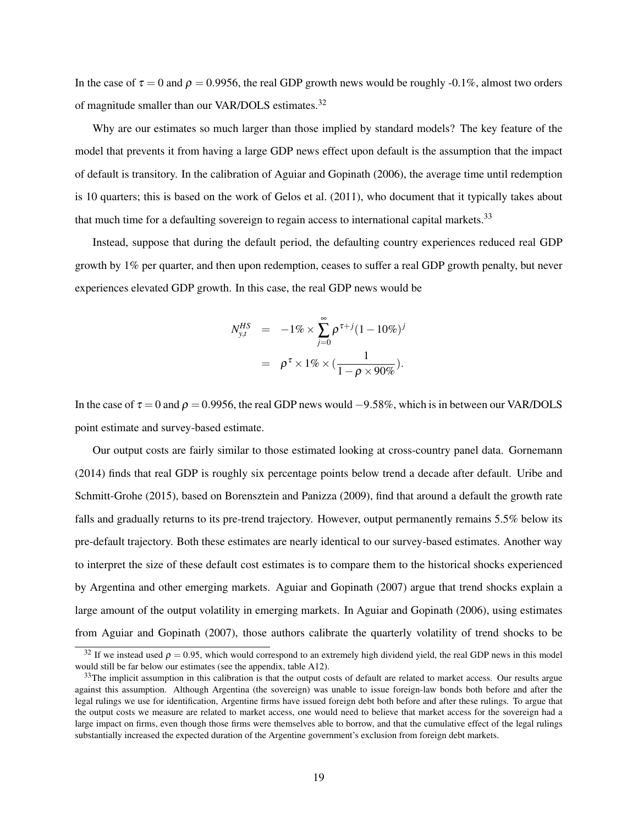In the case of  $\tau = 0$  and  $\rho = 0.9956$ , the real GDP growth news would be roughly -0.1%, almost two orders of magnitude smaller than our VAR/DOLS estimates.<sup>[32](#page-19-0)</sup>

Why are our estimates so much larger than those implied by standard models? The key feature of the model that prevents it from having a large GDP news effect upon default is the assumption that the impact of default is transitory. In the calibration of [Aguiar and Gopinath](#page-28-1) [\(2006\)](#page-28-1), the average time until redemption is 10 quarters; this is based on the work of [Gelos et al.](#page-29-19) [\(2011\)](#page-29-19), who document that it typically takes about that much time for a defaulting sovereign to regain access to international capital markets.<sup>[33](#page-19-1)</sup>

Instead, suppose that during the default period, the defaulting country experiences reduced real GDP growth by 1% per quarter, and then upon redemption, ceases to suffer a real GDP growth penalty, but never experiences elevated GDP growth. In this case, the real GDP news would be

$$
N_{y,t}^{HS} = -1\% \times \sum_{j=0}^{\infty} \rho^{\tau+j} (1 - 10\%)^{j}
$$
  
=  $\rho^{\tau} \times 1\% \times (\frac{1}{1 - \rho \times 90\%}).$ 

In the case of  $\tau = 0$  and  $\rho = 0.9956$ , the real GDP news would  $-9.58\%$ , which is in between our VAR/DOLS point estimate and survey-based estimate.

Our output costs are fairly similar to those estimated looking at cross-country panel data. [Gornemann](#page-29-2) [\(2014\)](#page-29-2) finds that real GDP is roughly six percentage points below trend a decade after default. [Uribe and](#page-30-10) [Schmitt-Grohe](#page-30-10) [\(2015\)](#page-30-10), based on [Borensztein and Panizza](#page-28-6) [\(2009\)](#page-28-6), find that around a default the growth rate falls and gradually returns to its pre-trend trajectory. However, output permanently remains 5.5% below its pre-default trajectory. Both these estimates are nearly identical to our survey-based estimates. Another way to interpret the size of these default cost estimates is to compare them to the historical shocks experienced by Argentina and other emerging markets. [Aguiar and Gopinath](#page-28-4) [\(2007\)](#page-28-4) argue that trend shocks explain a large amount of the output volatility in emerging markets. In [Aguiar and Gopinath](#page-28-1) [\(2006\)](#page-28-1), using estimates from [Aguiar and Gopinath](#page-28-4) [\(2007\)](#page-28-4), those authors calibrate the quarterly volatility of trend shocks to be

<span id="page-19-0"></span><sup>&</sup>lt;sup>32</sup> If we instead used  $\rho = 0.95$ , which would correspond to an extremely high dividend yield, the real GDP news in this model would still be far below our estimates (see the appendix, table [A12\)](#page-67-0).

<span id="page-19-1"></span> $33$ The implicit assumption in this calibration is that the output costs of default are related to market access. Our results argue against this assumption. Although Argentina (the sovereign) was unable to issue foreign-law bonds both before and after the legal rulings we use for identification, Argentine firms have issued foreign debt both before and after these rulings. To argue that the output costs we measure are related to market access, one would need to believe that market access for the sovereign had a large impact on firms, even though those firms were themselves able to borrow, and that the cumulative effect of the legal rulings substantially increased the expected duration of the Argentine government's exclusion from foreign debt markets.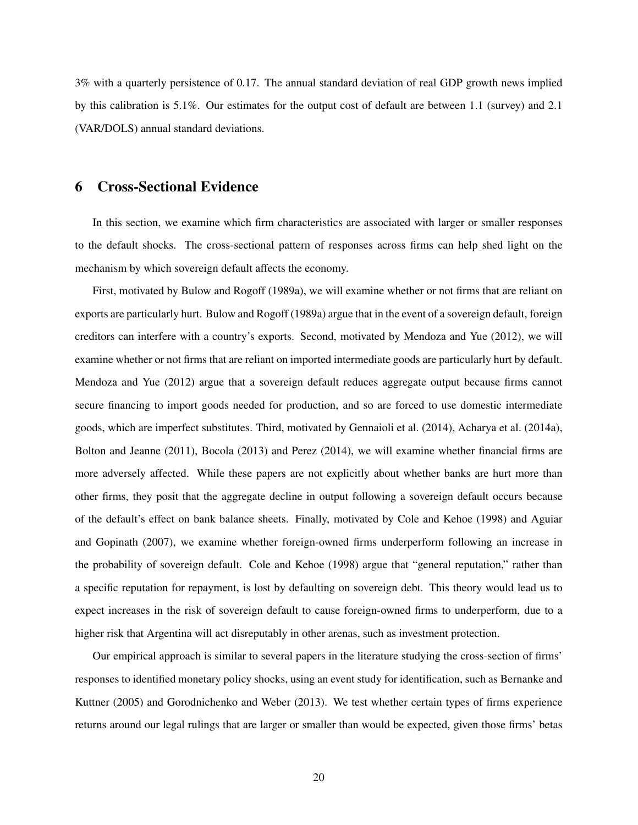3% with a quarterly persistence of 0.17. The annual standard deviation of real GDP growth news implied by this calibration is 5.1%. Our estimates for the output cost of default are between 1.1 (survey) and 2.1 (VAR/DOLS) annual standard deviations.

# <span id="page-20-0"></span>6 Cross-Sectional Evidence

In this section, we examine which firm characteristics are associated with larger or smaller responses to the default shocks. The cross-sectional pattern of responses across firms can help shed light on the mechanism by which sovereign default affects the economy.

First, motivated by [Bulow and Rogoff](#page-28-7) [\(1989a\)](#page-28-7), we will examine whether or not firms that are reliant on exports are particularly hurt. [Bulow and Rogoff](#page-28-7) [\(1989a\)](#page-28-7) argue that in the event of a sovereign default, foreign creditors can interfere with a country's exports. Second, motivated by [Mendoza and Yue](#page-29-6) [\(2012\)](#page-29-6), we will examine whether or not firms that are reliant on imported intermediate goods are particularly hurt by default. [Mendoza and Yue](#page-29-6) [\(2012\)](#page-29-6) argue that a sovereign default reduces aggregate output because firms cannot secure financing to import goods needed for production, and so are forced to use domestic intermediate goods, which are imperfect substitutes. Third, motivated by [Gennaioli et al.](#page-29-4) [\(2014\)](#page-29-4), [Acharya et al.](#page-28-9) [\(2014a\)](#page-28-9), [Bolton and Jeanne](#page-28-21) [\(2011\)](#page-28-21), [Bocola](#page-28-10) [\(2013\)](#page-28-10) and [Perez](#page-29-5) [\(2014\)](#page-29-5), we will examine whether financial firms are more adversely affected. While these papers are not explicitly about whether banks are hurt more than other firms, they posit that the aggregate decline in output following a sovereign default occurs because of the default's effect on bank balance sheets. Finally, motivated by [Cole and Kehoe](#page-28-11) [\(1998\)](#page-28-11) and [Aguiar](#page-28-4) [and Gopinath](#page-28-4) [\(2007\)](#page-28-4), we examine whether foreign-owned firms underperform following an increase in the probability of sovereign default. [Cole and Kehoe](#page-28-11) [\(1998\)](#page-28-11) argue that "general reputation," rather than a specific reputation for repayment, is lost by defaulting on sovereign debt. This theory would lead us to expect increases in the risk of sovereign default to cause foreign-owned firms to underperform, due to a higher risk that Argentina will act disreputably in other arenas, such as investment protection.

Our empirical approach is similar to several papers in the literature studying the cross-section of firms' responses to identified monetary policy shocks, using an event study for identification, such as [Bernanke and](#page-28-15) [Kuttner](#page-28-15) [\(2005\)](#page-28-15) and [Gorodnichenko and Weber](#page-29-20) [\(2013\)](#page-29-20). We test whether certain types of firms experience returns around our legal rulings that are larger or smaller than would be expected, given those firms' betas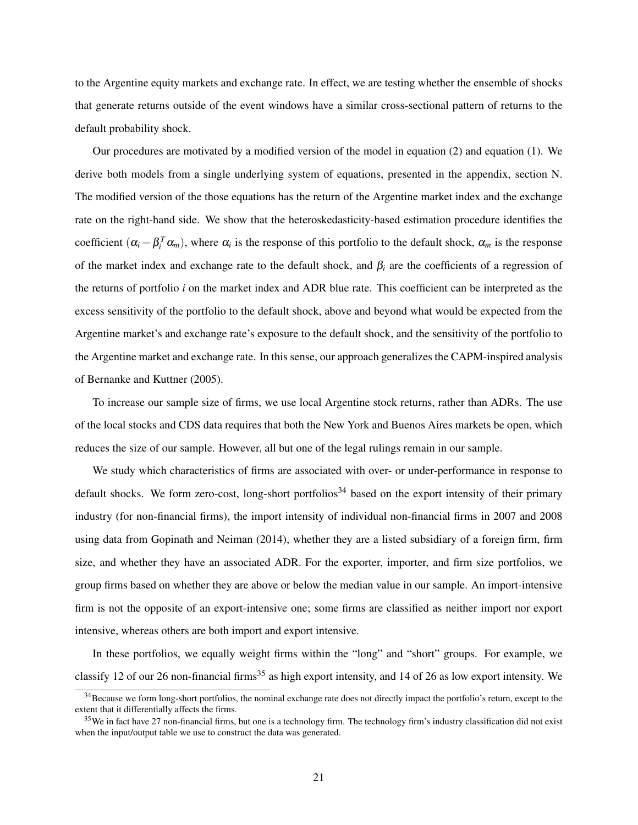to the Argentine equity markets and exchange rate. In effect, we are testing whether the ensemble of shocks that generate returns outside of the event windows have a similar cross-sectional pattern of returns to the default probability shock.

Our procedures are motivated by a modified version of the model in equation [\(2\)](#page-11-2) and equation [\(1\)](#page-11-2). We derive both models from a single underlying system of equations, presented in the appendix, section [N.](#page-68-0) The modified version of the those equations has the return of the Argentine market index and the exchange rate on the right-hand side. We show that the heteroskedasticity-based estimation procedure identifies the coefficient  $(\alpha_i - \beta_i^T \alpha_m)$ , where  $\alpha_i$  is the response of this portfolio to the default shock,  $\alpha_m$  is the response of the market index and exchange rate to the default shock, and  $\beta_i$  are the coefficients of a regression of the returns of portfolio *i* on the market index and ADR blue rate. This coefficient can be interpreted as the excess sensitivity of the portfolio to the default shock, above and beyond what would be expected from the Argentine market's and exchange rate's exposure to the default shock, and the sensitivity of the portfolio to the Argentine market and exchange rate. In this sense, our approach generalizes the CAPM-inspired analysis of [Bernanke and Kuttner](#page-28-15) [\(2005\)](#page-28-15).

To increase our sample size of firms, we use local Argentine stock returns, rather than ADRs. The use of the local stocks and CDS data requires that both the New York and Buenos Aires markets be open, which reduces the size of our sample. However, all but one of the legal rulings remain in our sample.

We study which characteristics of firms are associated with over- or under-performance in response to default shocks. We form zero-cost, long-short portfolios<sup>[34](#page-21-0)</sup> based on the export intensity of their primary industry (for non-financial firms), the import intensity of individual non-financial firms in 2007 and 2008 using data from [Gopinath and Neiman](#page-29-21) [\(2014\)](#page-29-21), whether they are a listed subsidiary of a foreign firm, firm size, and whether they have an associated ADR. For the exporter, importer, and firm size portfolios, we group firms based on whether they are above or below the median value in our sample. An import-intensive firm is not the opposite of an export-intensive one; some firms are classified as neither import nor export intensive, whereas others are both import and export intensive.

In these portfolios, we equally weight firms within the "long" and "short" groups. For example, we classify 12 of our 26 non-financial firms<sup>[35](#page-21-1)</sup> as high export intensity, and 14 of 26 as low export intensity. We

<span id="page-21-0"></span><sup>&</sup>lt;sup>34</sup>Because we form long-short portfolios, the nominal exchange rate does not directly impact the portfolio's return, except to the extent that it differentially affects the firms.

<span id="page-21-1"></span> $35$  We in fact have 27 non-financial firms, but one is a technology firm. The technology firm's industry classification did not exist when the input/output table we use to construct the data was generated.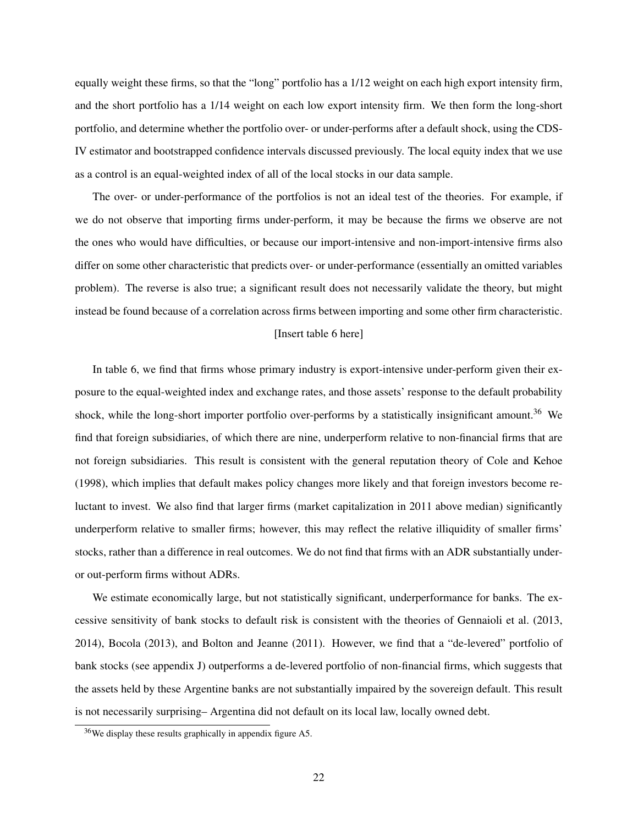equally weight these firms, so that the "long" portfolio has a 1/12 weight on each high export intensity firm, and the short portfolio has a 1/14 weight on each low export intensity firm. We then form the long-short portfolio, and determine whether the portfolio over- or under-performs after a default shock, using the CDS-IV estimator and bootstrapped confidence intervals discussed previously. The local equity index that we use as a control is an equal-weighted index of all of the local stocks in our data sample.

The over- or under-performance of the portfolios is not an ideal test of the theories. For example, if we do not observe that importing firms under-perform, it may be because the firms we observe are not the ones who would have difficulties, or because our import-intensive and non-import-intensive firms also differ on some other characteristic that predicts over- or under-performance (essentially an omitted variables problem). The reverse is also true; a significant result does not necessarily validate the theory, but might instead be found because of a correlation across firms between importing and some other firm characteristic.

#### [Insert table [6](#page-34-1) here]

In table [6,](#page-34-1) we find that firms whose primary industry is export-intensive under-perform given their exposure to the equal-weighted index and exchange rates, and those assets' response to the default probability shock, while the long-short importer portfolio over-performs by a statistically insignificant amount.<sup>[36](#page-22-0)</sup> We find that foreign subsidiaries, of which there are nine, underperform relative to non-financial firms that are not foreign subsidiaries. This result is consistent with the general reputation theory of [Cole and Kehoe](#page-28-11) [\(1998\)](#page-28-11), which implies that default makes policy changes more likely and that foreign investors become reluctant to invest. We also find that larger firms (market capitalization in 2011 above median) significantly underperform relative to smaller firms; however, this may reflect the relative illiquidity of smaller firms' stocks, rather than a difference in real outcomes. We do not find that firms with an ADR substantially underor out-perform firms without ADRs.

We estimate economically large, but not statistically significant, underperformance for banks. The excessive sensitivity of bank stocks to default risk is consistent with the theories of [Gennaioli et al.](#page-29-22) [\(2013,](#page-29-22) [2014\)](#page-29-4), [Bocola](#page-28-10) [\(2013\)](#page-28-10), and [Bolton and Jeanne](#page-28-21) [\(2011\)](#page-28-21). However, we find that a "de-levered" portfolio of bank stocks (see appendix [J\)](#page-61-0) outperforms a de-levered portfolio of non-financial firms, which suggests that the assets held by these Argentine banks are not substantially impaired by the sovereign default. This result is not necessarily surprising– Argentina did not default on its local law, locally owned debt.

<span id="page-22-0"></span><sup>36</sup>We display these results graphically in appendix figure [A5.](#page-71-0)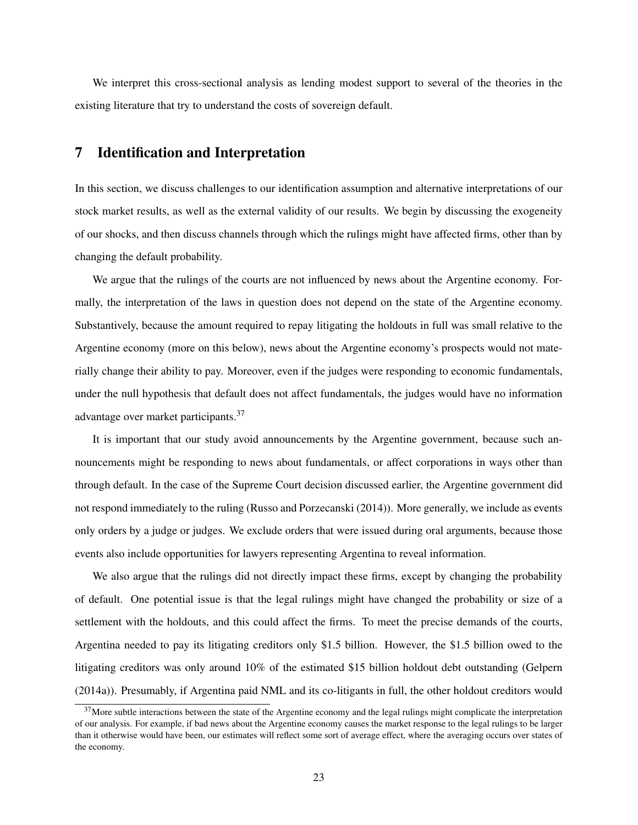We interpret this cross-sectional analysis as lending modest support to several of the theories in the existing literature that try to understand the costs of sovereign default.

# <span id="page-23-0"></span>7 Identification and Interpretation

In this section, we discuss challenges to our identification assumption and alternative interpretations of our stock market results, as well as the external validity of our results. We begin by discussing the exogeneity of our shocks, and then discuss channels through which the rulings might have affected firms, other than by changing the default probability.

We argue that the rulings of the courts are not influenced by news about the Argentine economy. Formally, the interpretation of the laws in question does not depend on the state of the Argentine economy. Substantively, because the amount required to repay litigating the holdouts in full was small relative to the Argentine economy (more on this below), news about the Argentine economy's prospects would not materially change their ability to pay. Moreover, even if the judges were responding to economic fundamentals, under the null hypothesis that default does not affect fundamentals, the judges would have no information advantage over market participants.[37](#page-23-1)

It is important that our study avoid announcements by the Argentine government, because such announcements might be responding to news about fundamentals, or affect corporations in ways other than through default. In the case of the Supreme Court decision discussed earlier, the Argentine government did not respond immediately to the ruling [\(Russo and Porzecanski](#page-30-11) [\(2014\)](#page-30-11)). More generally, we include as events only orders by a judge or judges. We exclude orders that were issued during oral arguments, because those events also include opportunities for lawyers representing Argentina to reveal information.

We also argue that the rulings did not directly impact these firms, except by changing the probability of default. One potential issue is that the legal rulings might have changed the probability or size of a settlement with the holdouts, and this could affect the firms. To meet the precise demands of the courts, Argentina needed to pay its litigating creditors only \$1.5 billion. However, the \$1.5 billion owed to the litigating creditors was only around 10% of the estimated \$15 billion holdout debt outstanding [\(Gelpern](#page-29-9) [\(2014a\)](#page-29-9)). Presumably, if Argentina paid NML and its co-litigants in full, the other holdout creditors would

<span id="page-23-1"></span> $37$ More subtle interactions between the state of the Argentine economy and the legal rulings might complicate the interpretation of our analysis. For example, if bad news about the Argentine economy causes the market response to the legal rulings to be larger than it otherwise would have been, our estimates will reflect some sort of average effect, where the averaging occurs over states of the economy.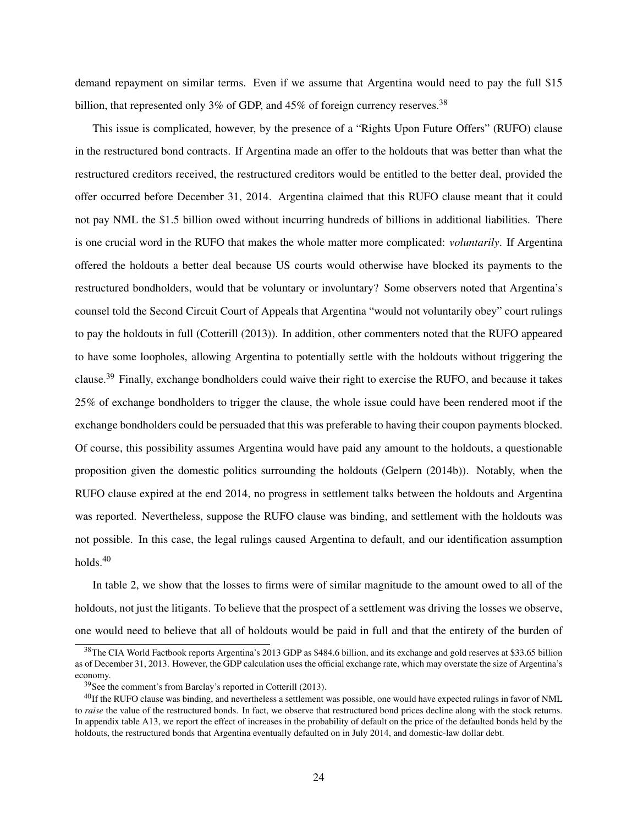demand repayment on similar terms. Even if we assume that Argentina would need to pay the full \$15 billion, that represented only 3% of GDP, and 45% of foreign currency reserves.<sup>[38](#page-24-0)</sup>

This issue is complicated, however, by the presence of a "Rights Upon Future Offers" (RUFO) clause in the restructured bond contracts. If Argentina made an offer to the holdouts that was better than what the restructured creditors received, the restructured creditors would be entitled to the better deal, provided the offer occurred before December 31, 2014. Argentina claimed that this RUFO clause meant that it could not pay NML the \$1.5 billion owed without incurring hundreds of billions in additional liabilities. There is one crucial word in the RUFO that makes the whole matter more complicated: *voluntarily*. If Argentina offered the holdouts a better deal because US courts would otherwise have blocked its payments to the restructured bondholders, would that be voluntary or involuntary? Some observers noted that Argentina's counsel told the Second Circuit Court of Appeals that Argentina "would not voluntarily obey" court rulings to pay the holdouts in full [\(Cotterill](#page-28-22) [\(2013\)](#page-28-22)). In addition, other commenters noted that the RUFO appeared to have some loopholes, allowing Argentina to potentially settle with the holdouts without triggering the clause.[39](#page-24-1) Finally, exchange bondholders could waive their right to exercise the RUFO, and because it takes 25% of exchange bondholders to trigger the clause, the whole issue could have been rendered moot if the exchange bondholders could be persuaded that this was preferable to having their coupon payments blocked. Of course, this possibility assumes Argentina would have paid any amount to the holdouts, a questionable proposition given the domestic politics surrounding the holdouts [\(Gelpern](#page-29-23) [\(2014b\)](#page-29-23)). Notably, when the RUFO clause expired at the end 2014, no progress in settlement talks between the holdouts and Argentina was reported. Nevertheless, suppose the RUFO clause was binding, and settlement with the holdouts was not possible. In this case, the legal rulings caused Argentina to default, and our identification assumption holds.[40](#page-24-2)

In table [2,](#page-31-0) we show that the losses to firms were of similar magnitude to the amount owed to all of the holdouts, not just the litigants. To believe that the prospect of a settlement was driving the losses we observe, one would need to believe that all of holdouts would be paid in full and that the entirety of the burden of

<span id="page-24-0"></span><sup>&</sup>lt;sup>38</sup>The CIA World Factbook reports Argentina's 2013 GDP as \$484.6 billion, and its exchange and gold reserves at \$33.65 billion as of December 31, 2013. However, the GDP calculation uses the official exchange rate, which may overstate the size of Argentina's economy.

<span id="page-24-2"></span><span id="page-24-1"></span><sup>39</sup>See the comment's from Barclay's reported in [Cotterill](#page-28-22) [\(2013\)](#page-28-22).

 $^{40}$ If the RUFO clause was binding, and nevertheless a settlement was possible, one would have expected rulings in favor of NML to *raise* the value of the restructured bonds. In fact, we observe that restructured bond prices decline along with the stock returns. In appendix table [A13,](#page-68-1) we report the effect of increases in the probability of default on the price of the defaulted bonds held by the holdouts, the restructured bonds that Argentina eventually defaulted on in July 2014, and domestic-law dollar debt.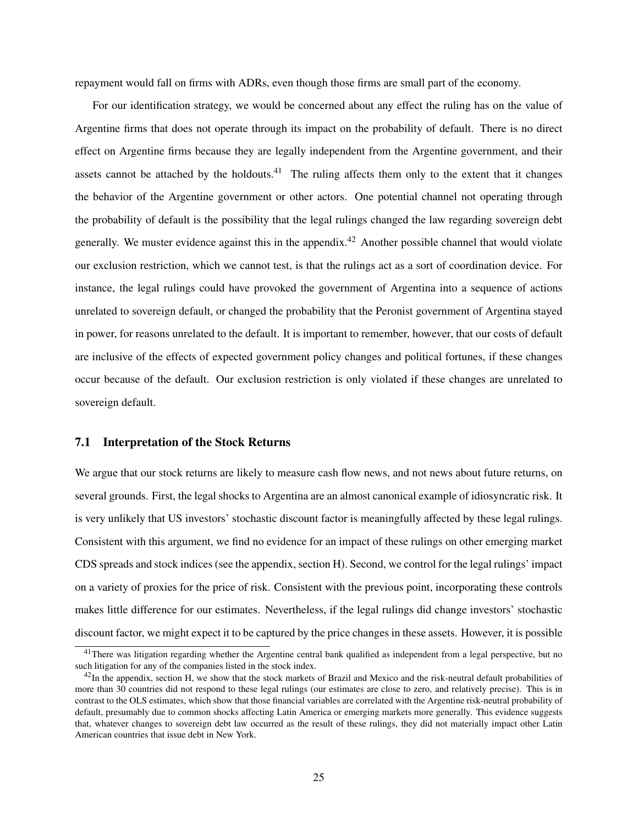repayment would fall on firms with ADRs, even though those firms are small part of the economy.

For our identification strategy, we would be concerned about any effect the ruling has on the value of Argentine firms that does not operate through its impact on the probability of default. There is no direct effect on Argentine firms because they are legally independent from the Argentine government, and their assets cannot be attached by the holdouts. $41$  The ruling affects them only to the extent that it changes the behavior of the Argentine government or other actors. One potential channel not operating through the probability of default is the possibility that the legal rulings changed the law regarding sovereign debt generally. We muster evidence against this in the appendix.<sup>[42](#page-25-1)</sup> Another possible channel that would violate our exclusion restriction, which we cannot test, is that the rulings act as a sort of coordination device. For instance, the legal rulings could have provoked the government of Argentina into a sequence of actions unrelated to sovereign default, or changed the probability that the Peronist government of Argentina stayed in power, for reasons unrelated to the default. It is important to remember, however, that our costs of default are inclusive of the effects of expected government policy changes and political fortunes, if these changes occur because of the default. Our exclusion restriction is only violated if these changes are unrelated to sovereign default.

#### 7.1 Interpretation of the Stock Returns

We argue that our stock returns are likely to measure cash flow news, and not news about future returns, on several grounds. First, the legal shocks to Argentina are an almost canonical example of idiosyncratic risk. It is very unlikely that US investors' stochastic discount factor is meaningfully affected by these legal rulings. Consistent with this argument, we find no evidence for an impact of these rulings on other emerging market CDS spreads and stock indices (see the appendix, section [H\)](#page-58-0). Second, we control for the legal rulings' impact on a variety of proxies for the price of risk. Consistent with the previous point, incorporating these controls makes little difference for our estimates. Nevertheless, if the legal rulings did change investors' stochastic discount factor, we might expect it to be captured by the price changes in these assets. However, it is possible

<span id="page-25-0"></span> $41$ There was litigation regarding whether the Argentine central bank qualified as independent from a legal perspective, but no such litigation for any of the companies listed in the stock index.

<span id="page-25-1"></span> $42$ In the appendix, section [H,](#page-58-0) we show that the stock markets of Brazil and Mexico and the risk-neutral default probabilities of more than 30 countries did not respond to these legal rulings (our estimates are close to zero, and relatively precise). This is in contrast to the OLS estimates, which show that those financial variables are correlated with the Argentine risk-neutral probability of default, presumably due to common shocks affecting Latin America or emerging markets more generally. This evidence suggests that, whatever changes to sovereign debt law occurred as the result of these rulings, they did not materially impact other Latin American countries that issue debt in New York.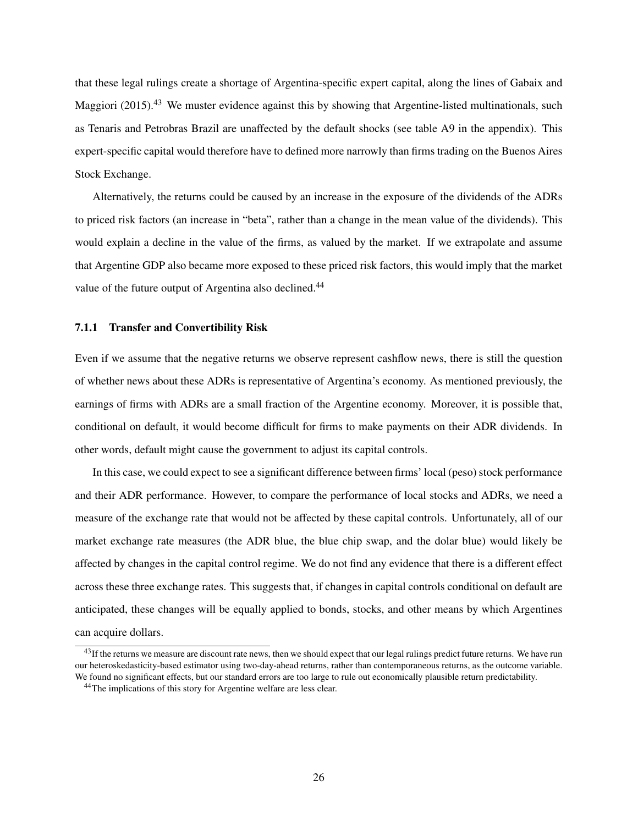that these legal rulings create a shortage of Argentina-specific expert capital, along the lines of [Gabaix and](#page-29-24) [Maggiori](#page-29-24) [\(2015\)](#page-29-24).<sup>[43](#page-26-0)</sup> We muster evidence against this by showing that Argentine-listed multinationals, such as Tenaris and Petrobras Brazil are unaffected by the default shocks (see table [A9](#page-61-1) in the appendix). This expert-specific capital would therefore have to defined more narrowly than firms trading on the Buenos Aires Stock Exchange.

Alternatively, the returns could be caused by an increase in the exposure of the dividends of the ADRs to priced risk factors (an increase in "beta", rather than a change in the mean value of the dividends). This would explain a decline in the value of the firms, as valued by the market. If we extrapolate and assume that Argentine GDP also became more exposed to these priced risk factors, this would imply that the market value of the future output of Argentina also declined.<sup>[44](#page-26-1)</sup>

### 7.1.1 Transfer and Convertibility Risk

Even if we assume that the negative returns we observe represent cashflow news, there is still the question of whether news about these ADRs is representative of Argentina's economy. As mentioned previously, the earnings of firms with ADRs are a small fraction of the Argentine economy. Moreover, it is possible that, conditional on default, it would become difficult for firms to make payments on their ADR dividends. In other words, default might cause the government to adjust its capital controls.

In this case, we could expect to see a significant difference between firms' local (peso) stock performance and their ADR performance. However, to compare the performance of local stocks and ADRs, we need a measure of the exchange rate that would not be affected by these capital controls. Unfortunately, all of our market exchange rate measures (the ADR blue, the blue chip swap, and the dolar blue) would likely be affected by changes in the capital control regime. We do not find any evidence that there is a different effect across these three exchange rates. This suggests that, if changes in capital controls conditional on default are anticipated, these changes will be equally applied to bonds, stocks, and other means by which Argentines can acquire dollars.

<span id="page-26-0"></span><sup>&</sup>lt;sup>43</sup>If the returns we measure are discount rate news, then we should expect that our legal rulings predict future returns. We have run our heteroskedasticity-based estimator using two-day-ahead returns, rather than contemporaneous returns, as the outcome variable. We found no significant effects, but our standard errors are too large to rule out economically plausible return predictability.

<span id="page-26-1"></span><sup>&</sup>lt;sup>44</sup>The implications of this story for Argentine welfare are less clear.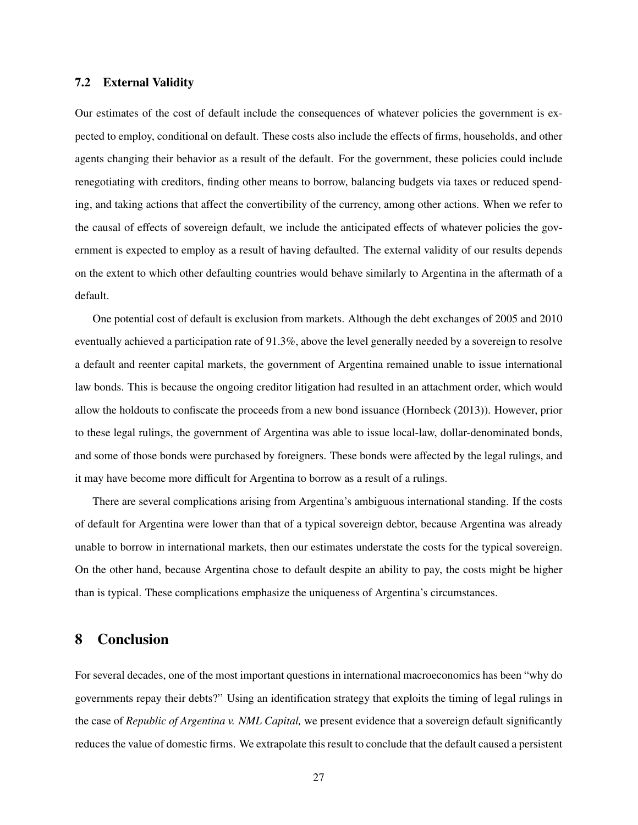# 7.2 External Validity

Our estimates of the cost of default include the consequences of whatever policies the government is expected to employ, conditional on default. These costs also include the effects of firms, households, and other agents changing their behavior as a result of the default. For the government, these policies could include renegotiating with creditors, finding other means to borrow, balancing budgets via taxes or reduced spending, and taking actions that affect the convertibility of the currency, among other actions. When we refer to the causal of effects of sovereign default, we include the anticipated effects of whatever policies the government is expected to employ as a result of having defaulted. The external validity of our results depends on the extent to which other defaulting countries would behave similarly to Argentina in the aftermath of a default.

One potential cost of default is exclusion from markets. Although the debt exchanges of 2005 and 2010 eventually achieved a participation rate of 91.3%, above the level generally needed by a sovereign to resolve a default and reenter capital markets, the government of Argentina remained unable to issue international law bonds. This is because the ongoing creditor litigation had resulted in an attachment order, which would allow the holdouts to confiscate the proceeds from a new bond issuance [\(Hornbeck](#page-29-8) [\(2013\)](#page-29-8)). However, prior to these legal rulings, the government of Argentina was able to issue local-law, dollar-denominated bonds, and some of those bonds were purchased by foreigners. These bonds were affected by the legal rulings, and it may have become more difficult for Argentina to borrow as a result of a rulings.

There are several complications arising from Argentina's ambiguous international standing. If the costs of default for Argentina were lower than that of a typical sovereign debtor, because Argentina was already unable to borrow in international markets, then our estimates understate the costs for the typical sovereign. On the other hand, because Argentina chose to default despite an ability to pay, the costs might be higher than is typical. These complications emphasize the uniqueness of Argentina's circumstances.

# <span id="page-27-0"></span>8 Conclusion

For several decades, one of the most important questions in international macroeconomics has been "why do governments repay their debts?" Using an identification strategy that exploits the timing of legal rulings in the case of *Republic of Argentina v. NML Capital,* we present evidence that a sovereign default significantly reduces the value of domestic firms. We extrapolate this result to conclude that the default caused a persistent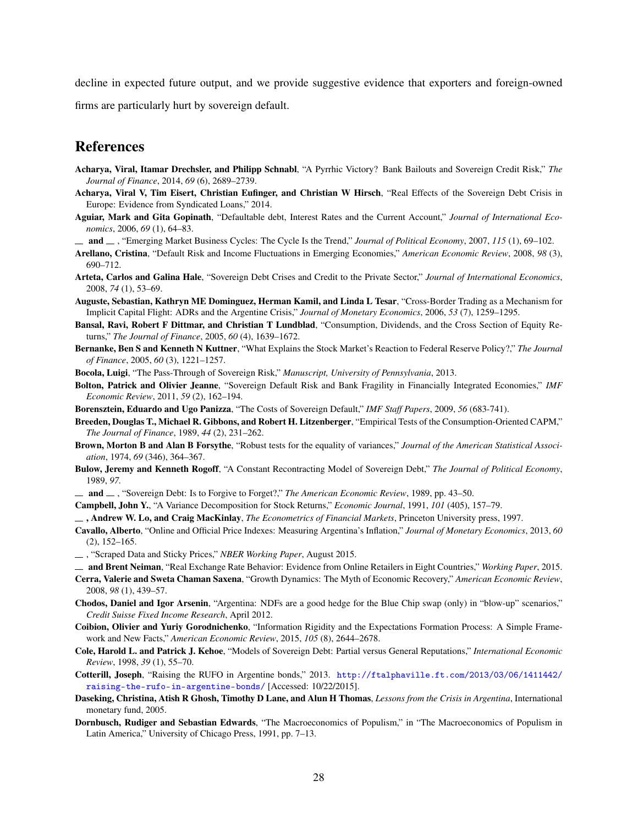decline in expected future output, and we provide suggestive evidence that exporters and foreign-owned

firms are particularly hurt by sovereign default.

# References

- <span id="page-28-9"></span>Acharya, Viral, Itamar Drechsler, and Philipp Schnabl, "A Pyrrhic Victory? Bank Bailouts and Sovereign Credit Risk," *The Journal of Finance*, 2014, *69* (6), 2689–2739.
- <span id="page-28-8"></span>Acharya, Viral V, Tim Eisert, Christian Eufinger, and Christian W Hirsch, "Real Effects of the Sovereign Debt Crisis in Europe: Evidence from Syndicated Loans," 2014.
- <span id="page-28-1"></span>Aguiar, Mark and Gita Gopinath, "Defaultable debt, Interest Rates and the Current Account," *Journal of International Economics*, 2006, *69* (1), 64–83.
- <span id="page-28-4"></span>and , "Emerging Market Business Cycles: The Cycle Is the Trend," *Journal of Political Economy*, 2007, *115* (1), 69–102.
- <span id="page-28-2"></span>Arellano, Cristina, "Default Risk and Income Fluctuations in Emerging Economies," *American Economic Review*, 2008, *98* (3), 690–712.
- <span id="page-28-12"></span>Arteta, Carlos and Galina Hale, "Sovereign Debt Crises and Credit to the Private Sector," *Journal of International Economics*, 2008, *74* (1), 53–69.
- <span id="page-28-14"></span>Auguste, Sebastian, Kathryn ME Dominguez, Herman Kamil, and Linda L Tesar, "Cross-Border Trading as a Mechanism for Implicit Capital Flight: ADRs and the Argentine Crisis," *Journal of Monetary Economics*, 2006, *53* (7), 1259–1295.
- <span id="page-28-19"></span>Bansal, Ravi, Robert F Dittmar, and Christian T Lundblad, "Consumption, Dividends, and the Cross Section of Equity Returns," *The Journal of Finance*, 2005, *60* (4), 1639–1672.
- <span id="page-28-15"></span>Bernanke, Ben S and Kenneth N Kuttner, "What Explains the Stock Market's Reaction to Federal Reserve Policy?," *The Journal of Finance*, 2005, *60* (3), 1221–1257.
- <span id="page-28-10"></span>Bocola, Luigi, "The Pass-Through of Sovereign Risk," *Manuscript, University of Pennsylvania*, 2013.
- <span id="page-28-21"></span>Bolton, Patrick and Olivier Jeanne, "Sovereign Default Risk and Bank Fragility in Financially Integrated Economies," *IMF Economic Review*, 2011, *59* (2), 162–194.
- <span id="page-28-6"></span>Borensztein, Eduardo and Ugo Panizza, "The Costs of Sovereign Default," *IMF Staff Papers*, 2009, *56* (683-741).
- <span id="page-28-16"></span>Breeden, Douglas T., Michael R. Gibbons, and Robert H. Litzenberger, "Empirical Tests of the Consumption-Oriented CAPM," *The Journal of Finance*, 1989, *44* (2), 231–262.
- Brown, Morton B and Alan B Forsythe, "Robust tests for the equality of variances," *Journal of the American Statistical Association*, 1974, *69* (346), 364–367.
- <span id="page-28-7"></span>Bulow, Jeremy and Kenneth Rogoff, "A Constant Recontracting Model of Sovereign Debt," *The Journal of Political Economy*, 1989, *97.*
- <span id="page-28-0"></span>and  $\Box$ , "Sovereign Debt: Is to Forgive to Forget?," *The American Economic Review*, 1989, pp. 43–50.
- <span id="page-28-17"></span>Campbell, John Y., "A Variance Decomposition for Stock Returns," *Economic Journal*, 1991, *101* (405), 157–79.
- , Andrew W. Lo, and Craig MacKinlay, *The Econometrics of Financial Markets*, Princeton University press, 1997.
- <span id="page-28-18"></span>Cavallo, Alberto, "Online and Official Price Indexes: Measuring Argentina's Inflation," *Journal of Monetary Economics*, 2013, *60* (2), 152–165.
- , "Scraped Data and Sticky Prices," *NBER Working Paper*, August 2015.
- and Brent Neiman, "Real Exchange Rate Behavior: Evidence from Online Retailers in Eight Countries," *Working Paper*, 2015.
- <span id="page-28-3"></span>Cerra, Valerie and Sweta Chaman Saxena, "Growth Dynamics: The Myth of Economic Recovery," *American Economic Review*, 2008, *98* (1), 439–57.
- Chodos, Daniel and Igor Arsenin, "Argentina: NDFs are a good hedge for the Blue Chip swap (only) in "blow-up" scenarios," *Credit Suisse Fixed Income Research*, April 2012.
- <span id="page-28-20"></span>Coibion, Olivier and Yuriy Gorodnichenko, "Information Rigidity and the Expectations Formation Process: A Simple Framework and New Facts," *American Economic Review*, 2015, *105* (8), 2644–2678.
- <span id="page-28-11"></span>Cole, Harold L. and Patrick J. Kehoe, "Models of Sovereign Debt: Partial versus General Reputations," *International Economic Review*, 1998, *39* (1), 55–70.
- <span id="page-28-22"></span>Cotterill, Joseph, "Raising the RUFO in Argentine bonds," 2013. [http://ftalphaville.ft.com/2013/03/06/1411442/](http://ftalphaville.ft.com/2013/03/06/1411442/raising-the-rufo-in-argentine-bonds/) [raising-the-rufo-in-argentine-bonds/](http://ftalphaville.ft.com/2013/03/06/1411442/raising-the-rufo-in-argentine-bonds/) [Accessed: 10/22/2015].
- <span id="page-28-13"></span>Daseking, Christina, Atish R Ghosh, Timothy D Lane, and Alun H Thomas, *Lessons from the Crisis in Argentina*, International monetary fund, 2005.
- <span id="page-28-5"></span>Dornbusch, Rudiger and Sebastian Edwards, "The Macroeconomics of Populism," in "The Macroeconomics of Populism in Latin America," University of Chicago Press, 1991, pp. 7–13.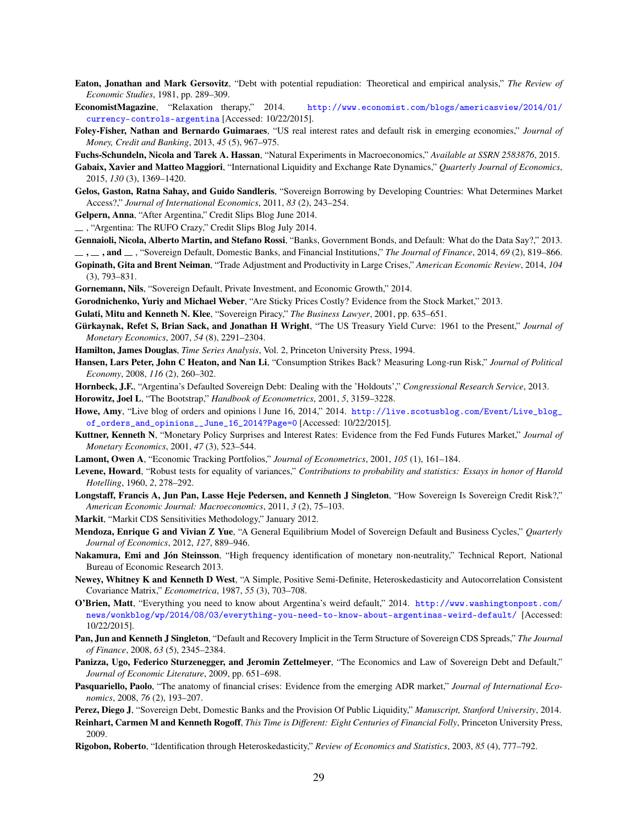- <span id="page-29-0"></span>Eaton, Jonathan and Mark Gersovitz, "Debt with potential repudiation: Theoretical and empirical analysis," *The Review of Economic Studies*, 1981, pp. 289–309.
- <span id="page-29-13"></span>EconomistMagazine, "Relaxation therapy," 2014. [http://www.economist.com/blogs/americasview/2014/01/](http://www.economist.com/blogs/americasview/2014/01/currency-controls-argentina) [currency-controls-argentina](http://www.economist.com/blogs/americasview/2014/01/currency-controls-argentina) [Accessed: 10/22/2015].
- Foley-Fisher, Nathan and Bernardo Guimaraes, "US real interest rates and default risk in emerging economies," *Journal of Money, Credit and Banking*, 2013, *45* (5), 967–975.
- <span id="page-29-7"></span>Fuchs-Schundeln, Nicola and Tarek A. Hassan, "Natural Experiments in Macroeconomics," *Available at SSRN 2583876*, 2015.
- <span id="page-29-24"></span>Gabaix, Xavier and Matteo Maggiori, "International Liquidity and Exchange Rate Dynamics," *Quarterly Journal of Economics*, 2015, *130* (3), 1369–1420.
- <span id="page-29-19"></span>Gelos, Gaston, Ratna Sahay, and Guido Sandleris, "Sovereign Borrowing by Developing Countries: What Determines Market Access?," *Journal of International Economics*, 2011, *83* (2), 243–254.
- <span id="page-29-23"></span><span id="page-29-9"></span>Gelpern, Anna, "After Argentina," Credit Slips Blog June 2014.

, "Argentina: The RUFO Crazy," Credit Slips Blog July 2014.

<span id="page-29-22"></span>Gennaioli, Nicola, Alberto Martin, and Stefano Rossi, "Banks, Government Bonds, and Default: What do the Data Say?," 2013.

<span id="page-29-4"></span> $\ldots$ , and  $\ldots$ , "Sovereign Default, Domestic Banks, and Financial Institutions," *The Journal of Finance*, 2014, 69 (2), 819–866.

- <span id="page-29-21"></span>Gopinath, Gita and Brent Neiman, "Trade Adjustment and Productivity in Large Crises," *American Economic Review*, 2014, *104* (3), 793–831.
- <span id="page-29-2"></span>Gornemann, Nils, "Sovereign Default, Private Investment, and Economic Growth," 2014.
- <span id="page-29-20"></span>Gorodnichenko, Yuriy and Michael Weber, "Are Sticky Prices Costly? Evidence from the Stock Market," 2013.
- <span id="page-29-10"></span>Gulati, Mitu and Kenneth N. Klee, "Sovereign Piracy," *The Business Lawyer*, 2001, pp. 635–651.
- Gürkaynak, Refet S, Brian Sack, and Jonathan H Wright, "The US Treasury Yield Curve: 1961 to the Present," *Journal of Monetary Economics*, 2007, *54* (8), 2291–2304.
- Hamilton, James Douglas, *Time Series Analysis*, Vol. 2, Princeton University Press, 1994.
- <span id="page-29-18"></span>Hansen, Lars Peter, John C Heaton, and Nan Li, "Consumption Strikes Back? Measuring Long-run Risk," *Journal of Political Economy*, 2008, *116* (2), 260–302.
- <span id="page-29-8"></span>Hornbeck, J.F., "Argentina's Defaulted Sovereign Debt: Dealing with the 'Holdouts'," *Congressional Research Service*, 2013.

Horowitz, Joel L, "The Bootstrap," *Handbook of Econometrics*, 2001, *5*, 3159–3228.

- <span id="page-29-14"></span>Howe, Amy, "Live blog of orders and opinions | June 16, 2014," 2014. [http://live.scotusblog.com/Event/Live\\_blog\\_](http://live.scotusblog.com/Event/Live_blog_of_orders_and_opinions__June_16_2014?Page=0) [of\\_orders\\_and\\_opinions\\_\\_June\\_16\\_2014?Page=0](http://live.scotusblog.com/Event/Live_blog_of_orders_and_opinions__June_16_2014?Page=0) [Accessed: 10/22/2015].
- <span id="page-29-16"></span>Kuttner, Kenneth N, "Monetary Policy Surprises and Interest Rates: Evidence from the Fed Funds Futures Market," *Journal of Monetary Economics*, 2001, *47* (3), 523–544.
- <span id="page-29-17"></span>Lamont, Owen A, "Economic Tracking Portfolios," *Journal of Econometrics*, 2001, *105* (1), 161–184.
- Levene, Howard, "Robust tests for equality of variances," *Contributions to probability and statistics: Essays in honor of Harold Hotelling*, 1960, *2*, 278–292.
- Longstaff, Francis A, Jun Pan, Lasse Heje Pedersen, and Kenneth J Singleton, "How Sovereign Is Sovereign Credit Risk?," *American Economic Journal: Macroeconomics*, 2011, *3* (2), 75–103.
- Markit, "Markit CDS Sensitivities Methodology," January 2012.
- <span id="page-29-6"></span>Mendoza, Enrique G and Vivian Z Yue, "A General Equilibrium Model of Sovereign Default and Business Cycles," *Quarterly Journal of Economics*, 2012, *127*, 889–946.
- Nakamura, Emi and Jón Steinsson, "High frequency identification of monetary non-neutrality," Technical Report, National Bureau of Economic Research 2013.
- Newey, Whitney K and Kenneth D West, "A Simple, Positive Semi-Definite, Heteroskedasticity and Autocorrelation Consistent Covariance Matrix," *Econometrica*, 1987, *55* (3), 703–708.
- <span id="page-29-12"></span>O'Brien, Matt, "Everything you need to know about Argentina's weird default," 2014. [http://www.washingtonpost.com/](http://www.washingtonpost.com/news/wonkblog/wp/2014/08/03/everything-you-need-to-know-about-argentinas-weird-default/) [news/wonkblog/wp/2014/08/03/everything-you-need-to-know-about-argentinas-weird-default/](http://www.washingtonpost.com/news/wonkblog/wp/2014/08/03/everything-you-need-to-know-about-argentinas-weird-default/) [Accessed: 10/22/2015].
- Pan, Jun and Kenneth J Singleton, "Default and Recovery Implicit in the Term Structure of Sovereign CDS Spreads," *The Journal of Finance*, 2008, *63* (5), 2345–2384.
- <span id="page-29-11"></span>Panizza, Ugo, Federico Sturzenegger, and Jeromin Zettelmeyer, "The Economics and Law of Sovereign Debt and Default," *Journal of Economic Literature*, 2009, pp. 651–698.
- <span id="page-29-15"></span>Pasquariello, Paolo, "The anatomy of financial crises: Evidence from the emerging ADR market," *Journal of International Economics*, 2008, *76* (2), 193–207.
- <span id="page-29-5"></span>Perez, Diego J, "Sovereign Debt, Domestic Banks and the Provision Of Public Liquidity," *Manuscript, Stanford University*, 2014.
- <span id="page-29-3"></span>Reinhart, Carmen M and Kenneth Rogoff, *This Time is Different: Eight Centuries of Financial Folly*, Princeton University Press, 2009.
- <span id="page-29-1"></span>Rigobon, Roberto, "Identification through Heteroskedasticity," *Review of Economics and Statistics*, 2003, *85* (4), 777–792.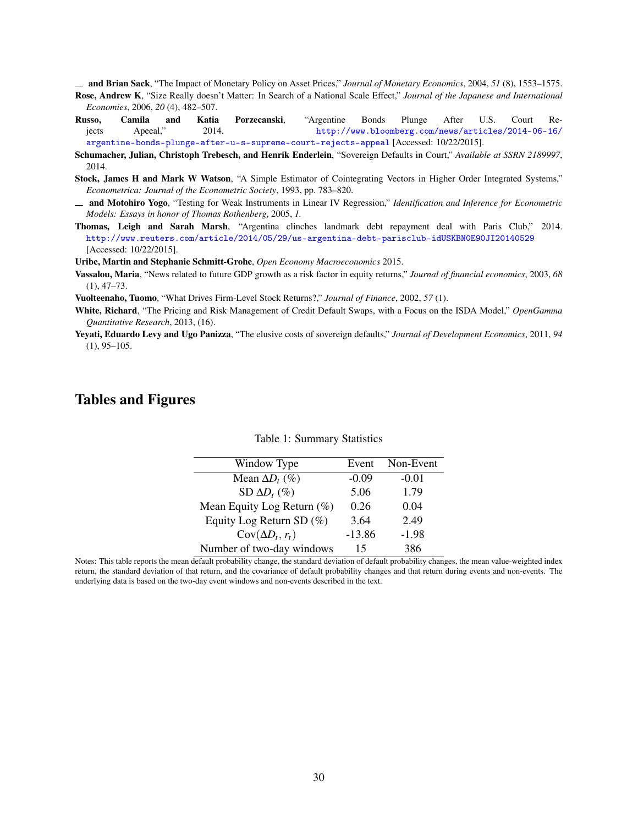<span id="page-30-2"></span><span id="page-30-0"></span>and Brian Sack, "The Impact of Monetary Policy on Asset Prices," *Journal of Monetary Economics*, 2004, *51* (8), 1553–1575. Rose, Andrew K, "Size Really doesn't Matter: In Search of a National Scale Effect," *Journal of the Japanese and International Economies*, 2006, *20* (4), 482–507.

- <span id="page-30-11"></span>Russo, Camila and Katia Porzecanski, "Argentine Bonds Plunge After U.S. Court Rejects Apeeal," 2014. [http://www.bloomberg.com/news/articles/2014-06-16/](http://www.bloomberg.com/news/articles/2014-06-16/argentine-bonds-plunge-after-u-s-supreme-court-rejects-appeal) [argentine-bonds-plunge-after-u-s-supreme-court-rejects-appeal](http://www.bloomberg.com/news/articles/2014-06-16/argentine-bonds-plunge-after-u-s-supreme-court-rejects-appeal) [Accessed: 10/22/2015].
- <span id="page-30-3"></span>Schumacher, Julian, Christoph Trebesch, and Henrik Enderlein, "Sovereign Defaults in Court," *Available at SSRN 2189997*, 2014.
- <span id="page-30-9"></span>Stock, James H and Mark W Watson, "A Simple Estimator of Cointegrating Vectors in Higher Order Integrated Systems," *Econometrica: Journal of the Econometric Society*, 1993, pp. 783–820.
- <span id="page-30-7"></span>and Motohiro Yogo, "Testing for Weak Instruments in Linear IV Regression," *Identification and Inference for Econometric Models: Essays in honor of Thomas Rothenberg*, 2005, *1.*
- <span id="page-30-4"></span>Thomas, Leigh and Sarah Marsh, "Argentina clinches landmark debt repayment deal with Paris Club," 2014. <http://www.reuters.com/article/2014/05/29/us-argentina-debt-parisclub-idUSKBN0E90JI20140529> [Accessed: 10/22/2015].

<span id="page-30-10"></span><span id="page-30-8"></span>Uribe, Martin and Stephanie Schmitt-Grohe, *Open Economy Macroeconomics* 2015.

Vassalou, Maria, "News related to future GDP growth as a risk factor in equity returns," *Journal of financial economics*, 2003, *68*  $(1), 47-73.$ 

<span id="page-30-5"></span>Vuolteenaho, Tuomo, "What Drives Firm-Level Stock Returns?," *Journal of Finance*, 2002, *57* (1).

- White, Richard, "The Pricing and Risk Management of Credit Default Swaps, with a Focus on the ISDA Model," *OpenGamma Quantitative Research*, 2013, (16).
- <span id="page-30-1"></span>Yeyati, Eduardo Levy and Ugo Panizza, "The elusive costs of sovereign defaults," *Journal of Development Economics*, 2011, *94*  $(1), 95-105.$

# <span id="page-30-6"></span>Tables and Figures

| Event    | Non-Event |
|----------|-----------|
| $-0.09$  | $-0.01$   |
| 5.06     | 1.79      |
| 0.26     | 0.04      |
| 3.64     | 2.49      |
| $-13.86$ | $-1.98$   |
| 15       | 386       |
|          |           |

Table 1: Summary Statistics

Notes: This table reports the mean default probability change, the standard deviation of default probability changes, the mean value-weighted index return, the standard deviation of that return, and the covariance of default probability changes and that return during events and non-events. The underlying data is based on the two-day event windows and non-events described in the text.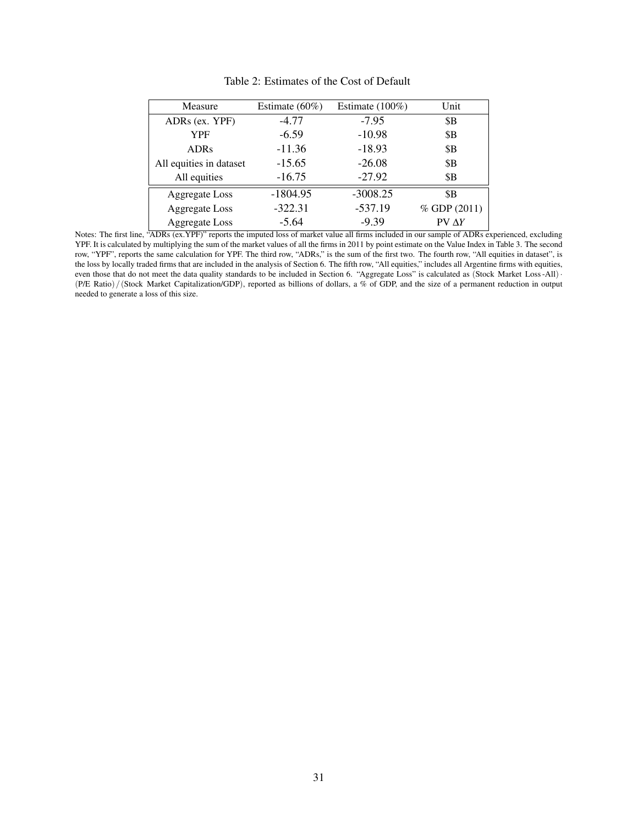<span id="page-31-0"></span>

| Measure                 | Estimate $(60\%)$   | Estimate $(100\%)$ | Unit          |  |
|-------------------------|---------------------|--------------------|---------------|--|
| ADRs (ex. YPF)          | $-4.77$             | $-7.95$            | \$B           |  |
| <b>YPF</b>              | $-10.98$<br>$-6.59$ |                    | \$Β           |  |
| <b>ADRs</b>             | $-11.36$            | $-18.93$           | \$Β           |  |
| All equities in dataset | $-15.65$            | $-26.08$           | \$Β           |  |
| All equities            | $-16.75$            | $-27.92$           | \$Β           |  |
| <b>Aggregate</b> Loss   | $-1804.95$          | $-3008.25$         | \$B           |  |
| <b>Aggregate</b> Loss   | $-322.31$           | $-537.19$          | % GDP (2011)  |  |
| <b>Aggregate</b> Loss   | $-5.64$             | $-9.39$            | $PV \Delta Y$ |  |

Table 2: Estimates of the Cost of Default

Notes: The first line, "ADRs (ex.YPF)" reports the imputed loss of market value all firms included in our sample of ADRs experienced, excluding YPF. It is calculated by multiplying the sum of the market values of all the firms in 2011 by point estimate on the Value Index in Table [3.](#page-32-0) The second row, "YPF", reports the same calculation for YPF. The third row, "ADRs," is the sum of the first two. The fourth row, "All equities in dataset", is the loss by locally traded firms that are included in the analysis of Section [6.](#page-20-0) The fifth row, "All equities," includes all Argentine firms with equities, even those that do not meet the data quality standards to be included in Section [6.](#page-20-0) "Aggregate Loss" is calculated as (Stock Market Loss-All) · (P/E Ratio)/(Stock Market Capitalization/GDP), reported as billions of dollars, a % of GDP, and the size of a permanent reduction in output needed to generate a loss of this size.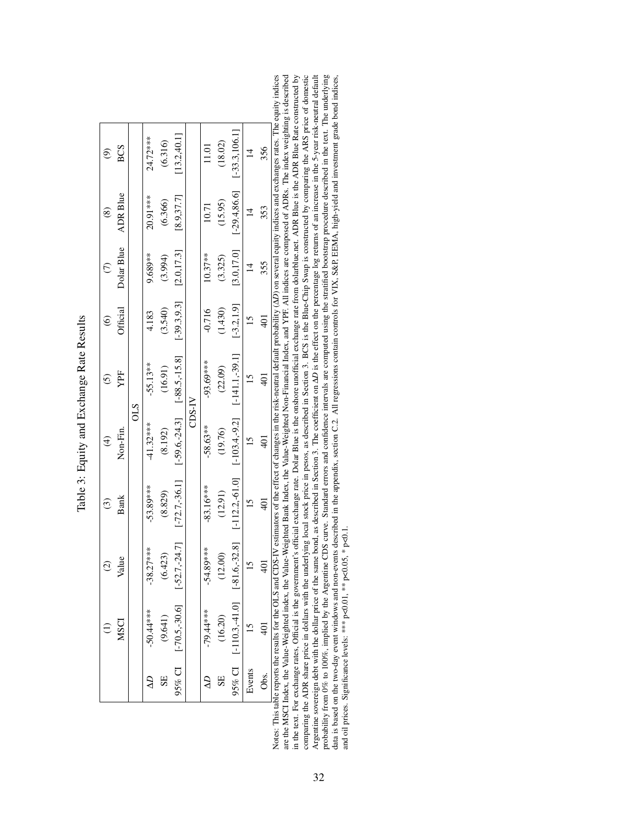<span id="page-32-0"></span>

| ć<br>¢         |
|----------------|
|                |
| こくしょう いっこ<br>۱ |
|                |
| í<br>î<br>ı    |
| ļ<br>í         |
| ¢              |
| J              |

| ම                      | <b>BCS</b>      |          | 24.72***    | (6.316) | [13.2, 40.1]                          |       | 1.01        | (18.02)     | $[-33.3, 106.1]$                        | $\overline{4}$  | 356  |                                                                                                                                                                                                             |
|------------------------|-----------------|----------|-------------|---------|---------------------------------------|-------|-------------|-------------|-----------------------------------------|-----------------|------|-------------------------------------------------------------------------------------------------------------------------------------------------------------------------------------------------------------|
| $\circledS$            | <b>ADR Blue</b> |          | 20.91***    | (6.366) | [8.9, 37.7]                           |       | 10.71       | (15.95)     | $[-29.4, 86.6]$                         |                 | 353  |                                                                                                                                                                                                             |
| $\widehat{C}$          | Dolar Blue      |          | 9.689**     | (3.994) | [2.0, 17.3]                           |       | $10.37**$   | (3.325)     | [3.0, 17.0]                             |                 | 355  |                                                                                                                                                                                                             |
| $\widehat{\circ}$      | Official        |          | 4.183       | (3.540) | $[-39.3, 9.3]$                        |       | $-0.716$    | (1.430)     | $[-3.2, 1.9]$                           |                 |      |                                                                                                                                                                                                             |
| $\widehat{c}$          | YPF             |          | $-55.13**$  | (16.91) | $[-88.5, -15.8]$                      |       | -93.69***   | (22.09)     | $[-141.1,-39.1]$                        |                 |      |                                                                                                                                                                                                             |
| $\widehat{f}$          | $Non-Fin$       | $_{0LS}$ | $-41.32***$ | (8.192) | $[-59.6,-24.3]$                       | N-SCC | $-58.63**$  | (19.76)     | $[-103.4, -9.2]$                        | $\frac{5}{1}$   |      |                                                                                                                                                                                                             |
| $\widehat{\mathbb{C}}$ | <b>Bank</b>     |          | $-53.89***$ | (8.829) | $[-72.7,-36.1]$                       |       | $-83.16***$ | (12.91)     | $[-112.2,-61.0]$                        | $\frac{5}{1}$   |      | is table reports the results for the OLS and CDS-IV estimators of the effect of changes in the risk-neutral default probability ( $\Delta D$ ) on several equity indices and exchanges rates. The equity in |
| $\odot$                | Value           |          | $-38.27***$ | (6.423) |                                       |       | $-54.89***$ | (12.00)     |                                         | $\overline{15}$ |      |                                                                                                                                                                                                             |
|                        | ΜS              |          | $-50.44***$ | (9.641) | $95\%$ CI [-70.5,-30.6] [-52.7,-24.7] |       | $-79.44***$ | (16.20)     | $95\%$ CI [-110.3, 41.0] [-81.6, -32.8] | $\overline{6}$  |      |                                                                                                                                                                                                             |
|                        |                 |          |             | 55      |                                       |       | Ş           | $_{\rm SE}$ |                                         | Events          | Obs. |                                                                                                                                                                                                             |

dices Argentine sovereign debt with the dollar price of the same bond, as described in Section 3. The coefficient on  $\Delta D$  is the effect on the percentage log returns of an increase in the 5-year risk-neutral default probabilit are the MSCI Index, the Value-Weighted index, the Value-Weighted Bank Index, the Value-Weighted Non-Financial Index, and YPF. All indices are composed of ADRs. The index weighting is described in the text. For exchange rates, Official is the government's official exchange rate. Dolar Blue is the onshore unofficial exchange rate from dolarblue.net. ADR Blue is the ADR Blue Rate constructed by comparing the ADR share price in dollars with the underlying local stock price in pesos, as described in Section 3. BCS is the Blue-Chip Swap is constructed by comparing the ARS price of domestic Notes: This table reports the results for the OLS and CDS-IV estimators of the effect of changes in the risk-neutral default probability (∆*D*) on several equity indices and exchanges rates. The equity indices are the Malue-Weighted index, the Value-Weighted Bank Index, the Value-Weighted Non-Financial Index, and YPF. All indices are composed of ADRs. The index weighting is described are lindex, the Value-Weighted index, the Val in the text. For exchange rates, Official is the government's official exchange rate. Dolar Blue is the onshore unofficial exchange rate from dolarblue.net. ADR Blue is the ADR Blue Rate constructed by comparing the ADR share price in dollars with the underlying local stock price in pesos, as described in Section 3. BCS is the Blue-Chip Swap is constructed by comparing the ARS price of domestic Argentine sovereign debt with the dollar price of the same bond, as described in Section 3. The coefficient on Δ*D* is the effect on the percentage log returns of an increase in the 5-year risk-neutral default<br>
are two co probability from 0% to 100%, implied by the Argentine CDS curve. Standard errors and confidence intervals are computed using the stratified bootstrap procedure described in the text. The underlying data is based on the two-day events described in the appendix, section [C.2.](#page-44-0) All regressions contain controls for VIX, S&P, EEMA, high-yield and investment grade bond indices, and oil prices. Significance levels: \*\*\* p<0.01, \*\* p<0.05, \* p<0.1. Notes: Thi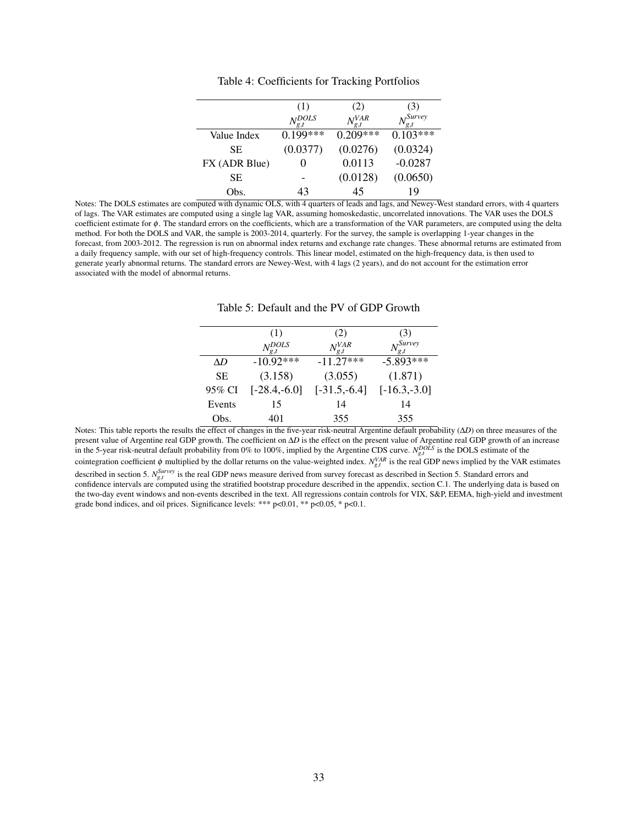<span id="page-33-0"></span>

|               | (1)        | (2)             | (3)                  |
|---------------|------------|-----------------|----------------------|
|               | $N^{DOLS}$ | $N_{g,t}^{VAR}$ | <sub>NI</sub> Survey |
| Value Index   | $0.199***$ | $0.209***$      | $0.103***$           |
| SE.           | (0.0377)   | (0.0276)        | (0.0324)             |
| FX (ADR Blue) |            | 0.0113          | $-0.0287$            |
| SЕ            |            | (0.0128)        | (0.0650)             |
| Obs.          | 43         | 45              | 19                   |

Table 4: Coefficients for Tracking Portfolios

<span id="page-33-1"></span>Notes: The DOLS estimates are computed with dynamic OLS, with 4 quarters of leads and lags, and Newey-West standard errors, with 4 quarters of lags. The VAR estimates are computed using a single lag VAR, assuming homoskedastic, uncorrelated innovations. The VAR uses the DOLS coefficient estimate for φ. The standard errors on the coefficients, which are a transformation of the VAR parameters, are computed using the delta method. For both the DOLS and VAR, the sample is 2003-2014, quarterly. For the survey, the sample is overlapping 1-year changes in the forecast, from 2003-2012. The regression is run on abnormal index returns and exchange rate changes. These abnormal returns are estimated from a daily frequency sample, with our set of high-frequency controls. This linear model, estimated on the high-frequency data, is then used to generate yearly abnormal returns. The standard errors are Newey-West, with 4 lags (2 years), and do not account for the estimation error associated with the model of abnormal returns.

|           | (1)              | (2)             | (3)                           |
|-----------|------------------|-----------------|-------------------------------|
|           | $N_{g,t}^{DOLS}$ | $N_{g,t}^{VAR}$ | $N_{\mathfrak{o} t}^{Survey}$ |
| AD        | $-10.92***$      | $-11.27***$     | $-5.893***$                   |
| <b>SE</b> | (3.158)          | (3.055)         | (1.871)                       |
| 95% CI    | $[-28.4,-6.0]$   | $[-31.5,-6.4]$  | $[-16.3,-3.0]$                |
| Events    | 15               | 14              | 14                            |
| Obs.      | 401              | 355             | 355                           |

Notes: This table reports the results the effect of changes in the five-year risk-neutral Argentine default probability (∆*D*) on three measures of the present value of Argentine real GDP growth. The coefficient on ∆*D* is the effect on the present value of Argentine real GDP growth of an increase in the 5-year risk-neutral default probability from 0% to 100%, implied by the Argentine CDS curve.  $N_{g,t}^{DOLS}$  is the DOLS estimate of the cointegration coefficient  $\phi$  multiplied by the dollar returns on the value-weighted index.  $N_{g,t}^{VAR}$  is the real GDP news implied by the VAR estimates described in section [5.](#page-15-0)  $N_{g,t}^{Survey}$  is the real GDP news measure derived from survey forecast as described in Section 5. Standard errors and confidence intervals are computed using the stratified bootstrap procedure described in the appendix, section [C.1.](#page-43-1) The underlying data is based on the two-day event windows and non-events described in the text. All regressions contain controls for VIX, S&P, EEMA, high-yield and investment grade bond indices, and oil prices. Significance levels: \*\*\* p<0.01, \*\* p<0.05, \* p<0.1.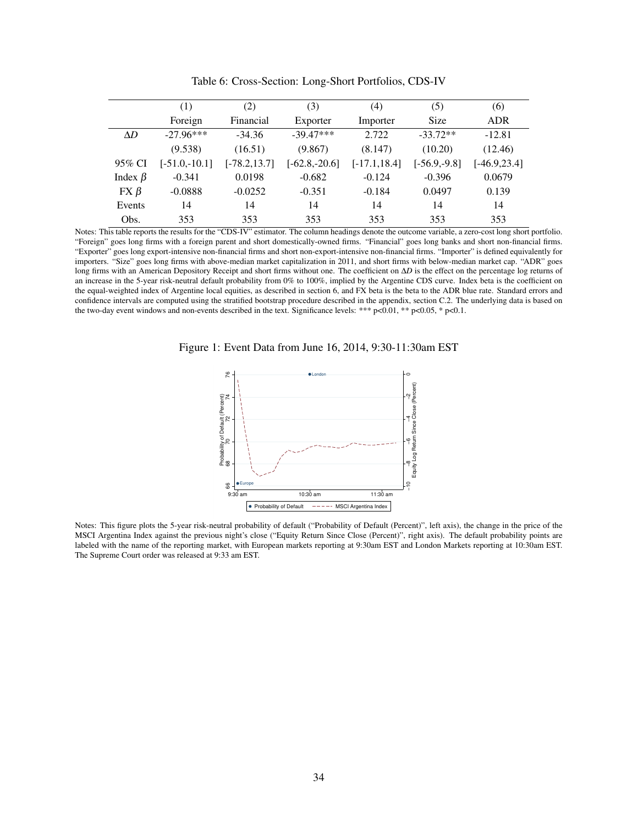<span id="page-34-1"></span>

|               | (1)             | (2)             | (3)             | (4)             | (5)            | (6)             |
|---------------|-----------------|-----------------|-----------------|-----------------|----------------|-----------------|
|               | Foreign         | Financial       | Exporter        | Importer        | Size           | <b>ADR</b>      |
| $\Delta D$    | $-27.96***$     | $-34.36$        | $-39.47***$     | 2.722           | $-33.72**$     | $-12.81$        |
|               | (9.538)         | (16.51)         | (9.867)         | (8.147)         | (10.20)        | (12.46)         |
| 95% CI        | $[-51.0,-10.1]$ | $[-78.2, 13.7]$ | $[-62.8,-20.6]$ | $[-17.1, 18.4]$ | $[-56.9,-9.8]$ | $[-46.9, 23.4]$ |
| Index $\beta$ | $-0.341$        | 0.0198          | $-0.682$        | $-0.124$        | $-0.396$       | 0.0679          |
| $FX \beta$    | $-0.0888$       | $-0.0252$       | $-0.351$        | $-0.184$        | 0.0497         | 0.139           |
| Events        | 14              | 14              | 14              | 14              | 14             | 14              |
| Obs.          | 353             | 353             | 353             | 353             | 353            | 353             |

Table 6: Cross-Section: Long-Short Portfolios, CDS-IV

Notes: This table reports the results for the "CDS-IV" estimator. The column headings denote the outcome variable, a zero-cost long short portfolio. "Foreign" goes long firms with a foreign parent and short domestically-owned firms. "Financial" goes long banks and short non-financial firms. "Exporter" goes long export-intensive non-financial firms and short non-export-intensive non-financial firms. "Importer" is defined equivalently for importers. "Size" goes long firms with above-median market capitalization in 2011, and short firms with below-median market cap. "ADR" goes long firms with an American Depository Receipt and short firms without one. The coefficient on ∆*D* is the effect on the percentage log returns of an increase in the 5-year risk-neutral default probability from 0% to 100%, implied by the Argentine CDS curve. Index beta is the coefficient on the equal-weighted index of Argentine local equities, as described in section [6,](#page-20-0) and FX beta is the beta to the ADR blue rate. Standard errors and confidence intervals are computed using the stratified bootstrap procedure described in the appendix, section [C.2.](#page-44-0) The underlying data is based on the two-day event windows and non-events described in the text. Significance levels: \*\*\* p<0.01, \*\* p<0.05, \* p<0.1.

<span id="page-34-0"></span>Figure 1: Event Data from June 16, 2014, 9:30-11:30am EST



Notes: This figure plots the 5-year risk-neutral probability of default ("Probability of Default (Percent)", left axis), the change in the price of the MSCI Argentina Index against the previous night's close ("Equity Return Since Close (Percent)", right axis). The default probability points are labeled with the name of the reporting market, with European markets reporting at 9:30am EST and London Markets reporting at 10:30am EST. The Supreme Court order was released at 9:33 am EST.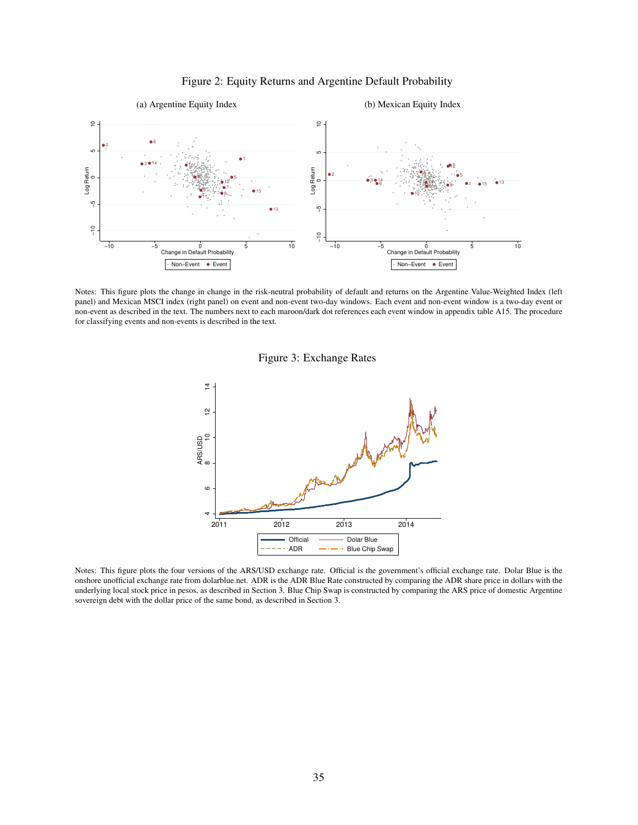<span id="page-35-1"></span>

<span id="page-35-2"></span><span id="page-35-0"></span>

<span id="page-35-3"></span>Notes: This figure plots the change in change in the risk-neutral probability of default and returns on the Argentine Value-Weighted Index (left panel) and Mexican MSCI index (right panel) on event and non-event two-day windows. Each event and non-event window is a two-day event or non-event as described in the text. The numbers next to each maroon/dark dot references each event window in appendix table [A15.](#page-74-1) The procedure for classifying events and non-events is described in the text.

Figure 3: Exchange Rates



Notes: This figure plots the four versions of the ARS/USD exchange rate. Official is the government's official exchange rate. Dolar Blue is the onshore unofficial exchange rate from dolarblue.net. ADR is the ADR Blue Rate constructed by comparing the ADR share price in dollars with the underlying local stock price in pesos, as described in Section 3. Blue Chip Swap is constructed by comparing the ARS price of domestic Argentine sovereign debt with the dollar price of the same bond, as described in Section 3.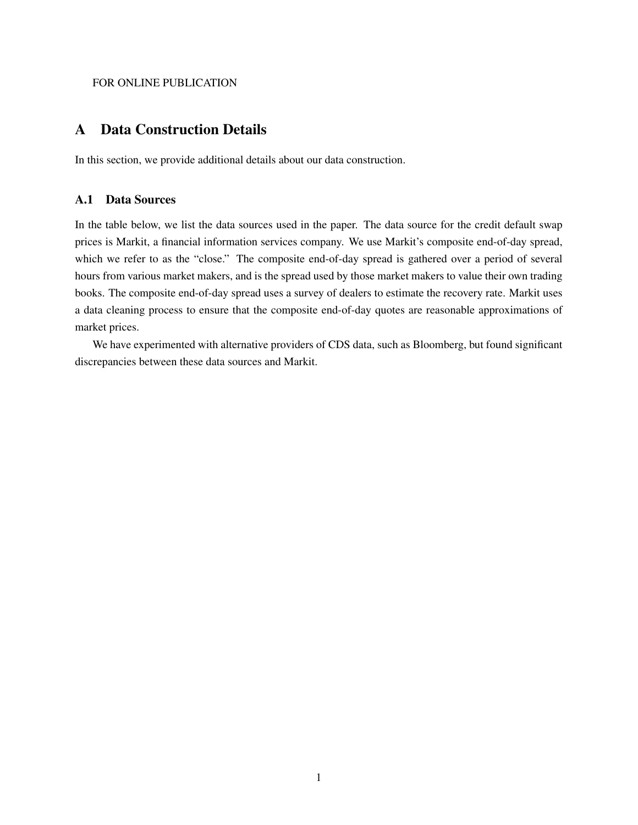#### FOR ONLINE PUBLICATION

## A Data Construction Details

In this section, we provide additional details about our data construction.

### A.1 Data Sources

In the table below, we list the data sources used in the paper. The data source for the credit default swap prices is Markit, a financial information services company. We use Markit's composite end-of-day spread, which we refer to as the "close." The composite end-of-day spread is gathered over a period of several hours from various market makers, and is the spread used by those market makers to value their own trading books. The composite end-of-day spread uses a survey of dealers to estimate the recovery rate. Markit uses a data cleaning process to ensure that the composite end-of-day quotes are reasonable approximations of market prices.

We have experimented with alternative providers of CDS data, such as Bloomberg, but found significant discrepancies between these data sources and Markit.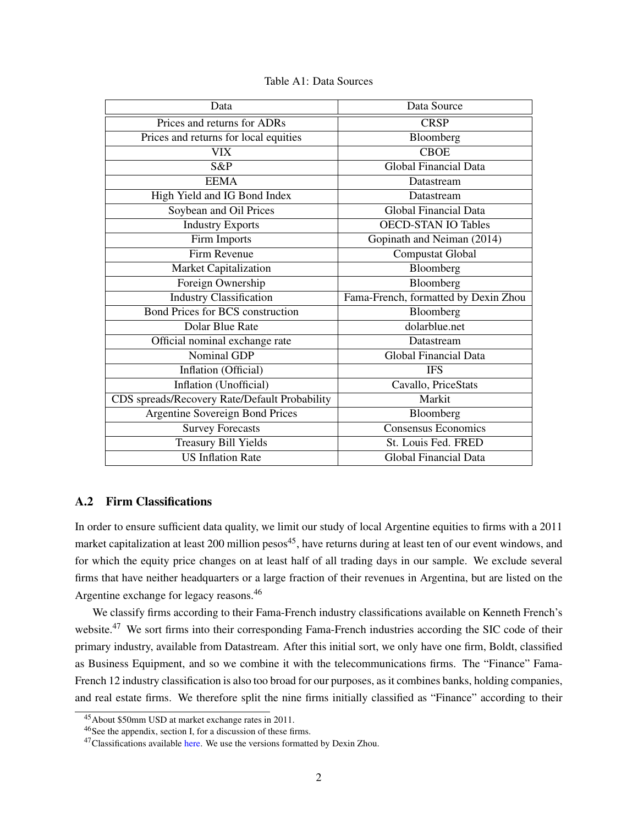| Data                                          | Data Source                          |  |  |  |
|-----------------------------------------------|--------------------------------------|--|--|--|
| Prices and returns for ADRs                   | <b>CRSP</b>                          |  |  |  |
| Prices and returns for local equities         | Bloomberg                            |  |  |  |
| <b>VIX</b>                                    | <b>CBOE</b>                          |  |  |  |
| S&P                                           | <b>Global Financial Data</b>         |  |  |  |
| <b>EEMA</b>                                   | Datastream                           |  |  |  |
| High Yield and IG Bond Index                  | Datastream                           |  |  |  |
| Soybean and Oil Prices                        | <b>Global Financial Data</b>         |  |  |  |
| <b>Industry Exports</b>                       | <b>OECD-STAN IO Tables</b>           |  |  |  |
| Firm Imports                                  | Gopinath and Neiman (2014)           |  |  |  |
| Firm Revenue                                  | Compustat Global                     |  |  |  |
| Market Capitalization                         | Bloomberg                            |  |  |  |
| Foreign Ownership                             | Bloomberg                            |  |  |  |
| <b>Industry Classification</b>                | Fama-French, formatted by Dexin Zhou |  |  |  |
| <b>Bond Prices for BCS construction</b>       | Bloomberg                            |  |  |  |
| Dolar Blue Rate                               | dolarblue.net                        |  |  |  |
| Official nominal exchange rate                | Datastream                           |  |  |  |
| Nominal GDP                                   | <b>Global Financial Data</b>         |  |  |  |
| Inflation (Official)                          | <b>IFS</b>                           |  |  |  |
| Inflation (Unofficial)                        | Cavallo, PriceStats                  |  |  |  |
| CDS spreads/Recovery Rate/Default Probability | Markit                               |  |  |  |
| <b>Argentine Sovereign Bond Prices</b>        | Bloomberg                            |  |  |  |
| <b>Survey Forecasts</b>                       | Consensus Economics                  |  |  |  |
| <b>Treasury Bill Yields</b>                   | St. Louis Fed. FRED                  |  |  |  |
| <b>US Inflation Rate</b>                      | <b>Global Financial Data</b>         |  |  |  |

Table A1: Data Sources

### A.2 Firm Classifications

In order to ensure sufficient data quality, we limit our study of local Argentine equities to firms with a 2011 market capitalization at least 200 million pesos<sup>[45](#page-37-0)</sup>, have returns during at least ten of our event windows, and for which the equity price changes on at least half of all trading days in our sample. We exclude several firms that have neither headquarters or a large fraction of their revenues in Argentina, but are listed on the Argentine exchange for legacy reasons.[46](#page-37-1)

We classify firms according to their Fama-French industry classifications available on Kenneth French's website.<sup>[47](#page-37-2)</sup> We sort firms into their corresponding Fama-French industries according the SIC code of their primary industry, available from Datastream. After this initial sort, we only have one firm, Boldt, classified as Business Equipment, and so we combine it with the telecommunications firms. The "Finance" Fama-French 12 industry classification is also too broad for our purposes, as it combines banks, holding companies, and real estate firms. We therefore split the nine firms initially classified as "Finance" according to their

<span id="page-37-0"></span><sup>45</sup>About \$50mm USD at market exchange rates in 2011.

<span id="page-37-1"></span><sup>46</sup>See the appendix, section [I,](#page-60-0) for a discussion of these firms.

<span id="page-37-2"></span><sup>&</sup>lt;sup>47</sup>Classifications available [here.](http://mba.tuck.dartmouth.edu/pages/faculty/ken.french/Data_Library/det_48_ind_port.html) We use the versions formatted by Dexin Zhou.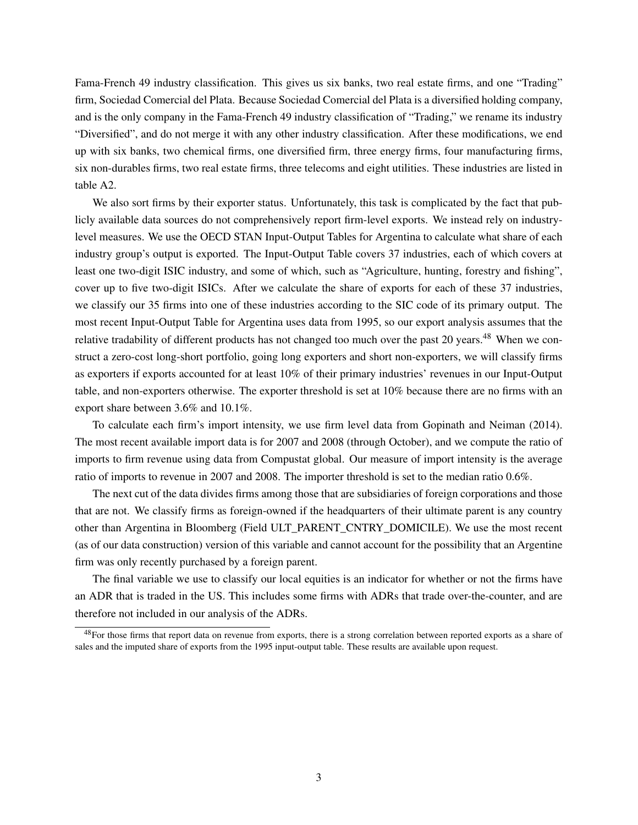Fama-French 49 industry classification. This gives us six banks, two real estate firms, and one "Trading" firm, Sociedad Comercial del Plata. Because Sociedad Comercial del Plata is a diversified holding company, and is the only company in the Fama-French 49 industry classification of "Trading," we rename its industry "Diversified", and do not merge it with any other industry classification. After these modifications, we end up with six banks, two chemical firms, one diversified firm, three energy firms, four manufacturing firms, six non-durables firms, two real estate firms, three telecoms and eight utilities. These industries are listed in table [A2.](#page-39-0)

We also sort firms by their exporter status. Unfortunately, this task is complicated by the fact that publicly available data sources do not comprehensively report firm-level exports. We instead rely on industrylevel measures. We use the OECD STAN Input-Output Tables for Argentina to calculate what share of each industry group's output is exported. The Input-Output Table covers 37 industries, each of which covers at least one two-digit ISIC industry, and some of which, such as "Agriculture, hunting, forestry and fishing", cover up to five two-digit ISICs. After we calculate the share of exports for each of these 37 industries, we classify our 35 firms into one of these industries according to the SIC code of its primary output. The most recent Input-Output Table for Argentina uses data from 1995, so our export analysis assumes that the relative tradability of different products has not changed too much over the past 20 years.<sup>[48](#page-38-0)</sup> When we construct a zero-cost long-short portfolio, going long exporters and short non-exporters, we will classify firms as exporters if exports accounted for at least 10% of their primary industries' revenues in our Input-Output table, and non-exporters otherwise. The exporter threshold is set at 10% because there are no firms with an export share between 3.6% and 10.1%.

To calculate each firm's import intensity, we use firm level data from [Gopinath and Neiman](#page-29-0) [\(2014\)](#page-29-0). The most recent available import data is for 2007 and 2008 (through October), and we compute the ratio of imports to firm revenue using data from Compustat global. Our measure of import intensity is the average ratio of imports to revenue in 2007 and 2008. The importer threshold is set to the median ratio 0.6%.

The next cut of the data divides firms among those that are subsidiaries of foreign corporations and those that are not. We classify firms as foreign-owned if the headquarters of their ultimate parent is any country other than Argentina in Bloomberg (Field ULT\_PARENT\_CNTRY\_DOMICILE). We use the most recent (as of our data construction) version of this variable and cannot account for the possibility that an Argentine firm was only recently purchased by a foreign parent.

The final variable we use to classify our local equities is an indicator for whether or not the firms have an ADR that is traded in the US. This includes some firms with ADRs that trade over-the-counter, and are therefore not included in our analysis of the ADRs.

<span id="page-38-0"></span> $48$ For those firms that report data on revenue from exports, there is a strong correlation between reported exports as a share of sales and the imputed share of exports from the 1995 input-output table. These results are available upon request.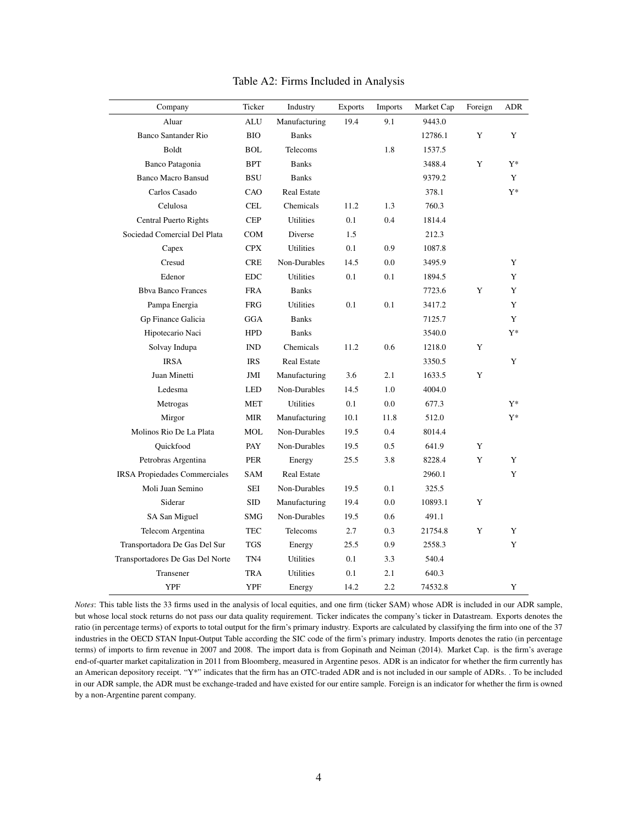<span id="page-39-0"></span>

| Company                              | Ticker          | Industry           | <b>Exports</b> | <b>Imports</b> | Market Cap | Foreign | ADR   |
|--------------------------------------|-----------------|--------------------|----------------|----------------|------------|---------|-------|
| Aluar                                | <b>ALU</b>      | Manufacturing      | 19.4           | 9.1            | 9443.0     |         |       |
| <b>Banco Santander Rio</b>           | <b>BIO</b>      | <b>Banks</b>       |                |                | 12786.1    | Y       | Y     |
| Boldt                                | <b>BOL</b>      | Telecoms           |                | 1.8            | 1537.5     |         |       |
| Banco Patagonia                      | <b>BPT</b>      | <b>Banks</b>       |                |                | 3488.4     | Y       | $Y^*$ |
| <b>Banco Macro Bansud</b>            | <b>BSU</b>      | <b>Banks</b>       |                |                | 9379.2     |         | Y     |
| Carlos Casado                        | CAO             | <b>Real Estate</b> |                |                | 378.1      |         | $Y^*$ |
| Celulosa                             | <b>CEL</b>      | Chemicals          | 11.2           | 1.3            | 760.3      |         |       |
| Central Puerto Rights                | <b>CEP</b>      | Utilities          | 0.1            | 0.4            | 1814.4     |         |       |
| Sociedad Comercial Del Plata         | <b>COM</b>      | Diverse            | 1.5            |                | 212.3      |         |       |
| Capex                                | <b>CPX</b>      | <b>Utilities</b>   | 0.1            | 0.9            | 1087.8     |         |       |
| Cresud                               | <b>CRE</b>      | Non-Durables       | 14.5           | 0.0            | 3495.9     |         | Y     |
| Edenor                               | <b>EDC</b>      | <b>Utilities</b>   | 0.1            | 0.1            | 1894.5     |         | Y     |
| <b>Bbva Banco Frances</b>            | <b>FRA</b>      | <b>Banks</b>       |                |                | 7723.6     | Y       | Y     |
| Pampa Energia                        | <b>FRG</b>      | Utilities          | 0.1            | 0.1            | 3417.2     |         | Y     |
| Gp Finance Galicia                   | <b>GGA</b>      | <b>Banks</b>       |                |                | 7125.7     |         | Y     |
| Hipotecario Naci                     | <b>HPD</b>      | <b>Banks</b>       |                |                | 3540.0     |         | $Y^*$ |
| Solvay Indupa                        | <b>IND</b>      | Chemicals          | 11.2           | 0.6            | 1218.0     | Y       |       |
| <b>IRSA</b>                          | <b>IRS</b>      | <b>Real Estate</b> |                |                | 3350.5     |         | Y     |
| Juan Minetti                         | JMI             | Manufacturing      | 3.6            | 2.1            | 1633.5     | Y       |       |
| Ledesma                              | <b>LED</b>      | Non-Durables       | 14.5           | 1.0            | 4004.0     |         |       |
| Metrogas                             | MET             | <b>Utilities</b>   | 0.1            | 0.0            | 677.3      |         | Y*    |
| Mirgor                               | <b>MIR</b>      | Manufacturing      | 10.1           | 11.8           | 512.0      |         | $Y^*$ |
| Molinos Rio De La Plata              | MOL             | Non-Durables       | 19.5           | 0.4            | 8014.4     |         |       |
| Quickfood                            | PAY             | Non-Durables       | 19.5           | 0.5            | 641.9      | Y       |       |
| Petrobras Argentina                  | <b>PER</b>      | Energy             | 25.5           | 3.8            | 8228.4     | Y       | Y     |
| <b>IRSA Propiedades Commerciales</b> | <b>SAM</b>      | <b>Real Estate</b> |                |                | 2960.1     |         | Y     |
| Moli Juan Semino                     | <b>SEI</b>      | Non-Durables       | 19.5           | 0.1            | 325.5      |         |       |
| Siderar                              | <b>SID</b>      | Manufacturing      | 19.4           | 0.0            | 10893.1    | Y       |       |
| SA San Miguel                        | SMG             | Non-Durables       | 19.5           | 0.6            | 491.1      |         |       |
| Telecom Argentina                    | <b>TEC</b>      | Telecoms           | 2.7            | 0.3            | 21754.8    | Y       | Y     |
| Transportadora De Gas Del Sur        | <b>TGS</b>      | Energy             | 25.5           | 0.9            | 2558.3     |         | Y     |
| Transportadores De Gas Del Norte     | TN <sub>4</sub> | <b>Utilities</b>   | 0.1            | 3.3            | 540.4      |         |       |
| Transener                            | <b>TRA</b>      | Utilities          | 0.1            | 2.1            | 640.3      |         |       |
| <b>YPF</b>                           | YPF             | Energy             | 14.2           | 2.2            | 74532.8    |         | Y     |

Table A2: Firms Included in Analysis

*Notes*: This table lists the 33 firms used in the analysis of local equities, and one firm (ticker SAM) whose ADR is included in our ADR sample, but whose local stock returns do not pass our data quality requirement. Ticker indicates the company's ticker in Datastream. Exports denotes the ratio (in percentage terms) of exports to total output for the firm's primary industry. Exports are calculated by classifying the firm into one of the 37 industries in the OECD STAN Input-Output Table according the SIC code of the firm's primary industry. Imports denotes the ratio (in percentage terms) of imports to firm revenue in 2007 and 2008. The import data is from [Gopinath and Neiman](#page-29-0) [\(2014\)](#page-29-0). Market Cap. is the firm's average end-of-quarter market capitalization in 2011 from Bloomberg, measured in Argentine pesos. ADR is an indicator for whether the firm currently has an American depository receipt. "Y\*" indicates that the firm has an OTC-traded ADR and is not included in our sample of ADRs. . To be included in our ADR sample, the ADR must be exchange-traded and have existed for our entire sample. Foreign is an indicator for whether the firm is owned by a non-Argentine parent company.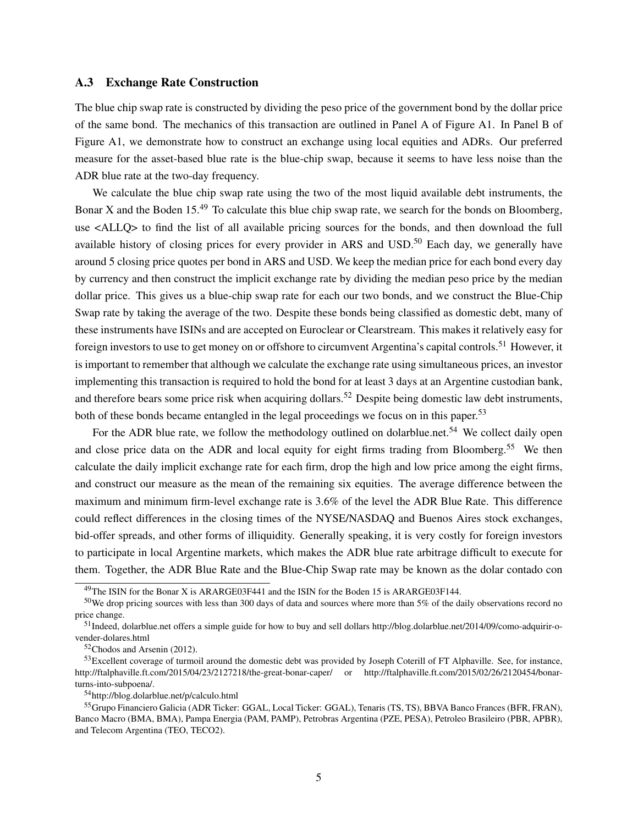### A.3 Exchange Rate Construction

The blue chip swap rate is constructed by dividing the peso price of the government bond by the dollar price of the same bond. The mechanics of this transaction are outlined in Panel A of Figure [A1.](#page-42-0) In Panel B of Figure [A1,](#page-42-0) we demonstrate how to construct an exchange using local equities and ADRs. Our preferred measure for the asset-based blue rate is the blue-chip swap, because it seems to have less noise than the ADR blue rate at the two-day frequency.

We calculate the blue chip swap rate using the two of the most liquid available debt instruments, the Bonar X and the Boden  $15^{49}$  $15^{49}$  $15^{49}$  To calculate this blue chip swap rate, we search for the bonds on Bloomberg, use <ALLQ> to find the list of all available pricing sources for the bonds, and then download the full available history of closing prices for every provider in ARS and USD.<sup>[50](#page-40-1)</sup> Each day, we generally have around 5 closing price quotes per bond in ARS and USD. We keep the median price for each bond every day by currency and then construct the implicit exchange rate by dividing the median peso price by the median dollar price. This gives us a blue-chip swap rate for each our two bonds, and we construct the Blue-Chip Swap rate by taking the average of the two. Despite these bonds being classified as domestic debt, many of these instruments have ISINs and are accepted on Euroclear or Clearstream. This makes it relatively easy for foreign investors to use to get money on or offshore to circumvent Argentina's capital controls.<sup>[51](#page-40-2)</sup> However, it is important to remember that although we calculate the exchange rate using simultaneous prices, an investor implementing this transaction is required to hold the bond for at least 3 days at an Argentine custodian bank, and therefore bears some price risk when acquiring dollars.<sup>[52](#page-40-3)</sup> Despite being domestic law debt instruments, both of these bonds became entangled in the legal proceedings we focus on in this paper.<sup>[53](#page-40-4)</sup>

For the ADR blue rate, we follow the methodology outlined on dolarblue.net.<sup>[54](#page-40-5)</sup> We collect daily open and close price data on the ADR and local equity for eight firms trading from Bloomberg.<sup>[55](#page-40-6)</sup> We then calculate the daily implicit exchange rate for each firm, drop the high and low price among the eight firms, and construct our measure as the mean of the remaining six equities. The average difference between the maximum and minimum firm-level exchange rate is 3.6% of the level the ADR Blue Rate. This difference could reflect differences in the closing times of the NYSE/NASDAQ and Buenos Aires stock exchanges, bid-offer spreads, and other forms of illiquidity. Generally speaking, it is very costly for foreign investors to participate in local Argentine markets, which makes the ADR blue rate arbitrage difficult to execute for them. Together, the ADR Blue Rate and the Blue-Chip Swap rate may be known as the dolar contado con

<span id="page-40-1"></span><span id="page-40-0"></span><sup>&</sup>lt;sup>49</sup>The ISIN for the Bonar X is ARARGE03F441 and the ISIN for the Boden 15 is ARARGE03F144.

 $50$ We drop pricing sources with less than 300 days of data and sources where more than  $5\%$  of the daily observations record no price change.

<span id="page-40-2"></span><sup>51</sup>Indeed, dolarblue.net offers a simple guide for how to buy and sell dollars http://blog.dolarblue.net/2014/09/como-adquirir-ovender-dolares.html

<span id="page-40-4"></span><span id="page-40-3"></span><sup>52</sup>[Chodos and Arsenin](#page-28-0) [\(2012\)](#page-28-0).

 $53$  Excellent coverage of turmoil around the domestic debt was provided by Joseph Coterill of FT Alphaville. See, for instance, http://ftalphaville.ft.com/2015/04/23/2127218/the-great-bonar-caper/ or http://ftalphaville.ft.com/2015/02/26/2120454/bonarturns-into-subpoena/.

<span id="page-40-6"></span><span id="page-40-5"></span><sup>54</sup>http://blog.dolarblue.net/p/calculo.html

<sup>55</sup>Grupo Financiero Galicia (ADR Ticker: GGAL, Local Ticker: GGAL), Tenaris (TS, TS), BBVA Banco Frances (BFR, FRAN), Banco Macro (BMA, BMA), Pampa Energia (PAM, PAMP), Petrobras Argentina (PZE, PESA), Petroleo Brasileiro (PBR, APBR), and Telecom Argentina (TEO, TECO2).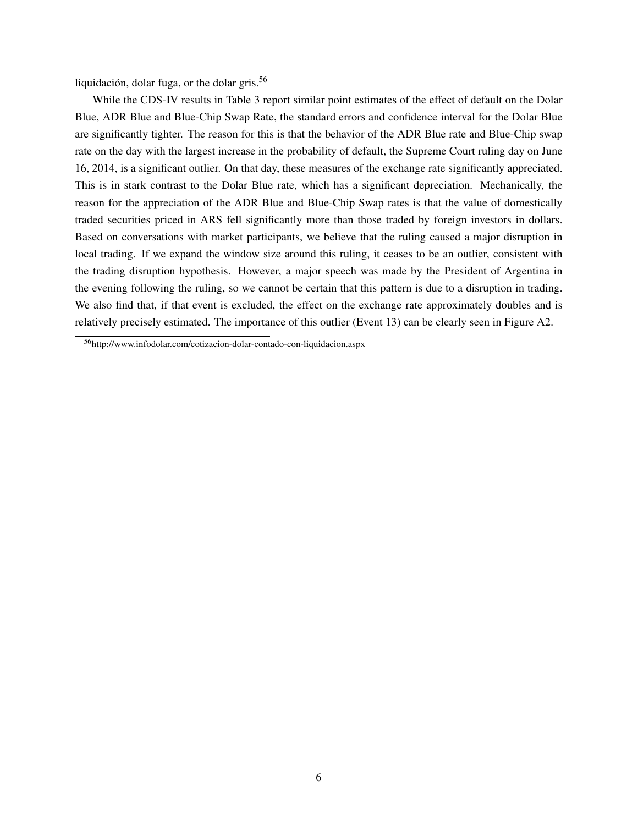liquidación, dolar fuga, or the dolar gris.[56](#page-41-0)

While the CDS-IV results in Table [3](#page-32-0) report similar point estimates of the effect of default on the Dolar Blue, ADR Blue and Blue-Chip Swap Rate, the standard errors and confidence interval for the Dolar Blue are significantly tighter. The reason for this is that the behavior of the ADR Blue rate and Blue-Chip swap rate on the day with the largest increase in the probability of default, the Supreme Court ruling day on June 16, 2014, is a significant outlier. On that day, these measures of the exchange rate significantly appreciated. This is in stark contrast to the Dolar Blue rate, which has a significant depreciation. Mechanically, the reason for the appreciation of the ADR Blue and Blue-Chip Swap rates is that the value of domestically traded securities priced in ARS fell significantly more than those traded by foreign investors in dollars. Based on conversations with market participants, we believe that the ruling caused a major disruption in local trading. If we expand the window size around this ruling, it ceases to be an outlier, consistent with the trading disruption hypothesis. However, a major speech was made by the President of Argentina in the evening following the ruling, so we cannot be certain that this pattern is due to a disruption in trading. We also find that, if that event is excluded, the effect on the exchange rate approximately doubles and is relatively precisely estimated. The importance of this outlier (Event 13) can be clearly seen in Figure [A2.](#page-43-0)

<span id="page-41-0"></span><sup>56</sup>http://www.infodolar.com/cotizacion-dolar-contado-con-liquidacion.aspx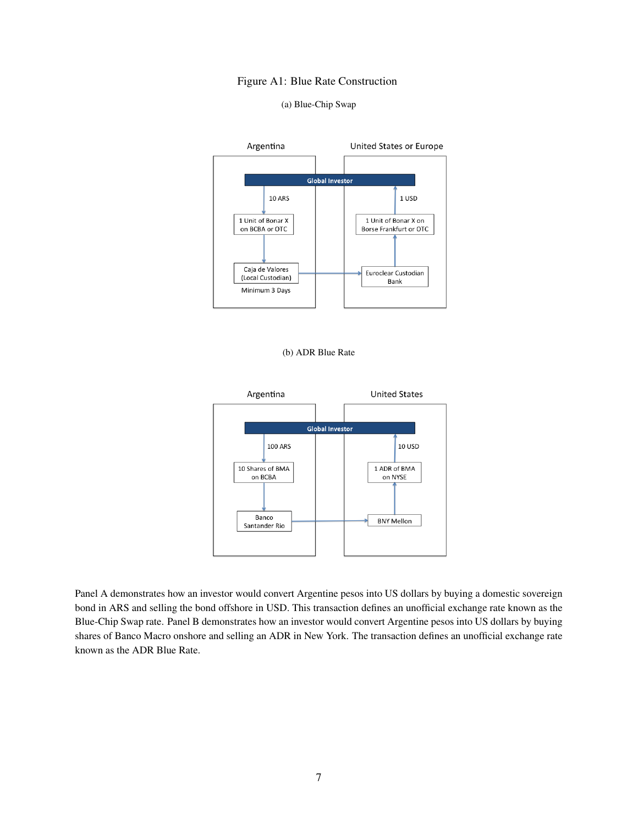### Figure A1: Blue Rate Construction

#### (a) Blue-Chip Swap

<span id="page-42-0"></span>





Panel A demonstrates how an investor would convert Argentine pesos into US dollars by buying a domestic sovereign bond in ARS and selling the bond offshore in USD. This transaction defines an unofficial exchange rate known as the Blue-Chip Swap rate. Panel B demonstrates how an investor would convert Argentine pesos into US dollars by buying shares of Banco Macro onshore and selling an ADR in New York. The transaction defines an unofficial exchange rate known as the ADR Blue Rate.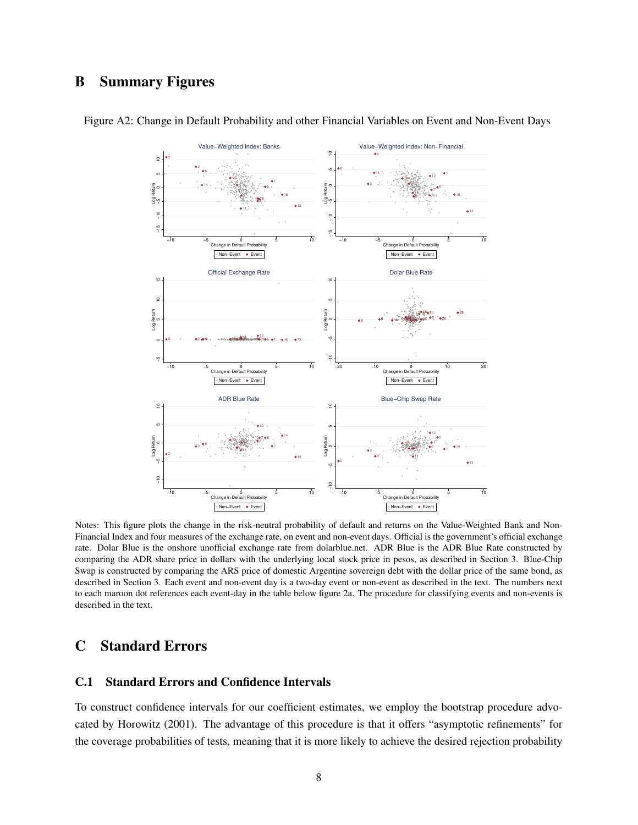# B Summary Figures



<span id="page-43-0"></span>Figure A2: Change in Default Probability and other Financial Variables on Event and Non-Event Days

Notes: This figure plots the change in the risk-neutral probability of default and returns on the Value-Weighted Bank and Non-Financial Index and four measures of the exchange rate, on event and non-event days. Official is the government's official exchange rate. Dolar Blue is the onshore unofficial exchange rate from dolarblue.net. ADR Blue is the ADR Blue Rate constructed by comparing the ADR share price in dollars with the underlying local stock price in pesos, as described in Section 3. Blue-Chip Swap is constructed by comparing the ARS price of domestic Argentine sovereign debt with the dollar price of the same bond, as described in Section 3. Each event and non-event day is a two-day event or non-event as described in the text. The numbers next to each maroon dot references each event-day in the table below figure [2a.](#page-35-0) The procedure for classifying events and non-events is described in the text.

## C Standard Errors

### <span id="page-43-1"></span>C.1 Standard Errors and Confidence Intervals

To construct confidence intervals for our coefficient estimates, we employ the bootstrap procedure advocated by [Horowitz](#page-29-1) [\(2001\)](#page-29-1). The advantage of this procedure is that it offers "asymptotic refinements" for the coverage probabilities of tests, meaning that it is more likely to achieve the desired rejection probability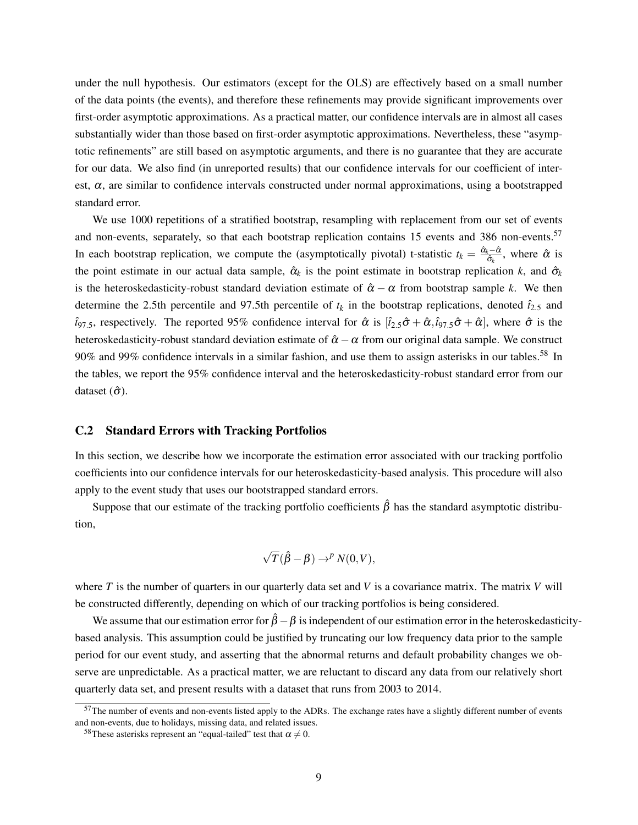under the null hypothesis. Our estimators (except for the OLS) are effectively based on a small number of the data points (the events), and therefore these refinements may provide significant improvements over first-order asymptotic approximations. As a practical matter, our confidence intervals are in almost all cases substantially wider than those based on first-order asymptotic approximations. Nevertheless, these "asymptotic refinements" are still based on asymptotic arguments, and there is no guarantee that they are accurate for our data. We also find (in unreported results) that our confidence intervals for our coefficient of interest,  $\alpha$ , are similar to confidence intervals constructed under normal approximations, using a bootstrapped standard error.

We use 1000 repetitions of a stratified bootstrap, resampling with replacement from our set of events and non-events, separately, so that each bootstrap replication contains 15 events and 386 non-events.<sup>[57](#page-44-0)</sup> In each bootstrap replication, we compute the (asymptotically pivotal) t-statistic  $t_k = \frac{\hat{\alpha}_k - \hat{\alpha}_k}{\hat{\sigma}_k}$  $rac{\lambda}{\hat{\sigma}_k}$ , where  $\hat{\alpha}$  is the point estimate in our actual data sample,  $\hat{\alpha}_k$  is the point estimate in bootstrap replication *k*, and  $\hat{\sigma}_k$ is the heteroskedasticity-robust standard deviation estimate of  $\hat{\alpha} - \alpha$  from bootstrap sample k. We then determine the 2.5th percentile and 97.5th percentile of  $t_k$  in the bootstrap replications, denoted  $\hat{t}_{2.5}$  and  $\hat{t}_{97.5}$ , respectively. The reported 95% confidence interval for  $\hat{\alpha}$  is  $[\hat{t}_{2.5}\hat{\sigma}+\hat{\alpha}, \hat{t}_{97.5}\hat{\sigma}+\hat{\alpha}]$ , where  $\hat{\sigma}$  is the heteroskedasticity-robust standard deviation estimate of  $\hat{\alpha} - \alpha$  from our original data sample. We construct 90% and 99% confidence intervals in a similar fashion, and use them to assign asterisks in our tables.[58](#page-44-1) In the tables, we report the 95% confidence interval and the heteroskedasticity-robust standard error from our dataset  $(\hat{\sigma})$ .

### <span id="page-44-2"></span>C.2 Standard Errors with Tracking Portfolios

In this section, we describe how we incorporate the estimation error associated with our tracking portfolio coefficients into our confidence intervals for our heteroskedasticity-based analysis. This procedure will also apply to the event study that uses our bootstrapped standard errors.

Suppose that our estimate of the tracking portfolio coefficients  $\hat{\beta}$  has the standard asymptotic distribution,

$$
\sqrt{T}(\hat{\beta}-\beta) \to^p N(0,V),
$$

where *T* is the number of quarters in our quarterly data set and *V* is a covariance matrix. The matrix *V* will be constructed differently, depending on which of our tracking portfolios is being considered.

We assume that our estimation error for  $\hat{\beta} - \beta$  is independent of our estimation error in the heteroskedasticitybased analysis. This assumption could be justified by truncating our low frequency data prior to the sample period for our event study, and asserting that the abnormal returns and default probability changes we observe are unpredictable. As a practical matter, we are reluctant to discard any data from our relatively short quarterly data set, and present results with a dataset that runs from 2003 to 2014.

<span id="page-44-0"></span> $57$ The number of events and non-events listed apply to the ADRs. The exchange rates have a slightly different number of events and non-events, due to holidays, missing data, and related issues.

<span id="page-44-1"></span><sup>&</sup>lt;sup>58</sup>These asterisks represent an "equal-tailed" test that  $\alpha \neq 0$ .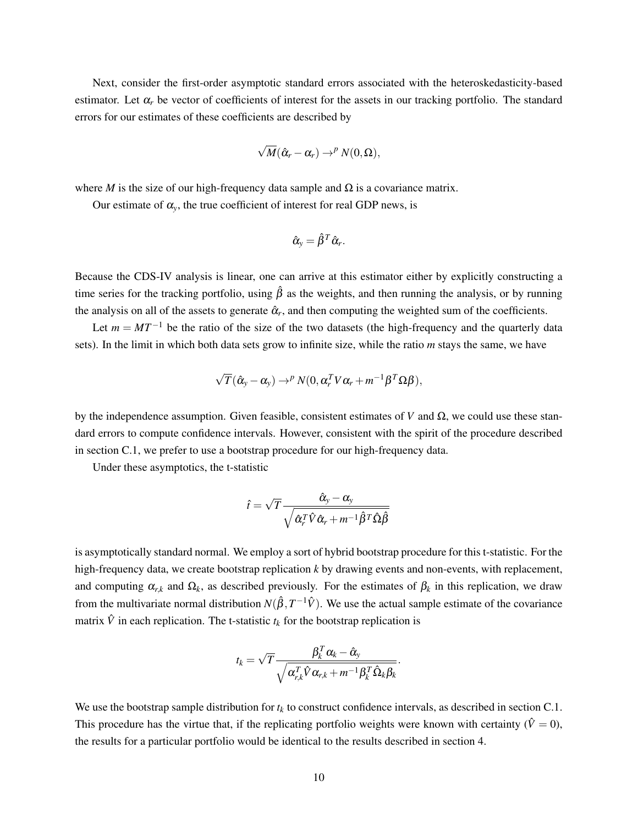Next, consider the first-order asymptotic standard errors associated with the heteroskedasticity-based estimator. Let  $\alpha_r$  be vector of coefficients of interest for the assets in our tracking portfolio. The standard errors for our estimates of these coefficients are described by

$$
\sqrt{M}(\hat{\alpha}_r - \alpha_r) \to^p N(0, \Omega),
$$

where *M* is the size of our high-frequency data sample and  $\Omega$  is a covariance matrix.

Our estimate of  $\alpha_y$ , the true coefficient of interest for real GDP news, is

$$
\hat{\alpha}_y = \hat{\beta}^T \hat{\alpha}_r.
$$

Because the CDS-IV analysis is linear, one can arrive at this estimator either by explicitly constructing a time series for the tracking portfolio, using  $\hat{\beta}$  as the weights, and then running the analysis, or by running the analysis on all of the assets to generate  $\hat{\alpha}_r$ , and then computing the weighted sum of the coefficients.

Let  $m = MT^{-1}$  be the ratio of the size of the two datasets (the high-frequency and the quarterly data sets). In the limit in which both data sets grow to infinite size, while the ratio *m* stays the same, we have

$$
\sqrt{T}(\hat{\alpha}_y - \alpha_y) \rightarrow^p N(0, \alpha_r^T V \alpha_r + m^{-1} \beta^T \Omega \beta),
$$

by the independence assumption. Given feasible, consistent estimates of *V* and  $\Omega$ , we could use these standard errors to compute confidence intervals. However, consistent with the spirit of the procedure described in section [C.1,](#page-43-1) we prefer to use a bootstrap procedure for our high-frequency data.

Under these asymptotics, the t-statistic

$$
\hat{t}=\sqrt{T}\frac{\hat{\alpha}_{\mathrm{y}}-\alpha_{\mathrm{y}}}{\sqrt{\hat{\alpha}_{r}^{T}\hat{V}\hat{\alpha}_{r}+m^{-1}\hat{\beta}^{T}\hat{\Omega}\hat{\beta}}}
$$

is asymptotically standard normal. We employ a sort of hybrid bootstrap procedure for this t-statistic. For the high-frequency data, we create bootstrap replication *k* by drawing events and non-events, with replacement, and computing  $\alpha_{r,k}$  and  $\Omega_k$ , as described previously. For the estimates of  $\beta_k$  in this replication, we draw from the multivariate normal distribution  $N(\hat{\beta}, T^{-1}\hat{V})$ . We use the actual sample estimate of the covariance matrix  $\hat{V}$  in each replication. The t-statistic  $t_k$  for the bootstrap replication is

$$
t_k = \sqrt{T} \frac{\beta_k^T \alpha_k - \hat{\alpha}_{\textnormal{\textsc{y}}}}{\sqrt{\alpha_{\textnormal{\textsc{r}},k}^T \hat{V} \alpha_{\textnormal{\textsc{r}},k} + m^{-1} \beta_k^T \hat{\Omega}_{k} \beta_k}}
$$

.

We use the bootstrap sample distribution for  $t_k$  to construct confidence intervals, as described in section [C.1.](#page-43-1) This procedure has the virtue that, if the replicating portfolio weights were known with certainty ( $\hat{V} = 0$ ), the results for a particular portfolio would be identical to the results described in section [4.](#page-11-0)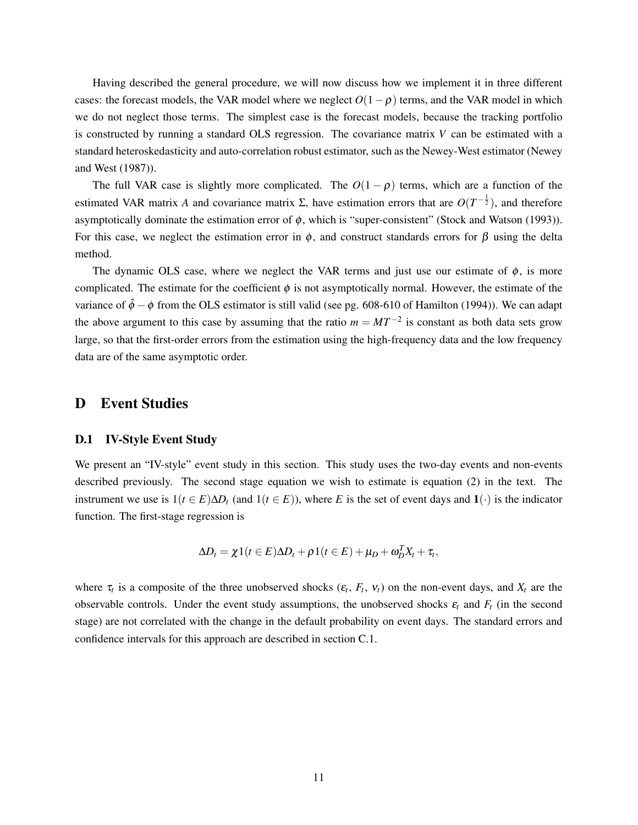Having described the general procedure, we will now discuss how we implement it in three different cases: the forecast models, the VAR model where we neglect  $O(1-\rho)$  terms, and the VAR model in which we do not neglect those terms. The simplest case is the forecast models, because the tracking portfolio is constructed by running a standard OLS regression. The covariance matrix *V* can be estimated with a standard heteroskedasticity and auto-correlation robust estimator, such as the Newey-West estimator [\(Newey](#page-29-2) [and West](#page-29-2) [\(1987\)](#page-29-2)).

The full VAR case is slightly more complicated. The  $O(1 - \rho)$  terms, which are a function of the estimated VAR matrix *A* and covariance matrix  $\Sigma$ , have estimation errors that are  $O(T^{-\frac{1}{2}})$ , and therefore asymptotically dominate the estimation error of  $\phi$ , which is "super-consistent" [\(Stock and Watson](#page-30-0) [\(1993\)](#page-30-0)). For this case, we neglect the estimation error in  $\phi$ , and construct standards errors for  $\beta$  using the delta method.

The dynamic OLS case, where we neglect the VAR terms and just use our estimate of  $\phi$ , is more complicated. The estimate for the coefficient  $\phi$  is not asymptotically normal. However, the estimate of the variance of  $\hat{\phi} - \phi$  from the OLS estimator is still valid (see pg. 608-610 of [Hamilton](#page-29-3) [\(1994\)](#page-29-3)). We can adapt the above argument to this case by assuming that the ratio  $m = MT^{-2}$  is constant as both data sets grow large, so that the first-order errors from the estimation using the high-frequency data and the low frequency data are of the same asymptotic order.

## D Event Studies

#### D.1 IV-Style Event Study

We present an "IV-style" event study in this section. This study uses the two-day events and non-events described previously. The second stage equation we wish to estimate is equation [\(2\)](#page-11-1) in the text. The instrument we use is  $1(t \in E)\Delta D_t$  (and  $1(t \in E)$ ), where *E* is the set of event days and  $1(\cdot)$  is the indicator function. The first-stage regression is

$$
\Delta D_t = \chi \mathbb{1}(t \in E) \Delta D_t + \rho \mathbb{1}(t \in E) + \mu_D + \omega_D^T X_t + \tau_t,
$$

where  $\tau_t$  is a composite of the three unobserved shocks  $(\varepsilon_t, F_t, v_t)$  on the non-event days, and  $X_t$  are the observable controls. Under the event study assumptions, the unobserved shocks  $\varepsilon_t$  and  $F_t$  (in the second stage) are not correlated with the change in the default probability on event days. The standard errors and confidence intervals for this approach are described in section [C.1.](#page-43-1)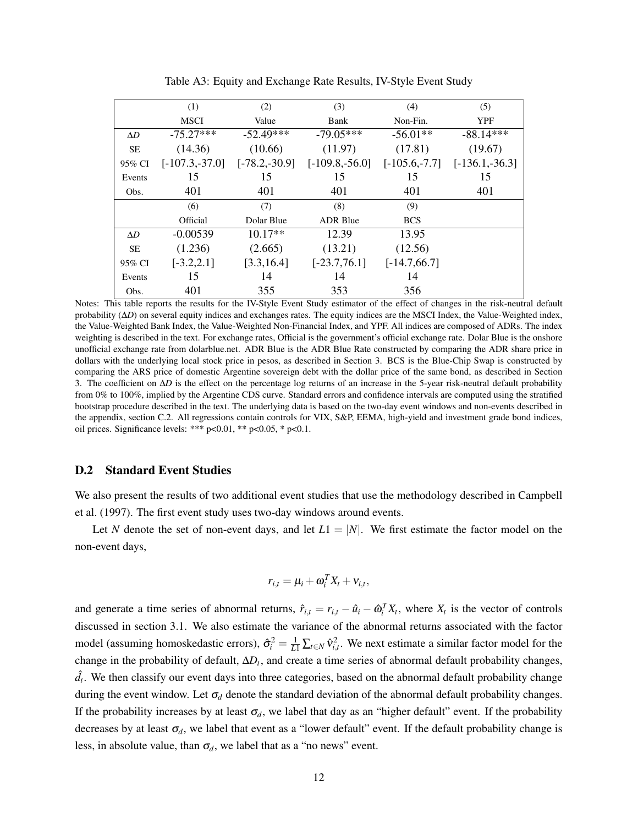|            | (1)              | (2)             | (3)               | (4)            | (5)                                |
|------------|------------------|-----------------|-------------------|----------------|------------------------------------|
|            | <b>MSCI</b>      | Value           | Bank              | Non-Fin.       | <b>YPF</b>                         |
| $\Delta D$ | $-75.27***$      | $-52.49***$     | $-79.05***$       | $-56.01**$     | $-88.14***$                        |
| <b>SE</b>  | (14.36)          | (10.66)         | (11.97)           | (17.81)        | (19.67)                            |
| 95% CI     | $[-107.3,-37.0]$ | $[-78.2,-30.9]$ | $[-109.8, -56.0]$ |                | $[-105.6, -7.7]$ $[-136.1, -36.3]$ |
| Events     | 15               | 15              | 15                | 15             | 15                                 |
| Obs.       | 401              | 401             | 401               | 401            | 401                                |
|            | (6)              | (7)             | (8)               | (9)            |                                    |
|            | Official         | Dolar Blue      | <b>ADR Blue</b>   | <b>BCS</b>     |                                    |
| $\Delta D$ | $-0.00539$       | $10.17**$       | 12.39             | 13.95          |                                    |
| <b>SE</b>  | (1.236)          | (2.665)         | (13.21)           | (12.56)        |                                    |
| 95% CI     | $[-3.2, 2.1]$    | [3.3, 16.4]     | $[-23.7,76.1]$    | $[-14.7,66.7]$ |                                    |
| Events     | 15               | 14              | 14                | 14             |                                    |
| Obs.       | 401              | 355             | 353               | 356            |                                    |

Table A3: Equity and Exchange Rate Results, IV-Style Event Study

Notes: This table reports the results for the IV-Style Event Study estimator of the effect of changes in the risk-neutral default probability (∆*D*) on several equity indices and exchanges rates. The equity indices are the MSCI Index, the Value-Weighted index, the Value-Weighted Bank Index, the Value-Weighted Non-Financial Index, and YPF. All indices are composed of ADRs. The index weighting is described in the text. For exchange rates, Official is the government's official exchange rate. Dolar Blue is the onshore unofficial exchange rate from dolarblue.net. ADR Blue is the ADR Blue Rate constructed by comparing the ADR share price in dollars with the underlying local stock price in pesos, as described in Section 3. BCS is the Blue-Chip Swap is constructed by comparing the ARS price of domestic Argentine sovereign debt with the dollar price of the same bond, as described in Section 3. The coefficient on ∆*D* is the effect on the percentage log returns of an increase in the 5-year risk-neutral default probability from 0% to 100%, implied by the Argentine CDS curve. Standard errors and confidence intervals are computed using the stratified bootstrap procedure described in the text. The underlying data is based on the two-day event windows and non-events described in the appendix, section [C.2.](#page-44-2) All regressions contain controls for VIX, S&P, EEMA, high-yield and investment grade bond indices, oil prices. Significance levels: \*\*\* p<0.01, \*\* p<0.05, \* p<0.1.

### D.2 Standard Event Studies

We also present the results of two additional event studies that use the methodology described in [Campbell](#page-28-1) [et al.](#page-28-1) [\(1997\)](#page-28-1). The first event study uses two-day windows around events.

Let *N* denote the set of non-event days, and let  $L1 = |N|$ . We first estimate the factor model on the non-event days,

$$
r_{i,t} = \mu_i + \omega_i^T X_t + v_{i,t},
$$

and generate a time series of abnormal returns,  $\hat{r}_{i,t} = r_{i,t} - \hat{u}_i - \hat{\omega}_i^T X_t$ , where  $X_t$  is the vector of controls discussed in section [3.1.](#page-6-0) We also estimate the variance of the abnormal returns associated with the factor model (assuming homoskedastic errors),  $\hat{\sigma}_i^2 = \frac{1}{L} \sum_{t \in N} \hat{v}_{i,t}^2$ . We next estimate a similar factor model for the change in the probability of default, ∆*D<sup>t</sup>* , and create a time series of abnormal default probability changes,  $\hat{d}_t$ . We then classify our event days into three categories, based on the abnormal default probability change during the event window. Let  $\sigma_d$  denote the standard deviation of the abnormal default probability changes. If the probability increases by at least  $\sigma_d$ , we label that day as an "higher default" event. If the probability decreases by at least  $\sigma_d$ , we label that event as a "lower default" event. If the default probability change is less, in absolute value, than  $\sigma_d$ , we label that as a "no news" event.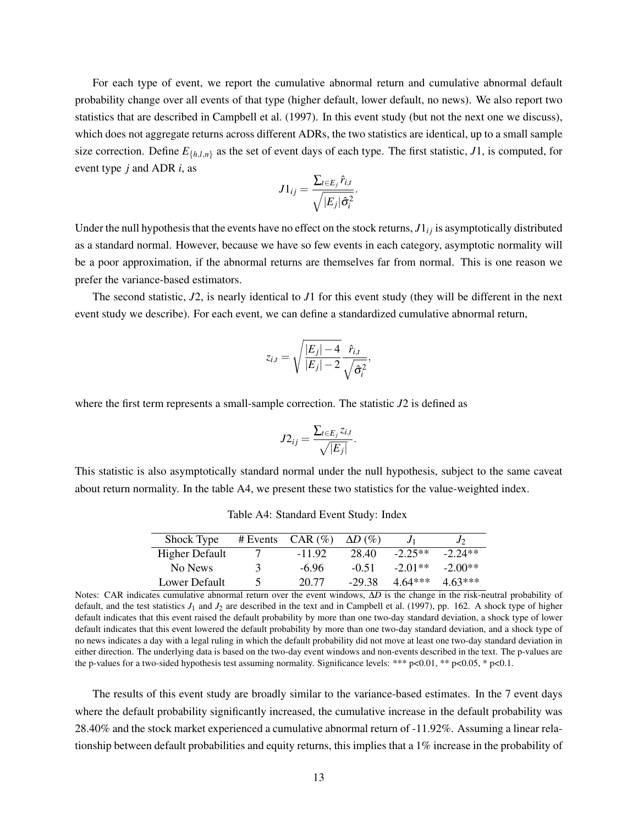For each type of event, we report the cumulative abnormal return and cumulative abnormal default probability change over all events of that type (higher default, lower default, no news). We also report two statistics that are described in [Campbell et al.](#page-28-1) [\(1997\)](#page-28-1). In this event study (but not the next one we discuss), which does not aggregate returns across different ADRs, the two statistics are identical, up to a small sample size correction. Define  $E_{\{h,l,n\}}$  as the set of event days of each type. The first statistic, *J*1, is computed, for event type *j* and ADR *i*, as

$$
J1_{ij} = \frac{\sum_{t \in E_j} \hat{r}_{i,t}}{\sqrt{|E_j| \hat{\sigma}_i^2}}.
$$

Under the null hypothesis that the events have no effect on the stock returns,  $J1_{ij}$  is asymptotically distributed as a standard normal. However, because we have so few events in each category, asymptotic normality will be a poor approximation, if the abnormal returns are themselves far from normal. This is one reason we prefer the variance-based estimators.

The second statistic, *J*2, is nearly identical to *J*1 for this event study (they will be different in the next event study we describe). For each event, we can define a standardized cumulative abnormal return,

$$
z_{i,t} = \sqrt{\frac{|E_j| - 4}{|E_j| - 2}} \frac{\hat{r}_{i,t}}{\sqrt{\hat{\sigma}_i^2}},
$$

where the first term represents a small-sample correction. The statistic *J*2 is defined as

$$
J2_{ij} = \frac{\sum_{t \in E_j} z_{i,t}}{\sqrt{|E_j|}}.
$$

<span id="page-48-0"></span>This statistic is also asymptotically standard normal under the null hypothesis, subject to the same caveat about return normality. In the table [A4,](#page-48-0) we present these two statistics for the value-weighted index.

| Shock Type     | # Events      | $CAR$ (%) | $\Delta D$ $(\%)$ |           | $J_{2}$   |
|----------------|---------------|-----------|-------------------|-----------|-----------|
| Higher Default |               | $-1192$   | 28.40             | $-2.25**$ | $-2.24**$ |
| No News        | $\mathcal{R}$ | $-6.96$   | $-0.51$           | $-2.01**$ | $-2.00**$ |
| Lower Default  |               | 20.77     | $-29.38$          | $4.64***$ | $4.63***$ |

Table A4: Standard Event Study: Index

Notes: CAR indicates cumulative abnormal return over the event windows, ΔD is the change in the risk-neutral probability of default, and the test statistics *J*<sup>1</sup> and *J*<sup>2</sup> are described in the text and in [Campbell et al.](#page-28-1) [\(1997\)](#page-28-1), pp. 162. A shock type of higher default indicates that this event raised the default probability by more than one two-day standard deviation, a shock type of lower default indicates that this event lowered the default probability by more than one two-day standard deviation, and a shock type of no news indicates a day with a legal ruling in which the default probability did not move at least one two-day standard deviation in either direction. The underlying data is based on the two-day event windows and non-events described in the text. The p-values are the p-values for a two-sided hypothesis test assuming normality. Significance levels: \*\*\* p<0.01, \*\* p<0.05, \* p<0.1.

The results of this event study are broadly similar to the variance-based estimates. In the 7 event days where the default probability significantly increased, the cumulative increase in the default probability was 28.40% and the stock market experienced a cumulative abnormal return of -11.92%. Assuming a linear relationship between default probabilities and equity returns, this implies that a 1% increase in the probability of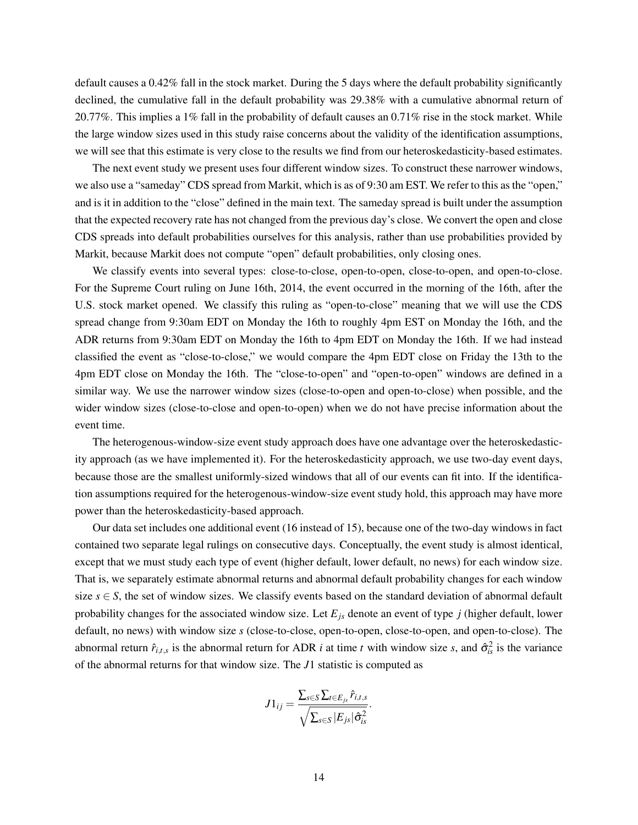default causes a 0.42% fall in the stock market. During the 5 days where the default probability significantly declined, the cumulative fall in the default probability was 29.38% with a cumulative abnormal return of 20.77%. This implies a 1% fall in the probability of default causes an 0.71% rise in the stock market. While the large window sizes used in this study raise concerns about the validity of the identification assumptions, we will see that this estimate is very close to the results we find from our heteroskedasticity-based estimates.

The next event study we present uses four different window sizes. To construct these narrower windows, we also use a "sameday" CDS spread from Markit, which is as of 9:30 am EST. We refer to this as the "open," and is it in addition to the "close" defined in the main text. The sameday spread is built under the assumption that the expected recovery rate has not changed from the previous day's close. We convert the open and close CDS spreads into default probabilities ourselves for this analysis, rather than use probabilities provided by Markit, because Markit does not compute "open" default probabilities, only closing ones.

We classify events into several types: close-to-close, open-to-open, close-to-open, and open-to-close. For the Supreme Court ruling on June 16th, 2014, the event occurred in the morning of the 16th, after the U.S. stock market opened. We classify this ruling as "open-to-close" meaning that we will use the CDS spread change from 9:30am EDT on Monday the 16th to roughly 4pm EST on Monday the 16th, and the ADR returns from 9:30am EDT on Monday the 16th to 4pm EDT on Monday the 16th. If we had instead classified the event as "close-to-close," we would compare the 4pm EDT close on Friday the 13th to the 4pm EDT close on Monday the 16th. The "close-to-open" and "open-to-open" windows are defined in a similar way. We use the narrower window sizes (close-to-open and open-to-close) when possible, and the wider window sizes (close-to-close and open-to-open) when we do not have precise information about the event time.

The heterogenous-window-size event study approach does have one advantage over the heteroskedasticity approach (as we have implemented it). For the heteroskedasticity approach, we use two-day event days, because those are the smallest uniformly-sized windows that all of our events can fit into. If the identification assumptions required for the heterogenous-window-size event study hold, this approach may have more power than the heteroskedasticity-based approach.

Our data set includes one additional event (16 instead of 15), because one of the two-day windows in fact contained two separate legal rulings on consecutive days. Conceptually, the event study is almost identical, except that we must study each type of event (higher default, lower default, no news) for each window size. That is, we separately estimate abnormal returns and abnormal default probability changes for each window size  $s \in S$ , the set of window sizes. We classify events based on the standard deviation of abnormal default probability changes for the associated window size. Let *Ejs* denote an event of type *j* (higher default, lower default, no news) with window size *s* (close-to-close, open-to-open, close-to-open, and open-to-close). The abnormal return  $\hat{r}_{i,t,s}$  is the abnormal return for ADR *i* at time *t* with window size *s*, and  $\hat{\sigma}_{is}^2$  is the variance of the abnormal returns for that window size. The *J*1 statistic is computed as

$$
J1_{ij} = \frac{\sum_{s \in S}\sum_{t \in E_{js}} \hat{r}_{i,t,s}}{\sqrt{\sum_{s \in S}|E_{js}|\hat{\sigma}_{is}^2}}.
$$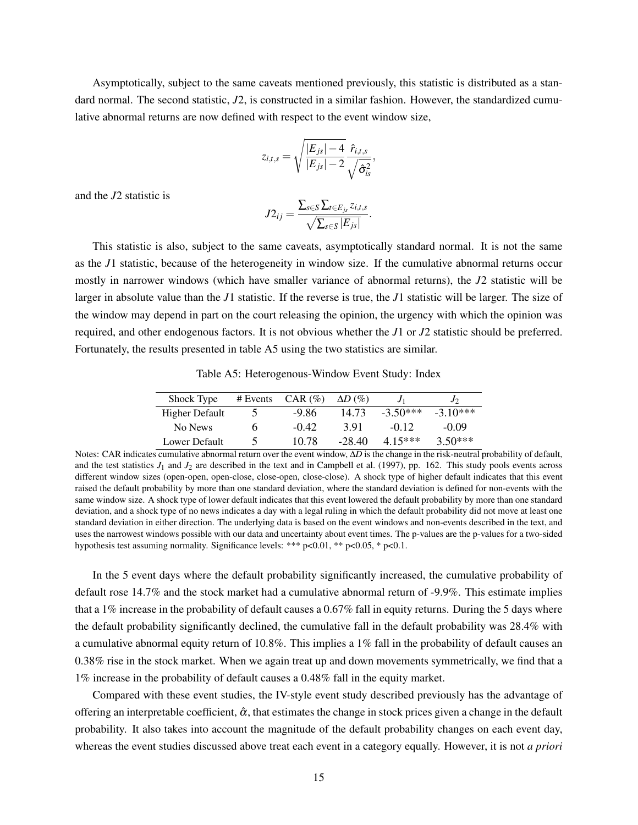Asymptotically, subject to the same caveats mentioned previously, this statistic is distributed as a standard normal. The second statistic,  $J2$ , is constructed in a similar fashion. However, the standardized cumulative abnormal returns are now defined with respect to the event window size,

$$
z_{i,t,s} = \sqrt{\frac{|E_{js}|-4}{|E_{js}|-2}} \frac{\hat{r}_{i,t,s}}{\sqrt{\hat{\sigma}_{is}^2}},
$$

and the *J*2 statistic is

$$
J2_{ij} = \frac{\sum_{s \in S}\sum_{t \in E_{js}}z_{i,t,s}}{\sqrt{\sum_{s \in S}|E_{js}|}}.
$$

This statistic is also, subject to the same caveats, asymptotically standard normal. It is not the same as the *J*1 statistic, because of the heterogeneity in window size. If the cumulative abnormal returns occur mostly in narrower windows (which have smaller variance of abnormal returns), the *J*2 statistic will be larger in absolute value than the *J*1 statistic. If the reverse is true, the *J*1 statistic will be larger. The size of the window may depend in part on the court releasing the opinion, the urgency with which the opinion was required, and other endogenous factors. It is not obvious whether the *J*1 or *J*2 statistic should be preferred. Fortunately, the results presented in table [A5](#page-50-0) using the two statistics are similar.

Table A5: Heterogenous-Window Event Study: Index

<span id="page-50-0"></span>

| Shock Type     | # Events | $CAR$ (%) | $\Delta D$ (%) |            | J          |
|----------------|----------|-----------|----------------|------------|------------|
| Higher Default |          | $-9.86$   | 14 73          | $-3.50***$ | $-3.10***$ |
| No News        | n        | $-0.42$   | 391            | $-0.12$    | $-0.09$    |
| Lower Default  |          | 10.78     | $-28.40$       | 4 15***    | $3.50***$  |

Notes: CAR indicates cumulative abnormal return over the event window, Δ*D* is the change in the risk-neutral probability of default, and the test statistics  $J_1$  and  $J_2$  are described in the text and in [Campbell et al.](#page-28-1) [\(1997\)](#page-28-1), pp. 162. This study pools events across different window sizes (open-open, open-close, close-open, close-close). A shock type of higher default indicates that this event raised the default probability by more than one standard deviation, where the standard deviation is defined for non-events with the same window size. A shock type of lower default indicates that this event lowered the default probability by more than one standard deviation, and a shock type of no news indicates a day with a legal ruling in which the default probability did not move at least one standard deviation in either direction. The underlying data is based on the event windows and non-events described in the text, and uses the narrowest windows possible with our data and uncertainty about event times. The p-values are the p-values for a two-sided hypothesis test assuming normality. Significance levels: \*\*\* p<0.01, \*\* p<0.05, \* p<0.1.

In the 5 event days where the default probability significantly increased, the cumulative probability of default rose 14.7% and the stock market had a cumulative abnormal return of -9.9%. This estimate implies that a 1% increase in the probability of default causes a 0.67% fall in equity returns. During the 5 days where the default probability significantly declined, the cumulative fall in the default probability was 28.4% with a cumulative abnormal equity return of 10.8%. This implies a 1% fall in the probability of default causes an 0.38% rise in the stock market. When we again treat up and down movements symmetrically, we find that a 1% increase in the probability of default causes a 0.48% fall in the equity market.

Compared with these event studies, the IV-style event study described previously has the advantage of offering an interpretable coefficient,  $\hat{\alpha}$ , that estimates the change in stock prices given a change in the default probability. It also takes into account the magnitude of the default probability changes on each event day, whereas the event studies discussed above treat each event in a category equally. However, it is not *a priori*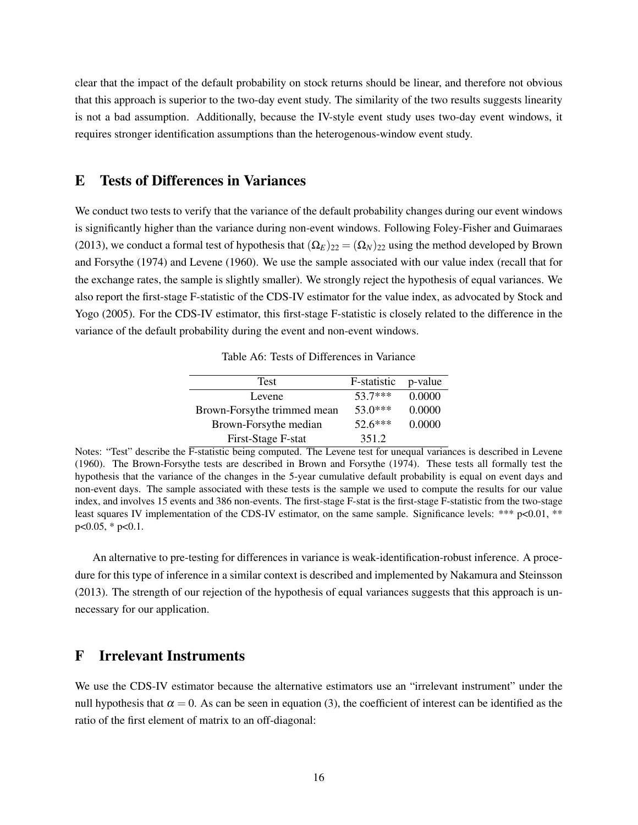clear that the impact of the default probability on stock returns should be linear, and therefore not obvious that this approach is superior to the two-day event study. The similarity of the two results suggests linearity is not a bad assumption. Additionally, because the IV-style event study uses two-day event windows, it requires stronger identification assumptions than the heterogenous-window event study.

## E Tests of Differences in Variances

We conduct two tests to verify that the variance of the default probability changes during our event windows is significantly higher than the variance during non-event windows. Following [Foley-Fisher and Guimaraes](#page-29-4) [\(2013\)](#page-29-4), we conduct a formal test of hypothesis that  $(\Omega_E)_{22} = (\Omega_N)_{22}$  using the method developed by [Brown](#page-28-2) [and Forsythe](#page-28-2) [\(1974\)](#page-28-2) and [Levene](#page-29-5) [\(1960\)](#page-29-5). We use the sample associated with our value index (recall that for the exchange rates, the sample is slightly smaller). We strongly reject the hypothesis of equal variances. We also report the first-stage F-statistic of the CDS-IV estimator for the value index, as advocated by [Stock and](#page-30-1) [Yogo](#page-30-1) [\(2005\)](#page-30-1). For the CDS-IV estimator, this first-stage F-statistic is closely related to the difference in the variance of the default probability during the event and non-event windows.

Table A6: Tests of Differences in Variance

| Test                        | F-statistic | p-value |
|-----------------------------|-------------|---------|
| Levene                      | 53.7***     | 0.0000  |
| Brown-Forsythe trimmed mean | $53.0***$   | 0.0000  |
| Brown-Forsythe median       | $52.6***$   | 0.0000  |
| First-Stage F-stat          | 351.2       |         |

Notes: "Test" describe the F-statistic being computed. The Levene test for unequal variances is described in [Levene](#page-29-5) [\(1960\)](#page-29-5). The Brown-Forsythe tests are described in [Brown and Forsythe](#page-28-2) [\(1974\)](#page-28-2). These tests all formally test the hypothesis that the variance of the changes in the 5-year cumulative default probability is equal on event days and non-event days. The sample associated with these tests is the sample we used to compute the results for our value index, and involves 15 events and 386 non-events. The first-stage F-stat is the first-stage F-statistic from the two-stage least squares IV implementation of the CDS-IV estimator, on the same sample. Significance levels: \*\*\*  $p<0.01$ , \*\* p<0.05, \* p<0.1.

An alternative to pre-testing for differences in variance is weak-identification-robust inference. A procedure for this type of inference in a similar context is described and implemented by [Nakamura and Steinsson](#page-29-6) [\(2013\)](#page-29-6). The strength of our rejection of the hypothesis of equal variances suggests that this approach is unnecessary for our application.

## F Irrelevant Instruments

We use the CDS-IV estimator because the alternative estimators use an "irrelevant instrument" under the null hypothesis that  $\alpha = 0$ . As can be seen in equation [\(3\)](#page-13-0), the coefficient of interest can be identified as the ratio of the first element of matrix to an off-diagonal: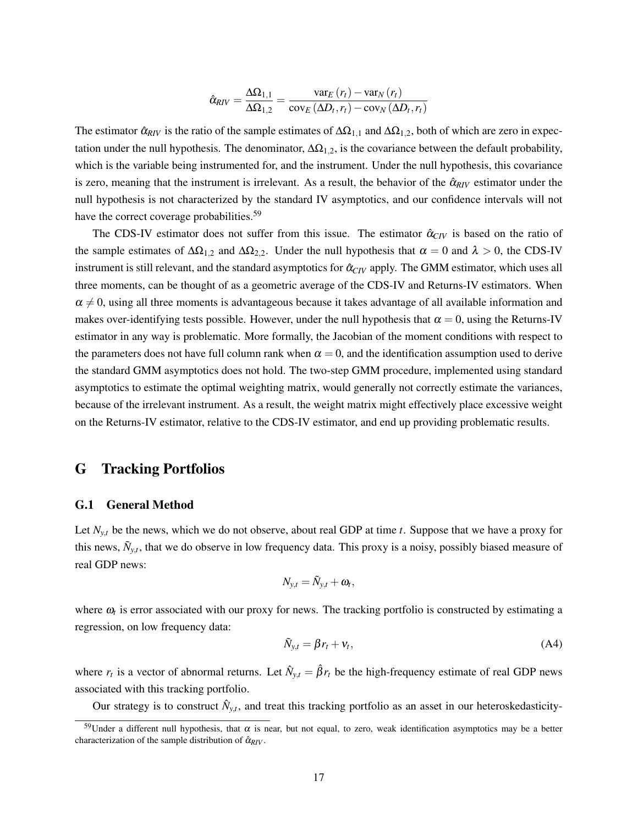$$
\hat{\alpha}_{RIV} = \frac{\Delta\Omega_{1,1}}{\Delta\Omega_{1,2}} = \frac{\text{var}_E(r_t) - \text{var}_N(r_t)}{\text{cov}_E(\Delta D_t, r_t) - \text{cov}_N(\Delta D_t, r_t)}
$$

The estimator  $\hat{\alpha}_{RIV}$  is the ratio of the sample estimates of  $\Delta\Omega_{1,1}$  and  $\Delta\Omega_{1,2}$ , both of which are zero in expectation under the null hypothesis. The denominator,  $\Delta\Omega_{1,2}$ , is the covariance between the default probability, which is the variable being instrumented for, and the instrument. Under the null hypothesis, this covariance is zero, meaning that the instrument is irrelevant. As a result, the behavior of the  $\hat{\alpha}_{RIV}$  estimator under the null hypothesis is not characterized by the standard IV asymptotics, and our confidence intervals will not have the correct coverage probabilities.<sup>[59](#page-52-0)</sup>

The CDS-IV estimator does not suffer from this issue. The estimator  $\hat{\alpha}_{CIV}$  is based on the ratio of the sample estimates of  $\Delta\Omega_{1,2}$  and  $\Delta\Omega_{2,2}$ . Under the null hypothesis that  $\alpha = 0$  and  $\lambda > 0$ , the CDS-IV instrument is still relevant, and the standard asymptotics for  $\hat{\alpha}_{CIV}$  apply. The GMM estimator, which uses all three moments, can be thought of as a geometric average of the CDS-IV and Returns-IV estimators. When  $\alpha \neq 0$ , using all three moments is advantageous because it takes advantage of all available information and makes over-identifying tests possible. However, under the null hypothesis that  $\alpha = 0$ , using the Returns-IV estimator in any way is problematic. More formally, the Jacobian of the moment conditions with respect to the parameters does not have full column rank when  $\alpha = 0$ , and the identification assumption used to derive the standard GMM asymptotics does not hold. The two-step GMM procedure, implemented using standard asymptotics to estimate the optimal weighting matrix, would generally not correctly estimate the variances, because of the irrelevant instrument. As a result, the weight matrix might effectively place excessive weight on the Returns-IV estimator, relative to the CDS-IV estimator, and end up providing problematic results.

## G Tracking Portfolios

#### G.1 General Method

Let  $N_{y,t}$  be the news, which we do not observe, about real GDP at time  $t$ . Suppose that we have a proxy for this news,  $\tilde{N}_{y,t}$ , that we do observe in low frequency data. This proxy is a noisy, possibly biased measure of real GDP news:

$$
N_{y,t} = \tilde{N}_{y,t} + \omega_t,
$$

where  $\omega_t$  is error associated with our proxy for news. The tracking portfolio is constructed by estimating a regression, on low frequency data:

<span id="page-52-1"></span>
$$
\tilde{N}_{y,t} = \beta r_t + v_t, \tag{A4}
$$

where  $r_t$  is a vector of abnormal returns. Let  $\hat{N}_{y,t} = \hat{\beta}r_t$  be the high-frequency estimate of real GDP news associated with this tracking portfolio.

Our strategy is to construct  $\hat{N}_{y,t}$ , and treat this tracking portfolio as an asset in our heteroskedasticity-

<span id="page-52-0"></span><sup>&</sup>lt;sup>59</sup>Under a different null hypothesis, that  $\alpha$  is near, but not equal, to zero, weak identification asymptotics may be a better characterization of the sample distribution of  $\hat{\alpha}_{RIV}$ .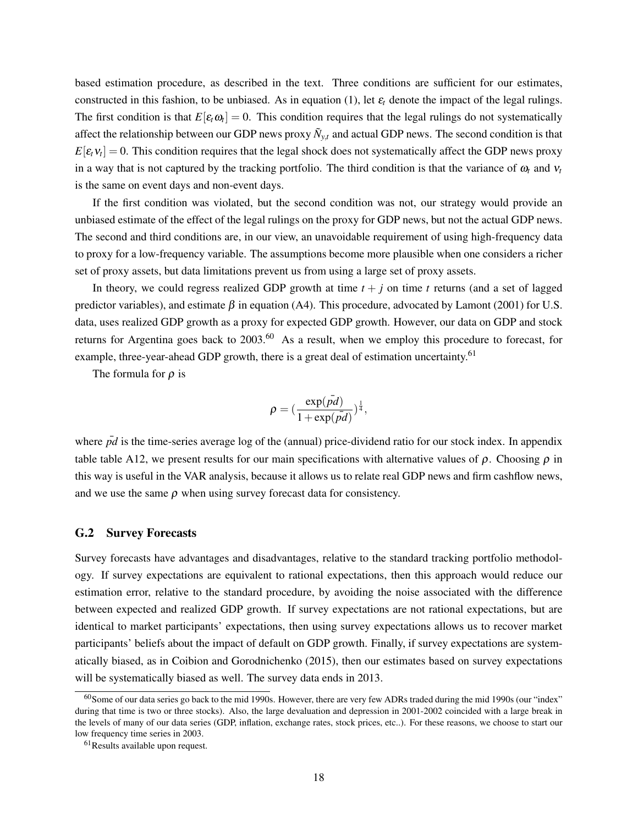based estimation procedure, as described in the text. Three conditions are sufficient for our estimates, constructed in this fashion, to be unbiased. As in equation [\(1\)](#page-11-1), let  $\varepsilon_t$  denote the impact of the legal rulings. The first condition is that  $E[\varepsilon_t \omega_t] = 0$ . This condition requires that the legal rulings do not systematically affect the relationship between our GDP news proxy  $\tilde{N}_{y,t}$  and actual GDP news. The second condition is that  $E[\varepsilon_t v_t] = 0$ . This condition requires that the legal shock does not systematically affect the GDP news proxy in a way that is not captured by the tracking portfolio. The third condition is that the variance of  $\omega_t$  and  $v_t$ is the same on event days and non-event days.

If the first condition was violated, but the second condition was not, our strategy would provide an unbiased estimate of the effect of the legal rulings on the proxy for GDP news, but not the actual GDP news. The second and third conditions are, in our view, an unavoidable requirement of using high-frequency data to proxy for a low-frequency variable. The assumptions become more plausible when one considers a richer set of proxy assets, but data limitations prevent us from using a large set of proxy assets.

In theory, we could regress realized GDP growth at time  $t + j$  on time t returns (and a set of lagged predictor variables), and estimate  $\beta$  in equation [\(A4\)](#page-52-1). This procedure, advocated by [Lamont](#page-29-7) [\(2001\)](#page-29-7) for U.S. data, uses realized GDP growth as a proxy for expected GDP growth. However, our data on GDP and stock returns for Argentina goes back to  $2003$ .<sup>[60](#page-53-0)</sup> As a result, when we employ this procedure to forecast, for example, three-year-ahead GDP growth, there is a great deal of estimation uncertainty.<sup>[61](#page-53-1)</sup>

The formula for  $\rho$  is

$$
\rho = (\frac{\exp(\bar{pd})}{1 + \exp(\bar{pd})})^{\frac{1}{4}},
$$

where *pd* is the time-series average log of the (annual) price-dividend ratio for our stock index. In appendix table table [A12,](#page-67-0) we present results for our main specifications with alternative values of  $\rho$ . Choosing  $\rho$  in this way is useful in the VAR analysis, because it allows us to relate real GDP news and firm cashflow news, and we use the same  $\rho$  when using survey forecast data for consistency.

#### G.2 Survey Forecasts

Survey forecasts have advantages and disadvantages, relative to the standard tracking portfolio methodology. If survey expectations are equivalent to rational expectations, then this approach would reduce our estimation error, relative to the standard procedure, by avoiding the noise associated with the difference between expected and realized GDP growth. If survey expectations are not rational expectations, but are identical to market participants' expectations, then using survey expectations allows us to recover market participants' beliefs about the impact of default on GDP growth. Finally, if survey expectations are systematically biased, as in [Coibion and Gorodnichenko](#page-28-3) [\(2015\)](#page-28-3), then our estimates based on survey expectations will be systematically biased as well. The survey data ends in 2013.

<span id="page-53-0"></span> $60$ Some of our data series go back to the mid 1990s. However, there are very few ADRs traded during the mid 1990s (our "index" during that time is two or three stocks). Also, the large devaluation and depression in 2001-2002 coincided with a large break in the levels of many of our data series (GDP, inflation, exchange rates, stock prices, etc..). For these reasons, we choose to start our low frequency time series in 2003.

<span id="page-53-1"></span> $61$ Results available upon request.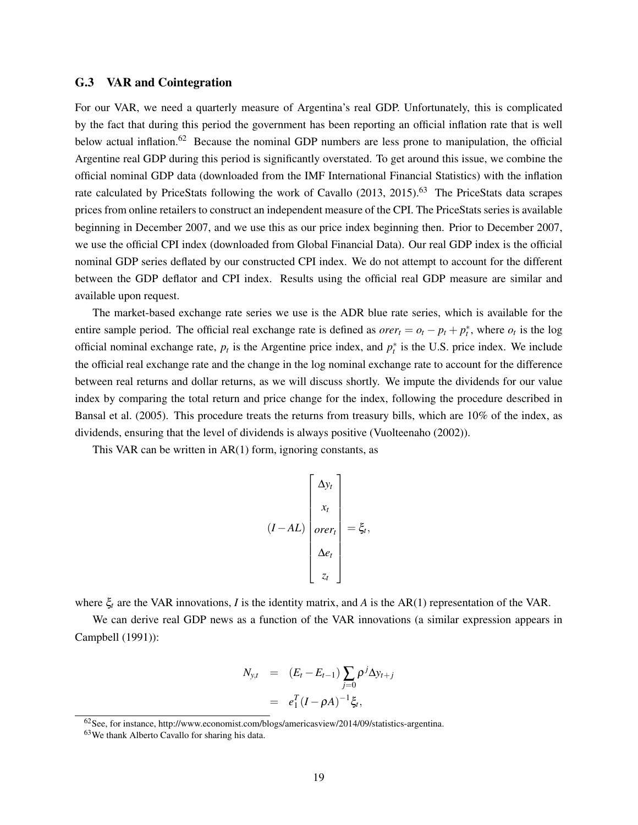#### G.3 VAR and Cointegration

For our VAR, we need a quarterly measure of Argentina's real GDP. Unfortunately, this is complicated by the fact that during this period the government has been reporting an official inflation rate that is well below actual inflation.<sup>[62](#page-54-0)</sup> Because the nominal GDP numbers are less prone to manipulation, the official Argentine real GDP during this period is significantly overstated. To get around this issue, we combine the official nominal GDP data (downloaded from the IMF International Financial Statistics) with the inflation rate calculated by PriceStats following the work of [Cavallo](#page-28-4)  $(2013, 2015)$  $(2013, 2015)$  $(2013, 2015)$ .<sup>[63](#page-54-1)</sup> The PriceStats data scrapes prices from online retailers to construct an independent measure of the CPI. The PriceStats series is available beginning in December 2007, and we use this as our price index beginning then. Prior to December 2007, we use the official CPI index (downloaded from Global Financial Data). Our real GDP index is the official nominal GDP series deflated by our constructed CPI index. We do not attempt to account for the different between the GDP deflator and CPI index. Results using the official real GDP measure are similar and available upon request.

The market-based exchange rate series we use is the ADR blue rate series, which is available for the entire sample period. The official real exchange rate is defined as  $\text{over}_t = o_t - p_t + p_t^*$ , where  $o_t$  is the log official nominal exchange rate,  $p_t$  is the Argentine price index, and  $p_t^*$  is the U.S. price index. We include the official real exchange rate and the change in the log nominal exchange rate to account for the difference between real returns and dollar returns, as we will discuss shortly. We impute the dividends for our value index by comparing the total return and price change for the index, following the procedure described in [Bansal et al.](#page-28-6) [\(2005\)](#page-28-6). This procedure treats the returns from treasury bills, which are 10% of the index, as dividends, ensuring that the level of dividends is always positive [\(Vuolteenaho](#page-30-2) [\(2002\)](#page-30-2)).

This VAR can be written in AR(1) form, ignoring constants, as

$$
(I - AL) \begin{bmatrix} \Delta y_t \\ x_t \\ over_t \\ \Delta e_t \\ z_t \end{bmatrix} = \xi_t,
$$

where ξ*<sup>t</sup>* are the VAR innovations, *I* is the identity matrix, and *A* is the AR(1) representation of the VAR.

We can derive real GDP news as a function of the VAR innovations (a similar expression appears in [Campbell](#page-28-7) [\(1991\)](#page-28-7)):

$$
N_{y,t} = (E_t - E_{t-1}) \sum_{j=0}^{\infty} \rho^j \Delta y_{t+j}
$$

$$
= e_1^T (I - \rho A)^{-1} \xi_t,
$$

<span id="page-54-0"></span> $62$  See, for instance, http://www.economist.com/blogs/americasview/2014/09/statistics-argentina.

<span id="page-54-1"></span><sup>63</sup>We thank Alberto Cavallo for sharing his data.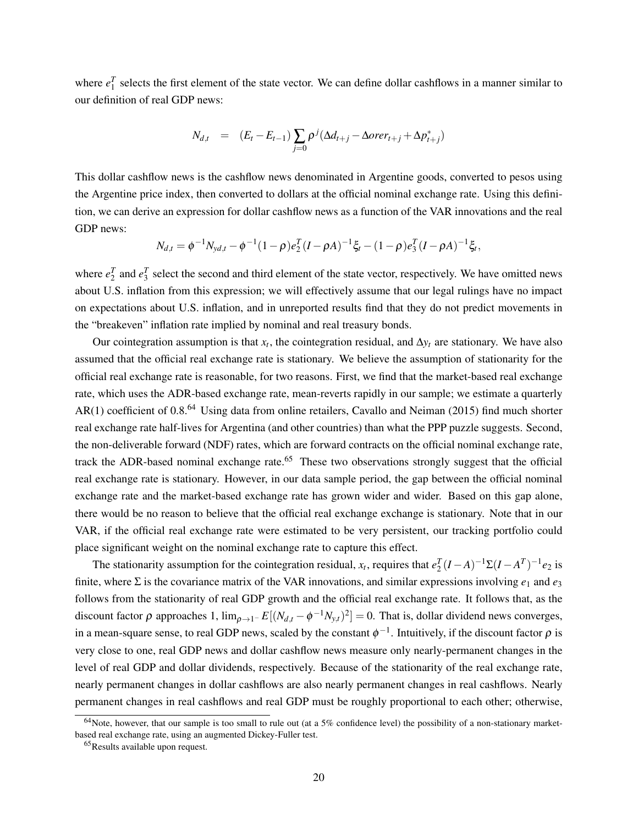where  $e_1^T$  selects the first element of the state vector. We can define dollar cashflows in a manner similar to our definition of real GDP news:

$$
N_{d,t} = (E_t - E_{t-1}) \sum_{j=0} p^j (\Delta d_{t+j} - \Delta over_{t+j} + \Delta p^*_{t+j})
$$

This dollar cashflow news is the cashflow news denominated in Argentine goods, converted to pesos using the Argentine price index, then converted to dollars at the official nominal exchange rate. Using this definition, we can derive an expression for dollar cashflow news as a function of the VAR innovations and the real GDP news:

$$
N_{d,t} = \phi^{-1} N_{yd,t} - \phi^{-1} (1 - \rho) e_2^T (I - \rho A)^{-1} \xi_t - (1 - \rho) e_3^T (I - \rho A)^{-1} \xi_t,
$$

where  $e_2^T$  and  $e_3^T$  select the second and third element of the state vector, respectively. We have omitted news about U.S. inflation from this expression; we will effectively assume that our legal rulings have no impact on expectations about U.S. inflation, and in unreported results find that they do not predict movements in the "breakeven" inflation rate implied by nominal and real treasury bonds.

Our cointegration assumption is that  $x_t$ , the cointegration residual, and  $\Delta y_t$  are stationary. We have also assumed that the official real exchange rate is stationary. We believe the assumption of stationarity for the official real exchange rate is reasonable, for two reasons. First, we find that the market-based real exchange rate, which uses the ADR-based exchange rate, mean-reverts rapidly in our sample; we estimate a quarterly AR(1) coefficient of 0.8.<sup>[64](#page-55-0)</sup> Using data from online retailers, [Cavallo and Neiman](#page-28-8) [\(2015\)](#page-28-8) find much shorter real exchange rate half-lives for Argentina (and other countries) than what the PPP puzzle suggests. Second, the non-deliverable forward (NDF) rates, which are forward contracts on the official nominal exchange rate, track the ADR-based nominal exchange rate.<sup>[65](#page-55-1)</sup> These two observations strongly suggest that the official real exchange rate is stationary. However, in our data sample period, the gap between the official nominal exchange rate and the market-based exchange rate has grown wider and wider. Based on this gap alone, there would be no reason to believe that the official real exchange exchange is stationary. Note that in our VAR, if the official real exchange rate were estimated to be very persistent, our tracking portfolio could place significant weight on the nominal exchange rate to capture this effect.

The stationarity assumption for the cointegration residual,  $x_t$ , requires that  $e_2^T(I-A)^{-1}\Sigma(I-A^T)^{-1}e_2$  is finite, where  $\Sigma$  is the covariance matrix of the VAR innovations, and similar expressions involving  $e_1$  and  $e_3$ follows from the stationarity of real GDP growth and the official real exchange rate. It follows that, as the discount factor  $\rho$  approaches 1,  $\lim_{\rho \to 1^-} E[(N_{d,t} - \phi^{-1} N_{y,t})^2] = 0$ . That is, dollar dividend news converges, in a mean-square sense, to real GDP news, scaled by the constant  $\phi^{-1}$ . Intuitively, if the discount factor  $\rho$  is very close to one, real GDP news and dollar cashflow news measure only nearly-permanent changes in the level of real GDP and dollar dividends, respectively. Because of the stationarity of the real exchange rate, nearly permanent changes in dollar cashflows are also nearly permanent changes in real cashflows. Nearly permanent changes in real cashflows and real GDP must be roughly proportional to each other; otherwise,

<span id="page-55-0"></span> $64$ Note, however, that our sample is too small to rule out (at a 5% confidence level) the possibility of a non-stationary marketbased real exchange rate, using an augmented Dickey-Fuller test.

<span id="page-55-1"></span><sup>65</sup>Results available upon request.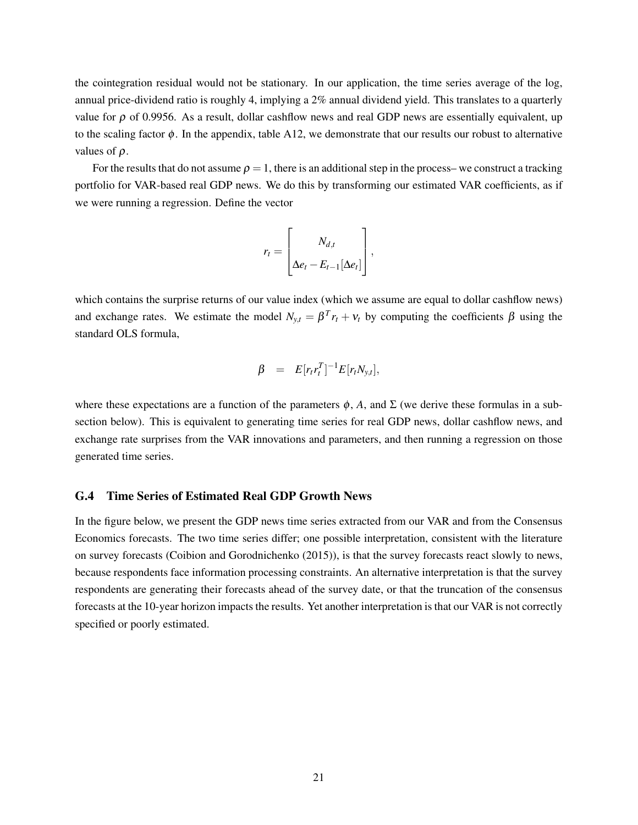the cointegration residual would not be stationary. In our application, the time series average of the log, annual price-dividend ratio is roughly 4, implying a 2% annual dividend yield. This translates to a quarterly value for  $\rho$  of 0.9956. As a result, dollar cashflow news and real GDP news are essentially equivalent, up to the scaling factor  $\phi$ . In the appendix, table [A12,](#page-67-0) we demonstrate that our results our robust to alternative values of  $\rho$ .

For the results that do not assume  $\rho = 1$ , there is an additional step in the process– we construct a tracking portfolio for VAR-based real GDP news. We do this by transforming our estimated VAR coefficients, as if we were running a regression. Define the vector

$$
r_t = \begin{bmatrix} N_{d,t} \\ \Delta e_t - E_{t-1}[\Delta e_t] \end{bmatrix},
$$

which contains the surprise returns of our value index (which we assume are equal to dollar cashflow news) and exchange rates. We estimate the model  $N_{y,t} = \beta^T r_t + v_t$  by computing the coefficients  $\beta$  using the standard OLS formula,

$$
\beta = E[r_t r_t^T]^{-1} E[r_t N_{y,t}],
$$

where these expectations are a function of the parameters  $\phi$ , *A*, and  $\Sigma$  (we derive these formulas in a subsection below). This is equivalent to generating time series for real GDP news, dollar cashflow news, and exchange rate surprises from the VAR innovations and parameters, and then running a regression on those generated time series.

### G.4 Time Series of Estimated Real GDP Growth News

In the figure below, we present the GDP news time series extracted from our VAR and from the Consensus Economics forecasts. The two time series differ; one possible interpretation, consistent with the literature on survey forecasts [\(Coibion and Gorodnichenko](#page-28-3) [\(2015\)](#page-28-3)), is that the survey forecasts react slowly to news, because respondents face information processing constraints. An alternative interpretation is that the survey respondents are generating their forecasts ahead of the survey date, or that the truncation of the consensus forecasts at the 10-year horizon impacts the results. Yet another interpretation is that our VAR is not correctly specified or poorly estimated.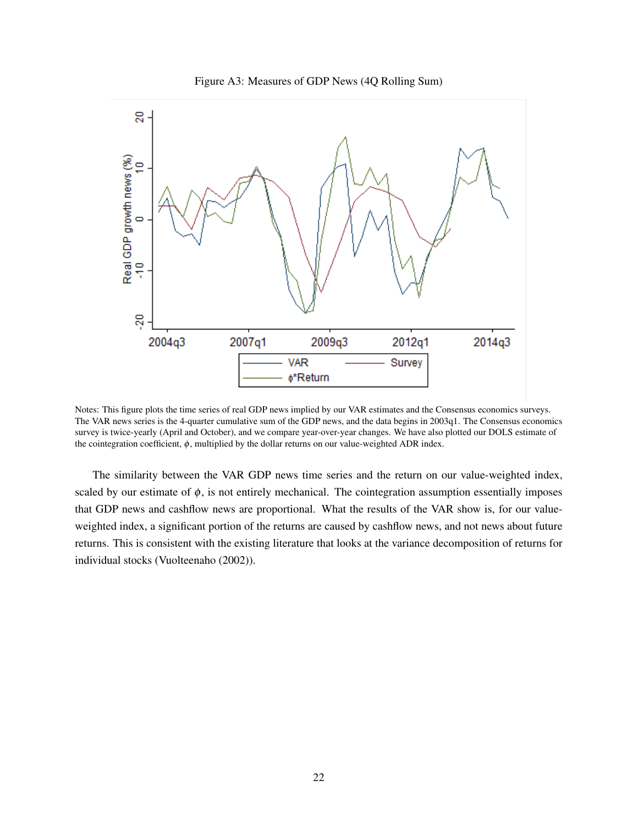



Notes: This figure plots the time series of real GDP news implied by our VAR estimates and the Consensus economics surveys. The VAR news series is the 4-quarter cumulative sum of the GDP news, and the data begins in 2003q1. The Consensus economics survey is twice-yearly (April and October), and we compare year-over-year changes. We have also plotted our DOLS estimate of the cointegration coefficient,  $\phi$ , multiplied by the dollar returns on our value-weighted ADR index.

The similarity between the VAR GDP news time series and the return on our value-weighted index, scaled by our estimate of  $\phi$ , is not entirely mechanical. The cointegration assumption essentially imposes that GDP news and cashflow news are proportional. What the results of the VAR show is, for our valueweighted index, a significant portion of the returns are caused by cashflow news, and not news about future returns. This is consistent with the existing literature that looks at the variance decomposition of returns for individual stocks [\(Vuolteenaho](#page-30-2) [\(2002\)](#page-30-2)).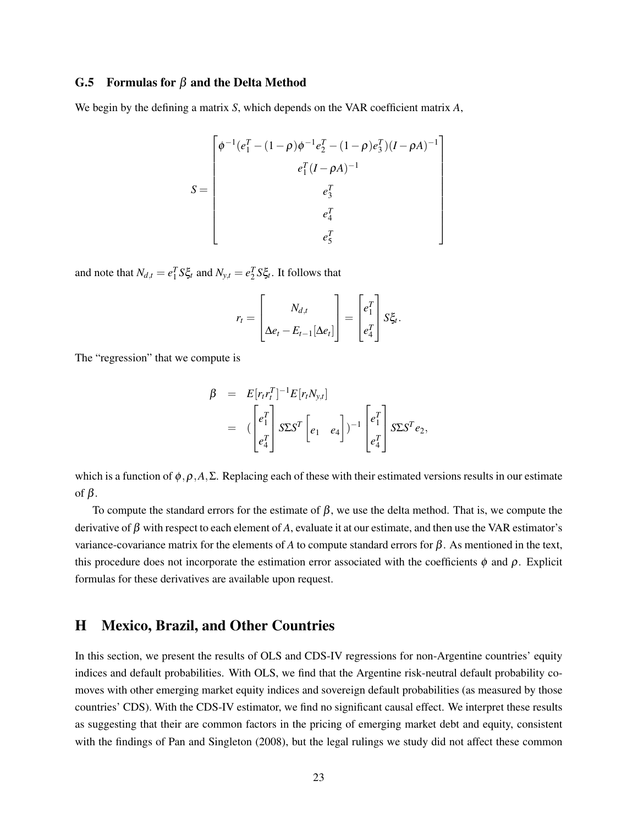### G.5 Formulas for  $\beta$  and the Delta Method

We begin by the defining a matrix *S*, which depends on the VAR coefficient matrix *A*,

$$
S = \begin{bmatrix} \phi^{-1}(e_1^T - (1 - \rho)\phi^{-1}e_2^T - (1 - \rho)e_3^T)(I - \rho A)^{-1} \\ e_1^T(I - \rho A)^{-1} \\ e_3^T \\ e_4^T \\ e_5^T \end{bmatrix}
$$

and note that  $N_{d,t} = e_1^T S \xi_t$  and  $N_{y,t} = e_2^T S \xi_t$ . It follows that

$$
r_t = \begin{bmatrix} N_{d,t} \\ \Delta e_t - E_{t-1}[\Delta e_t] \end{bmatrix} = \begin{bmatrix} e_1^T \\ e_4^T \end{bmatrix} S \xi_t.
$$

The "regression" that we compute is

$$
\beta = E[r_t r_t^T]^{-1} E[r_t N_{y,t}]
$$
  
=  $\left(\begin{bmatrix} e_1^T \\ e_4^T \end{bmatrix} S \Sigma S^T \begin{bmatrix} e_1 & e_4 \end{bmatrix}\right)^{-1} \begin{bmatrix} e_1^T \\ e_4^T \end{bmatrix} S \Sigma S^T e_2,$ 

which is a function of  $\phi$ ,  $\rho$ ,  $A$ ,  $\Sigma$ . Replacing each of these with their estimated versions results in our estimate of β.

To compute the standard errors for the estimate of  $\beta$ , we use the delta method. That is, we compute the derivative of  $\beta$  with respect to each element of A, evaluate it at our estimate, and then use the VAR estimator's variance-covariance matrix for the elements of *A* to compute standard errors for β. As mentioned in the text, this procedure does not incorporate the estimation error associated with the coefficients  $\phi$  and  $\rho$ . Explicit formulas for these derivatives are available upon request.

# <span id="page-58-0"></span>H Mexico, Brazil, and Other Countries

In this section, we present the results of OLS and CDS-IV regressions for non-Argentine countries' equity indices and default probabilities. With OLS, we find that the Argentine risk-neutral default probability comoves with other emerging market equity indices and sovereign default probabilities (as measured by those countries' CDS). With the CDS-IV estimator, we find no significant causal effect. We interpret these results as suggesting that their are common factors in the pricing of emerging market debt and equity, consistent with the findings of [Pan and Singleton](#page-29-8) [\(2008\)](#page-29-8), but the legal rulings we study did not affect these common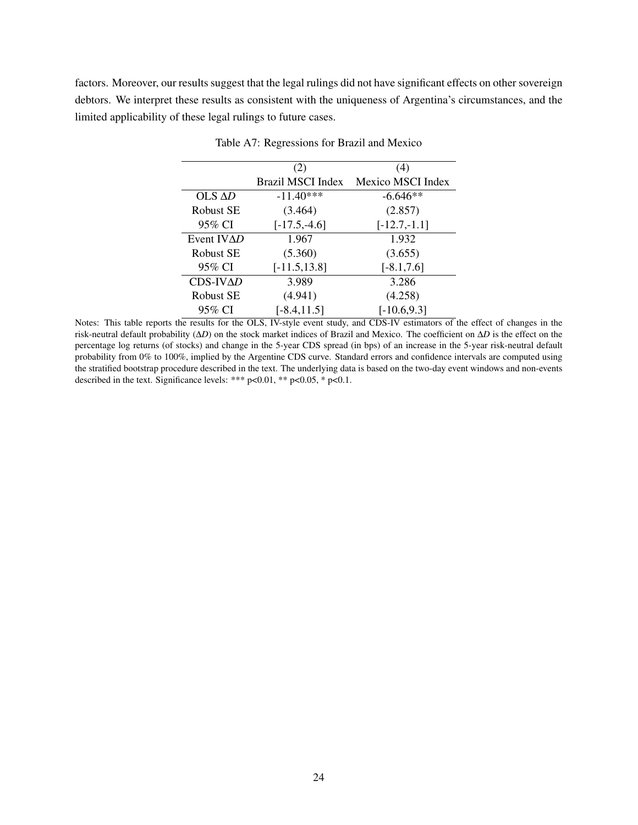factors. Moreover, our results suggest that the legal rulings did not have significant effects on other sovereign debtors. We interpret these results as consistent with the uniqueness of Argentina's circumstances, and the limited applicability of these legal rulings to future cases.

|                    | (2)               | (4)               |
|--------------------|-------------------|-------------------|
|                    | Brazil MSCI Index | Mexico MSCI Index |
| $OLS \Delta D$     | $-11.40***$       | $-6.646**$        |
| Robust SE          | (3.464)           | (2.857)           |
| 95% CI             | $[-17.5,-4.6]$    | $[-12.7,-1.1]$    |
| Event $IV\Delta D$ | 1.967             | 1.932             |
| Robust SE          | (5.360)           | (3.655)           |
| 95% CI             | $[-11.5, 13.8]$   | $[-8.1, 7.6]$     |
| $CDS-IV\Delta D$   | 3.989             | 3.286             |
| Robust SE          | (4.941)           | (4.258)           |
| 95% CI             | $[-8.4, 11.5]$    | $[-10.6, 9.3]$    |

Table A7: Regressions for Brazil and Mexico

Notes: This table reports the results for the OLS, IV-style event study, and CDS-IV estimators of the effect of changes in the risk-neutral default probability (∆*D*) on the stock market indices of Brazil and Mexico. The coefficient on ∆*D* is the effect on the percentage log returns (of stocks) and change in the 5-year CDS spread (in bps) of an increase in the 5-year risk-neutral default probability from 0% to 100%, implied by the Argentine CDS curve. Standard errors and confidence intervals are computed using the stratified bootstrap procedure described in the text. The underlying data is based on the two-day event windows and non-events described in the text. Significance levels: \*\*\*  $p<0.01$ , \*\*  $p<0.05$ , \*  $p<0.1$ .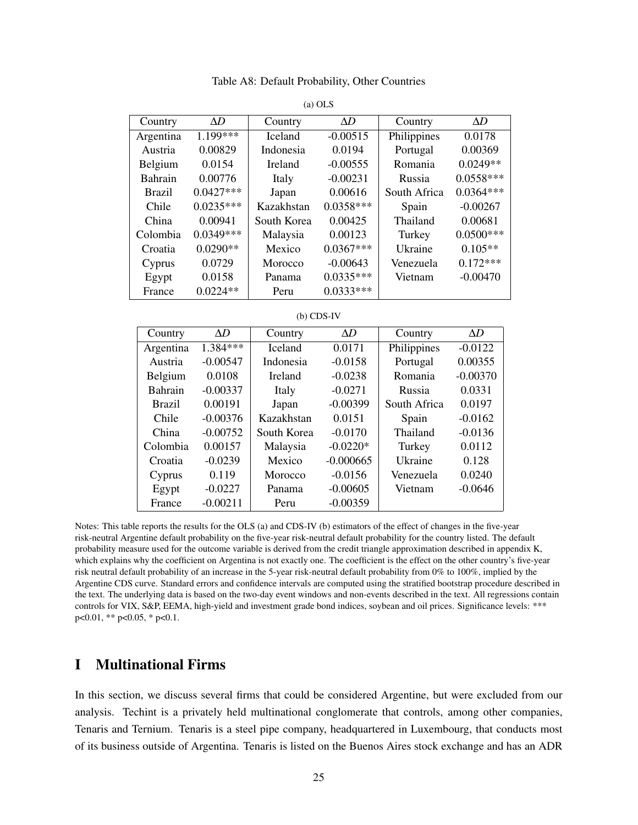Table A8: Default Probability, Other Countries

| Country       | AD          | Country        | AD          | Country      | AD          |
|---------------|-------------|----------------|-------------|--------------|-------------|
|               | 1 199***    | <b>Iceland</b> | $-0.00515$  |              | 0.0178      |
| Argentina     |             |                |             | Philippines  |             |
| Austria       | 0.00829     | Indonesia      | 0.0194      | Portugal     | 0.00369     |
| Belgium       | 0.0154      | Ireland        | $-0.00555$  | Romania      | $0.0249**$  |
| Bahrain       | 0.00776     | Italy          | $-0.00231$  | Russia       | $0.0558***$ |
| <b>Brazil</b> | $0.0427***$ | Japan          | 0.00616     | South Africa | $0.0364***$ |
| Chile         | $0.0235***$ | Kazakhstan     | $0.0358***$ | Spain        | $-0.00267$  |
| China         | 0.00941     | South Korea    | 0.00425     | Thailand     | 0.00681     |
| Colombia      | $0.0349***$ | Malaysia       | 0.00123     | Turkey       | $0.0500***$ |
| Croatia       | $0.0290**$  | Mexico         | $0.0367***$ | Ukraine      | $0.105**$   |
| Cyprus        | 0.0729      | Morocco        | $-0.00643$  | Venezuela    | $0.172***$  |
| Egypt         | 0.0158      | Panama         | $0.0335***$ | Vietnam      | $-0.00470$  |
| France        | $0.0224**$  | Peru           | $0.0333***$ |              |             |

(a) OLS

(b) CDS-IV

| Country        | $\Delta D$ | Country        | $\Delta D$  | Country      | $\Delta D$ |
|----------------|------------|----------------|-------------|--------------|------------|
| Argentina      | 1.384***   | <b>Iceland</b> | 0.0171      | Philippines  | $-0.0122$  |
| Austria        | $-0.00547$ | Indonesia      | $-0.0158$   | Portugal     | 0.00355    |
| Belgium        | 0.0108     | <b>Ireland</b> | $-0.0238$   | Romania      | $-0.00370$ |
| <b>Bahrain</b> | $-0.00337$ | Italy          | $-0.0271$   | Russia       | 0.0331     |
| <b>Brazil</b>  | 0.00191    | Japan          | $-0.00399$  | South Africa | 0.0197     |
| Chile          | $-0.00376$ | Kazakhstan     | 0.0151      | Spain        | $-0.0162$  |
| China          | $-0.00752$ | South Korea    | $-0.0170$   | Thailand     | $-0.0136$  |
| Colombia       | 0.00157    | Malaysia       | $-0.0220*$  | Turkey       | 0.0112     |
| Croatia        | $-0.0239$  | Mexico         | $-0.000665$ | Ukraine      | 0.128      |
| Cyprus         | 0.119      | Morocco        | $-0.0156$   | Venezuela    | 0.0240     |
| Egypt          | $-0.0227$  | Panama         | $-0.00605$  | Vietnam      | $-0.0646$  |
| France         | $-0.00211$ | Peru           | $-0.00359$  |              |            |

Notes: This table reports the results for the OLS (a) and CDS-IV (b) estimators of the effect of changes in the five-year risk-neutral Argentine default probability on the five-year risk-neutral default probability for the country listed. The default probability measure used for the outcome variable is derived from the credit triangle approximation described in appendix [K,](#page-62-0) which explains why the coefficient on Argentina is not exactly one. The coefficient is the effect on the other country's five-year risk neutral default probability of an increase in the 5-year risk-neutral default probability from 0% to 100%, implied by the Argentine CDS curve. Standard errors and confidence intervals are computed using the stratified bootstrap procedure described in the text. The underlying data is based on the two-day event windows and non-events described in the text. All regressions contain controls for VIX, S&P, EEMA, high-yield and investment grade bond indices, soybean and oil prices. Significance levels: \*\*\* p<0.01, \*\* p<0.05, \* p<0.1.

## <span id="page-60-0"></span>I Multinational Firms

In this section, we discuss several firms that could be considered Argentine, but were excluded from our analysis. Techint is a privately held multinational conglomerate that controls, among other companies, Tenaris and Ternium. Tenaris is a steel pipe company, headquartered in Luxembourg, that conducts most of its business outside of Argentina. Tenaris is listed on the Buenos Aires stock exchange and has an ADR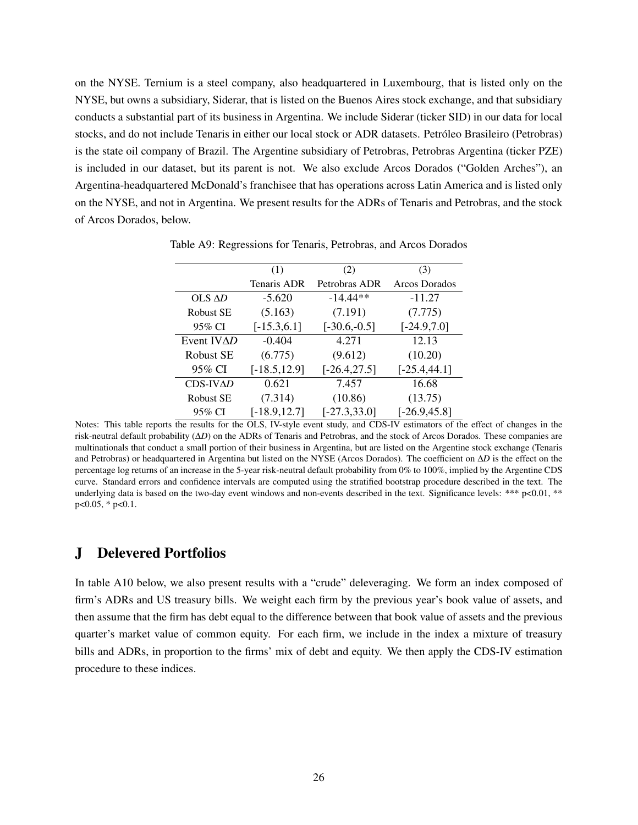on the NYSE. Ternium is a steel company, also headquartered in Luxembourg, that is listed only on the NYSE, but owns a subsidiary, Siderar, that is listed on the Buenos Aires stock exchange, and that subsidiary conducts a substantial part of its business in Argentina. We include Siderar (ticker SID) in our data for local stocks, and do not include Tenaris in either our local stock or ADR datasets. Petróleo Brasileiro (Petrobras) is the state oil company of Brazil. The Argentine subsidiary of Petrobras, Petrobras Argentina (ticker PZE) is included in our dataset, but its parent is not. We also exclude Arcos Dorados ("Golden Arches"), an Argentina-headquartered McDonald's franchisee that has operations across Latin America and is listed only on the NYSE, and not in Argentina. We present results for the ADRs of Tenaris and Petrobras, and the stock of Arcos Dorados, below.

|                    | (1)                | (2)             | (3)             |
|--------------------|--------------------|-----------------|-----------------|
|                    | <b>Tenaris ADR</b> | Petrobras ADR   | Arcos Dorados   |
| $OLS$ $\Delta D$   | $-5.620$           | $-14.44**$      | $-11.27$        |
| <b>Robust SE</b>   | (5.163)            | (7.191)         | (7.775)         |
| 95% CI             | $[-15.3, 6.1]$     | $[-30.6,-0.5]$  | $[-24.9, 7.0]$  |
| Event $IV\Delta D$ | $-0.404$           | 4.271           | 12.13           |
| <b>Robust SE</b>   | (6.775)            | (9.612)         | (10.20)         |
| 95% CI             | $[-18.5, 12.9]$    | $[-26.4, 27.5]$ | $[-25.4, 44.1]$ |
| $CDS-IV\Delta D$   | 0.621              | 7.457           | 16.68           |
| <b>Robust SE</b>   | (7.314)            | (10.86)         | (13.75)         |
| 95% CI             | $[-18.9, 12.7]$    | $[-27.3, 33.0]$ | $[-26.9, 45.8]$ |

Table A9: Regressions for Tenaris, Petrobras, and Arcos Dorados

Notes: This table reports the results for the OLS, IV-style event study, and CDS-IV estimators of the effect of changes in the risk-neutral default probability (∆*D*) on the ADRs of Tenaris and Petrobras, and the stock of Arcos Dorados. These companies are multinationals that conduct a small portion of their business in Argentina, but are listed on the Argentine stock exchange (Tenaris and Petrobras) or headquartered in Argentina but listed on the NYSE (Arcos Dorados). The coefficient on ∆*D* is the effect on the percentage log returns of an increase in the 5-year risk-neutral default probability from 0% to 100%, implied by the Argentine CDS curve. Standard errors and confidence intervals are computed using the stratified bootstrap procedure described in the text. The underlying data is based on the two-day event windows and non-events described in the text. Significance levels: \*\*\*  $p<0.01$ , \*\* p<0.05, \* p<0.1.

## J Delevered Portfolios

In table [A10](#page-62-1) below, we also present results with a "crude" deleveraging. We form an index composed of firm's ADRs and US treasury bills. We weight each firm by the previous year's book value of assets, and then assume that the firm has debt equal to the difference between that book value of assets and the previous quarter's market value of common equity. For each firm, we include in the index a mixture of treasury bills and ADRs, in proportion to the firms' mix of debt and equity. We then apply the CDS-IV estimation procedure to these indices.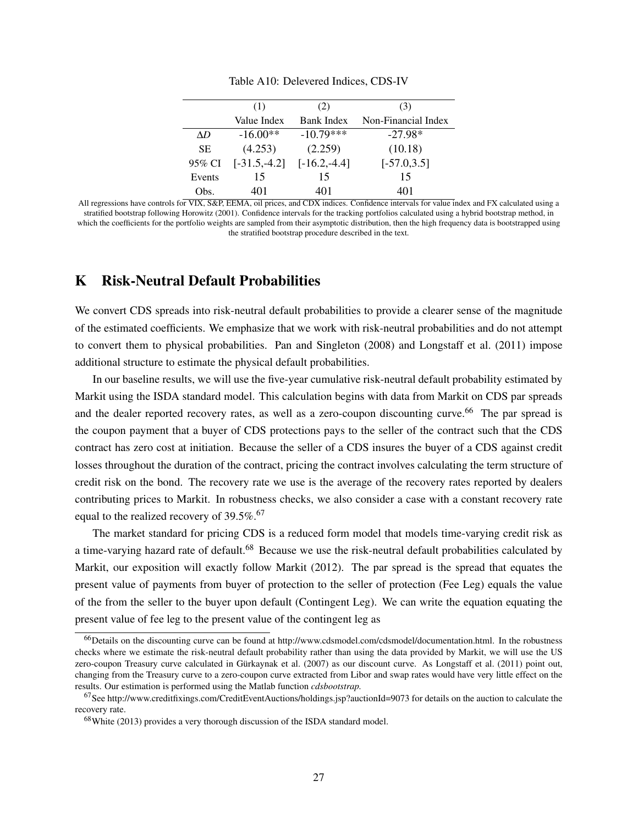<span id="page-62-1"></span>

|           | (1)                           | (2)               | (3)                 |
|-----------|-------------------------------|-------------------|---------------------|
|           | Value Index                   | <b>Bank Index</b> | Non-Financial Index |
| ΛD        | $-16.00**$                    | $-10.79***$       | $-27.98*$           |
| <b>SE</b> | (4.253)                       | (2.259)           | (10.18)             |
| 95% CI    | $[-31.5,-4.2]$ $[-16.2,-4.4]$ |                   | $[-57.0, 3.5]$      |
| Events    | 15                            | 15                | 15                  |
| Obs.      | 401                           | 401               | 401                 |

Table A10: Delevered Indices, CDS-IV

All regressions have controls for VIX, S&P, EEMA, oil prices, and CDX indices. Confidence intervals for value index and FX calculated using a stratified bootstrap following Horowitz (2001). Confidence intervals for the tracking portfolios calculated using a hybrid bootstrap method, in which the coefficients for the portfolio weights are sampled from their asymptotic distribution, then the high frequency data is bootstrapped using the stratified bootstrap procedure described in the text.

## <span id="page-62-0"></span>K Risk-Neutral Default Probabilities

We convert CDS spreads into risk-neutral default probabilities to provide a clearer sense of the magnitude of the estimated coefficients. We emphasize that we work with risk-neutral probabilities and do not attempt to convert them to physical probabilities. [Pan and Singleton](#page-29-8) [\(2008\)](#page-29-8) and [Longstaff et al.](#page-29-9) [\(2011\)](#page-29-9) impose additional structure to estimate the physical default probabilities.

In our baseline results, we will use the five-year cumulative risk-neutral default probability estimated by Markit using the ISDA standard model. This calculation begins with data from Markit on CDS par spreads and the dealer reported recovery rates, as well as a zero-coupon discounting curve.<sup>[66](#page-62-2)</sup> The par spread is the coupon payment that a buyer of CDS protections pays to the seller of the contract such that the CDS contract has zero cost at initiation. Because the seller of a CDS insures the buyer of a CDS against credit losses throughout the duration of the contract, pricing the contract involves calculating the term structure of credit risk on the bond. The recovery rate we use is the average of the recovery rates reported by dealers contributing prices to Markit. In robustness checks, we also consider a case with a constant recovery rate equal to the realized recovery of 39.5%.<sup>[67](#page-62-3)</sup>

The market standard for pricing CDS is a reduced form model that models time-varying credit risk as a time-varying hazard rate of default.<sup>[68](#page-62-4)</sup> Because we use the risk-neutral default probabilities calculated by Markit, our exposition will exactly follow [Markit](#page-29-10) [\(2012\)](#page-29-10). The par spread is the spread that equates the present value of payments from buyer of protection to the seller of protection (Fee Leg) equals the value of the from the seller to the buyer upon default (Contingent Leg). We can write the equation equating the present value of fee leg to the present value of the contingent leg as

<span id="page-62-2"></span><sup>66</sup>Details on the discounting curve can be found at http://www.cdsmodel.com/cdsmodel/documentation.html. In the robustness checks where we estimate the risk-neutral default probability rather than using the data provided by Markit, we will use the US zero-coupon Treasury curve calculated in [Gürkaynak et al.](#page-29-11) [\(2007\)](#page-29-11) as our discount curve. As [Longstaff et al.](#page-29-9) [\(2011\)](#page-29-9) point out, changing from the Treasury curve to a zero-coupon curve extracted from Libor and swap rates would have very little effect on the results. Our estimation is performed using the Matlab function *cdsbootstrap.*

<span id="page-62-3"></span><sup>67</sup>See http://www.creditfixings.com/CreditEventAuctions/holdings.jsp?auctionId=9073 for details on the auction to calculate the recovery rate.

<span id="page-62-4"></span><sup>68</sup>[White](#page-30-3) [\(2013\)](#page-30-3) provides a very thorough discussion of the ISDA standard model.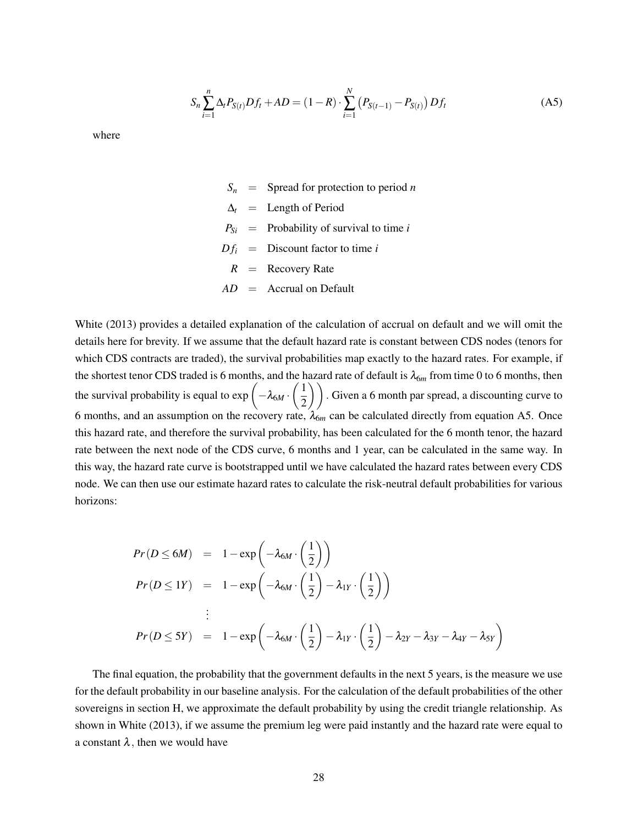<span id="page-63-0"></span>
$$
S_n \sum_{i=1}^n \Delta_t P_{S(t)} D f_t + AD = (1 - R) \cdot \sum_{i=1}^N (P_{S(t-1)} - P_{S(t)}) D f_t
$$
 (A5)

where

- $S_n$  = Spread for protection to period *n*  $\Delta_t$  = Length of Period  $P_{Si}$  = Probability of survival to time *i*  $Df_i$  = Discount factor to time *i R* = Recovery Rate *AD* = Accrual on Default
- [White](#page-30-3) [\(2013\)](#page-30-3) provides a detailed explanation of the calculation of accrual on default and we will omit the details here for brevity. If we assume that the default hazard rate is constant between CDS nodes (tenors for which CDS contracts are traded), the survival probabilities map exactly to the hazard rates. For example, if the shortest tenor CDS traded is 6 months, and the hazard rate of default is  $\lambda_{6m}$  from time 0 to 6 months, then the survival probability is equal to  $\exp\left(-\lambda_{6M}\cdot\left(\frac{1}{2}\right)\right)$  $\left(\frac{1}{2}\right)$ ). Given a 6 month par spread, a discounting curve to 6 months, and an assumption on the recovery rate,  $\lambda_{6m}$  can be calculated directly from equation [A5.](#page-63-0) Once this hazard rate, and therefore the survival probability, has been calculated for the 6 month tenor, the hazard rate between the next node of the CDS curve, 6 months and 1 year, can be calculated in the same way. In this way, the hazard rate curve is bootstrapped until we have calculated the hazard rates between every CDS node. We can then use our estimate hazard rates to calculate the risk-neutral default probabilities for various horizons:

$$
Pr(D \le 6M) = 1 - exp\left(-\lambda_{6M} \cdot \left(\frac{1}{2}\right)\right)
$$
  
\n
$$
Pr(D \le 1Y) = 1 - exp\left(-\lambda_{6M} \cdot \left(\frac{1}{2}\right) - \lambda_{1Y} \cdot \left(\frac{1}{2}\right)\right)
$$
  
\n
$$
\vdots
$$
  
\n
$$
Pr(D \le 5Y) = 1 - exp\left(-\lambda_{6M} \cdot \left(\frac{1}{2}\right) - \lambda_{1Y} \cdot \left(\frac{1}{2}\right) - \lambda_{2Y} - \lambda_{3Y} - \lambda_{4Y} - \lambda_{5Y}\right)
$$

 $\sim$   $\sim$   $\sim$   $\sim$ 

The final equation, the probability that the government defaults in the next 5 years, is the measure we use for the default probability in our baseline analysis. For the calculation of the default probabilities of the other sovereigns in section [H,](#page-58-0) we approximate the default probability by using the credit triangle relationship. As shown in [White](#page-30-3) [\(2013\)](#page-30-3), if we assume the premium leg were paid instantly and the hazard rate were equal to a constant  $\lambda$ , then we would have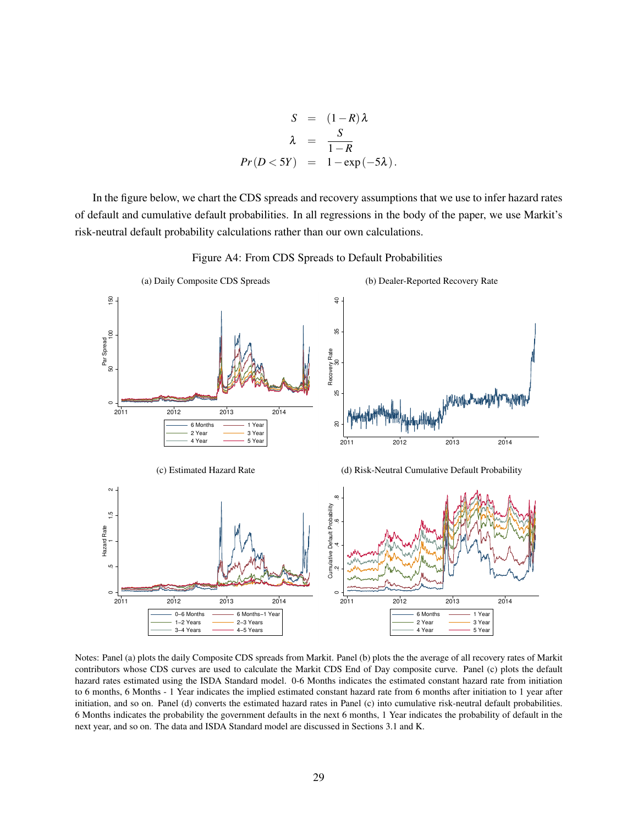$$
S = (1 - R)\lambda
$$
  
\n
$$
\lambda = \frac{S}{1 - R}
$$
  
\n
$$
Pr(D < 5Y) = 1 - exp(-5\lambda).
$$

In the figure below, we chart the CDS spreads and recovery assumptions that we use to infer hazard rates of default and cumulative default probabilities. In all regressions in the body of the paper, we use Markit's risk-neutral default probability calculations rather than our own calculations.

Figure A4: From CDS Spreads to Default Probabilities



Notes: Panel (a) plots the daily Composite CDS spreads from Markit. Panel (b) plots the the average of all recovery rates of Markit contributors whose CDS curves are used to calculate the Markit CDS End of Day composite curve. Panel (c) plots the default hazard rates estimated using the ISDA Standard model. 0-6 Months indicates the estimated constant hazard rate from initiation to 6 months, 6 Months - 1 Year indicates the implied estimated constant hazard rate from 6 months after initiation to 1 year after initiation, and so on. Panel (d) converts the estimated hazard rates in Panel (c) into cumulative risk-neutral default probabilities. 6 Months indicates the probability the government defaults in the next 6 months, 1 Year indicates the probability of default in the next year, and so on. The data and ISDA Standard model are discussed in Sections [3.1](#page-6-0) and [K.](#page-62-0)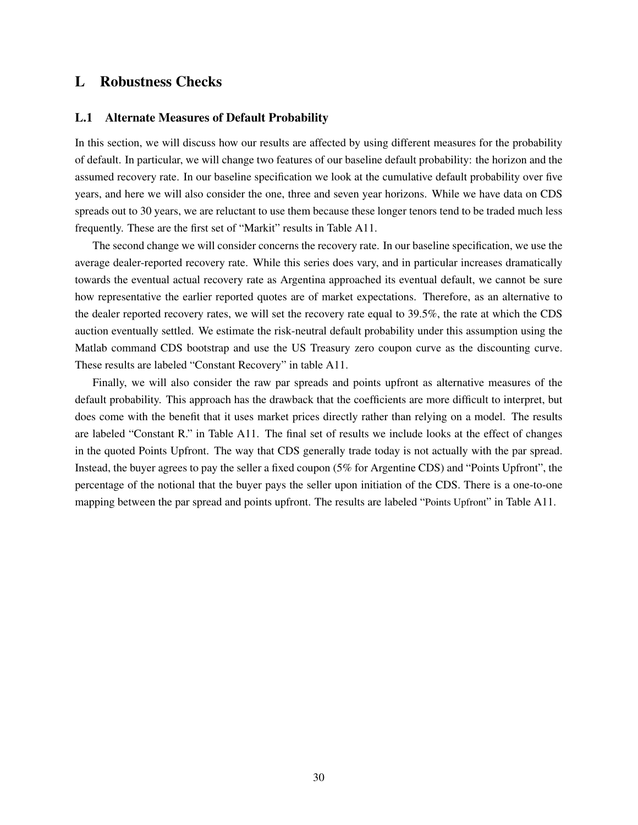## L Robustness Checks

#### L.1 Alternate Measures of Default Probability

In this section, we will discuss how our results are affected by using different measures for the probability of default. In particular, we will change two features of our baseline default probability: the horizon and the assumed recovery rate. In our baseline specification we look at the cumulative default probability over five years, and here we will also consider the one, three and seven year horizons. While we have data on CDS spreads out to 30 years, we are reluctant to use them because these longer tenors tend to be traded much less frequently. These are the first set of "Markit" results in Table [A11.](#page-66-0)

The second change we will consider concerns the recovery rate. In our baseline specification, we use the average dealer-reported recovery rate. While this series does vary, and in particular increases dramatically towards the eventual actual recovery rate as Argentina approached its eventual default, we cannot be sure how representative the earlier reported quotes are of market expectations. Therefore, as an alternative to the dealer reported recovery rates, we will set the recovery rate equal to 39.5%, the rate at which the CDS auction eventually settled. We estimate the risk-neutral default probability under this assumption using the Matlab command CDS bootstrap and use the US Treasury zero coupon curve as the discounting curve. These results are labeled "Constant Recovery" in table [A11.](#page-66-0)

Finally, we will also consider the raw par spreads and points upfront as alternative measures of the default probability. This approach has the drawback that the coefficients are more difficult to interpret, but does come with the benefit that it uses market prices directly rather than relying on a model. The results are labeled "Constant R." in Table [A11.](#page-66-0) The final set of results we include looks at the effect of changes in the quoted Points Upfront. The way that CDS generally trade today is not actually with the par spread. Instead, the buyer agrees to pay the seller a fixed coupon (5% for Argentine CDS) and "Points Upfront", the percentage of the notional that the buyer pays the seller upon initiation of the CDS. There is a one-to-one mapping between the par spread and points upfront. The results are labeled "Points Upfront" in Table [A11.](#page-66-0)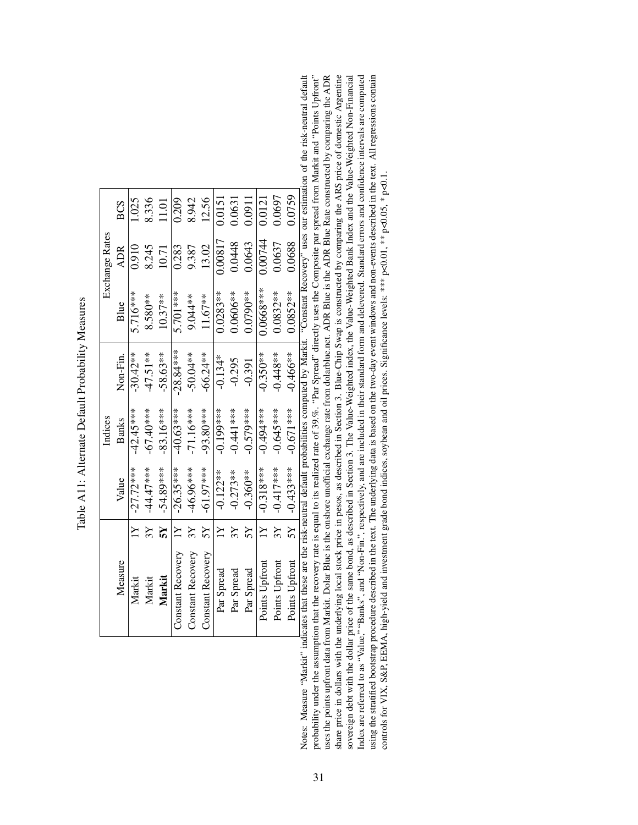<span id="page-66-0"></span>

|                | <b>BCS</b>   | 1.025             | 8.336       | 11.01       | 0.209                    | 8.942             | 12.56             | 0.0151              | 0.0631          | 0.0911      | 0.0121           | 0.0697         | 0.0759                                                                                                                                                                                                                                           |
|----------------|--------------|-------------------|-------------|-------------|--------------------------|-------------------|-------------------|---------------------|-----------------|-------------|------------------|----------------|--------------------------------------------------------------------------------------------------------------------------------------------------------------------------------------------------------------------------------------------------|
| Exchange Rates | <b>ADR</b>   | 0.910             | 8.245       | 10.71       | 0.283                    | 9.387             | 13.02             | 0.00817             | 0.0448          | 0.0643      | 0.00744          | 0.0637         | 0.0688                                                                                                                                                                                                                                           |
|                | Blue         | 5.716***          | $8.580**$   | $10.37**$   | 5.701 ***                | $9.044**$         | 11.67**           | $0.0283**$          | 0.0606**        | $0.0790**$  | $0.0668***$      | $0.0832***$    | $0.0852**$                                                                                                                                                                                                                                       |
|                | Non-Fin.     | $-30.42**$        | $-47.51**$  | $-58.63**$  | $-28.84***$              | $-50.04**$        | $-66.24***$       | $-0.134*$           | $-0.295$        | $-0.391$    | $-0.350**$       | $-0.448**$     | $-0.466**$                                                                                                                                                                                                                                       |
| Indices        | <b>Banks</b> | $-42.45***$       | $-67.40***$ | $-83.16***$ | -40.63***                | $-71.16***$       | $-93.80***$       | $-0.199***$         | $-0.441$ ***    | $-0.579***$ | -0.494***        | $-0.645***$    | $-0.671***$                                                                                                                                                                                                                                      |
|                | Value        | $\vert -27.72***$ | $-44.47***$ | $-54.89***$ | $-26.35***$              | -46.96***         | $-61.97***$       | $-0.122**$          | $-0.273**$      | $-0.360**$  | $-0.318***$      | $-0.417***$    | $-0.433***$                                                                                                                                                                                                                                      |
|                |              | Y                 | $3\lambda$  |             | $\geq$                   | $\chi_5$          | ΣŠ                | $\overline{\Sigma}$ | $3\overline{Y}$ |             | $\sum_{i=1}^{n}$ | 3Y             | 2S                                                                                                                                                                                                                                               |
|                | Measure      | Markit            | Markit      | Markit      | <b>Constant Recovery</b> | Constant Recovery | Constant Recovery | Par Spread          | Par Spread      | Par Spread  | Points Upfront   | Points Upfront | alterity and the contrast of the contrast of the contrast of the contrast of the contrast of the contrast of the contrast of the contrast of the contrast of the contrast of the contrast of the contrast of the contrast of t<br>Points Upfront |

Table A11: Alternate Default Probability Measures Table A11: Alternate Default Probability Measures

probability under the assumption that the recovery rate is equal to its realized rate of 39.%. "Par Spread" directly uses the Composite par spread from Markit and "Points Upfront" uses the points upfront data from Markit. Dolar Blue is the onshore unofficial exchange rate from dolarblue.net. ADR Blue is the ADR Blue Rate constructed by comparing the ADR share price in dollars with the underlying local stock price in pesos, as described in Section 3. Blue-Chip Swap is constructed by comparing the ARS price of domestic Argentine Index are referred to as "Value," "Banks", and "Non-Fin.", respectively, and are included in their standard form and delevered. Standard errors and confidence intervals are computed using the stratified bootstrap procedure described in the text. The underlying data is based on the two-day event windows and non-events described in the text. All regressions contain controls for VIX, S&P, EEMA, high-yiel Notes: Measure "Markit" indicates that these are the risk-neutral default probabilities computed by Markit. "Constant Recovery" uses our estimation of the risk-neutral default sovereign debt with the dollar price of the same bond, as described in Section 3. The Value-Weighted index, the Value-Weighted Bank Index and the Value-Weighted Non-Financial Notes: Measure "Markit" indicates that these are the risk-neutral default probabilities computed by Markit. "Constant Recovery" uses our estimation of the risk-neutral default probability under the assumption that the recovery rate is equal to its realized rate of 39.%. "Par Spread" directly uses the Composite par spread from Markit and "Points" Upfront" uses the points upfrom Markit. Dolar Blue is the onshore unofficial exchange rate from dolarblue.net. ADR Blue is the ADR Blue Rate constructed by comparing the ADR share price in dollars with the underlying local stock price in pesos, as described in Section 3. Blue-Chip Swap is constructed by comparing the ARS price of domestic Argentine sovereign debt with the dollar price of the same bond, as described in Section 3. The Value-Weighted index, the Value-Weighted Bank Index and the Value-Weighted Non-Financial Index are referred to as "Value," "Banks", and "Non-Fin.", respectively, and are included in their standard form and delevered. Standard errors and confidence intervals are computed using the stratified bootstrap procedure described in the text. The underlying data is based on the two-day event windows and non-events described in the text. All regressions contain controls for VIX, S&P, EEMA, high-yield and investment grade bond indices, soybean and oil prices. Significance levels: \*\*\* p<0.01, \*\* p<0.05, \* p<0.1.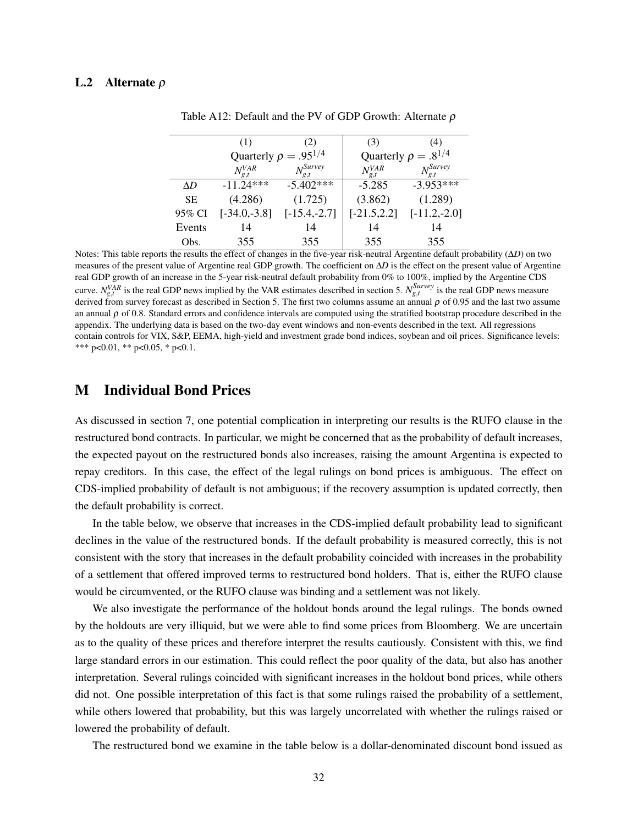### <span id="page-67-0"></span>L.2 Alternate ρ

|           | (1)                          | (2)                      | (3)                         | (4)                  |
|-----------|------------------------------|--------------------------|-----------------------------|----------------------|
|           | Quarterly $\rho = .95^{1/4}$ |                          | Quarterly $\rho = .8^{1/4}$ |                      |
|           | $N_{\varrho,t}^{VAR}$        | $N_{\sigma\,t}^{Survey}$ | $N_{\varrho,t}^{VAR}$       | $N_{\circ}^{Survey}$ |
| ΛD        | $-11.24***$                  | $-5.402***$              | $-5.285$                    | $-3.953***$          |
| <b>SE</b> | (4.286)                      | (1.725)                  | (3.862)                     | (1.289)              |
| 95% CI    | $[-34.0,-3.8]$               | $[-15.4,-2.7]$           | $[-21.5, 2.2]$              | $[-11.2,-2.0]$       |
| Events    | 14                           | 14                       | 14                          | 14                   |
| Obs.      | 355                          | 355                      | 355                         | 355                  |

Table A12: Default and the PV of GDP Growth: Alternate  $\rho$ 

Notes: This table reports the results the effect of changes in the five-year risk-neutral Argentine default probability (ΔD) on two measures of the present value of Argentine real GDP growth. The coefficient on ∆*D* is the effect on the present value of Argentine real GDP growth of an increase in the 5-year risk-neutral default probability from 0% to 100%, implied by the Argentine CDS curve.  $N_{g,t}^{VAR}$  is the real GDP news implied by the VAR estimates described in section [5.](#page-15-0)  $N_{g,t}^{Surve}$  is the real GDP news measure derived from survey forecast as described in Section [5.](#page-15-0) The first two columns assume an annual  $\rho$  of 0.95 and the last two assume an annual  $\rho$  of 0.8. Standard errors and confidence intervals are computed using the stratified bootstrap procedure described in the appendix. The underlying data is based on the two-day event windows and non-events described in the text. All regressions contain controls for VIX, S&P, EEMA, high-yield and investment grade bond indices, soybean and oil prices. Significance levels: \*\*\* p<0.01, \*\* p<0.05, \* p<0.1.

### M Individual Bond Prices

As discussed in section [7,](#page-23-0) one potential complication in interpreting our results is the RUFO clause in the restructured bond contracts. In particular, we might be concerned that as the probability of default increases, the expected payout on the restructured bonds also increases, raising the amount Argentina is expected to repay creditors. In this case, the effect of the legal rulings on bond prices is ambiguous. The effect on CDS-implied probability of default is not ambiguous; if the recovery assumption is updated correctly, then the default probability is correct.

In the table below, we observe that increases in the CDS-implied default probability lead to significant declines in the value of the restructured bonds. If the default probability is measured correctly, this is not consistent with the story that increases in the default probability coincided with increases in the probability of a settlement that offered improved terms to restructured bond holders. That is, either the RUFO clause would be circumvented, or the RUFO clause was binding and a settlement was not likely.

We also investigate the performance of the holdout bonds around the legal rulings. The bonds owned by the holdouts are very illiquid, but we were able to find some prices from Bloomberg. We are uncertain as to the quality of these prices and therefore interpret the results cautiously. Consistent with this, we find large standard errors in our estimation. This could reflect the poor quality of the data, but also has another interpretation. Several rulings coincided with significant increases in the holdout bond prices, while others did not. One possible interpretation of this fact is that some rulings raised the probability of a settlement, while others lowered that probability, but this was largely uncorrelated with whether the rulings raised or lowered the probability of default.

The restructured bond we examine in the table below is a dollar-denominated discount bond issued as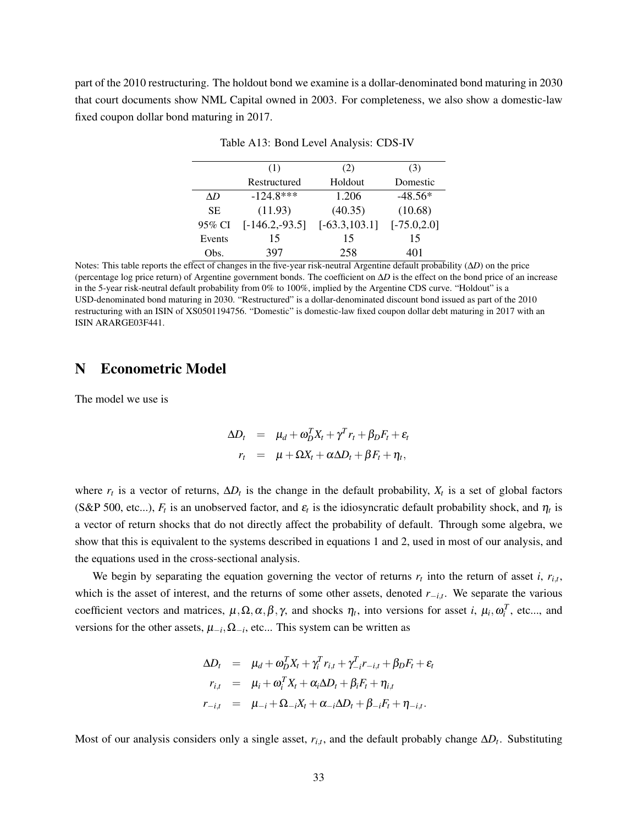part of the 2010 restructuring. The holdout bond we examine is a dollar-denominated bond maturing in 2030 that court documents show NML Capital owned in 2003. For completeness, we also show a domestic-law fixed coupon dollar bond maturing in 2017.

| (1)                        | (2)              | (3)            |
|----------------------------|------------------|----------------|
| Restructured               | Holdout          | Domestic       |
| $-124.8***$                | 1.206            | $-48.56*$      |
| (11.93)                    | (40.35)          | (10.68)        |
| $[-146.2,-93.5]$<br>95% CI | $[-63.3, 103.1]$ | $[-75.0, 2.0]$ |
| 15                         | 15               | 15             |
| 397                        | 258              | 401            |
|                            |                  |                |

Table A13: Bond Level Analysis: CDS-IV

Notes: This table reports the effect of changes in the five-year risk-neutral Argentine default probability (∆*D*) on the price (percentage log price return) of Argentine government bonds. The coefficient on ∆*D* is the effect on the bond price of an increase in the 5-year risk-neutral default probability from 0% to 100%, implied by the Argentine CDS curve. "Holdout" is a USD-denominated bond maturing in 2030. "Restructured" is a dollar-denominated discount bond issued as part of the 2010 restructuring with an ISIN of XS0501194756. "Domestic" is domestic-law fixed coupon dollar debt maturing in 2017 with an ISIN ARARGE03F441.

## N Econometric Model

The model we use is

$$
\Delta D_t = \mu_d + \omega_D^T X_t + \gamma^T r_t + \beta_D F_t + \varepsilon_t
$$
  

$$
r_t = \mu + \Omega X_t + \alpha \Delta D_t + \beta F_t + \eta_t,
$$

where  $r_t$  is a vector of returns,  $\Delta D_t$  is the change in the default probability,  $X_t$  is a set of global factors (S&P 500, etc...),  $F_t$  is an unobserved factor, and  $\varepsilon_t$  is the idiosyncratic default probability shock, and  $\eta_t$  is a vector of return shocks that do not directly affect the probability of default. Through some algebra, we show that this is equivalent to the systems described in equations [1](#page-11-1) and [2,](#page-11-1) used in most of our analysis, and the equations used in the cross-sectional analysis.

We begin by separating the equation governing the vector of returns  $r_t$  into the return of asset *i*,  $r_{i,t}$ , which is the asset of interest, and the returns of some other assets, denoted *r*−*i*,*<sup>t</sup>* . We separate the various coefficient vectors and matrices,  $\mu, \Omega, \alpha, \beta, \gamma$ , and shocks  $\eta_t$ , into versions for asset *i*,  $\mu_i, \omega_i^T$ , etc..., and versions for the other assets,  $\mu_{-i}$ ,  $\Omega_{-i}$ , etc... This system can be written as

$$
\Delta D_t = \mu_d + \omega_D^T X_t + \gamma_i^T r_{i,t} + \gamma_{-i}^T r_{-i,t} + \beta_D F_t + \varepsilon_t
$$
  
\n
$$
r_{i,t} = \mu_i + \omega_i^T X_t + \alpha_i \Delta D_t + \beta_i F_t + \eta_{i,t}
$$
  
\n
$$
r_{-i,t} = \mu_{-i} + \Omega_{-i} X_t + \alpha_{-i} \Delta D_t + \beta_{-i} F_t + \eta_{-i,t}.
$$

Most of our analysis considers only a single asset,  $r_{i,t}$ , and the default probably change  $\Delta D_t$ . Substituting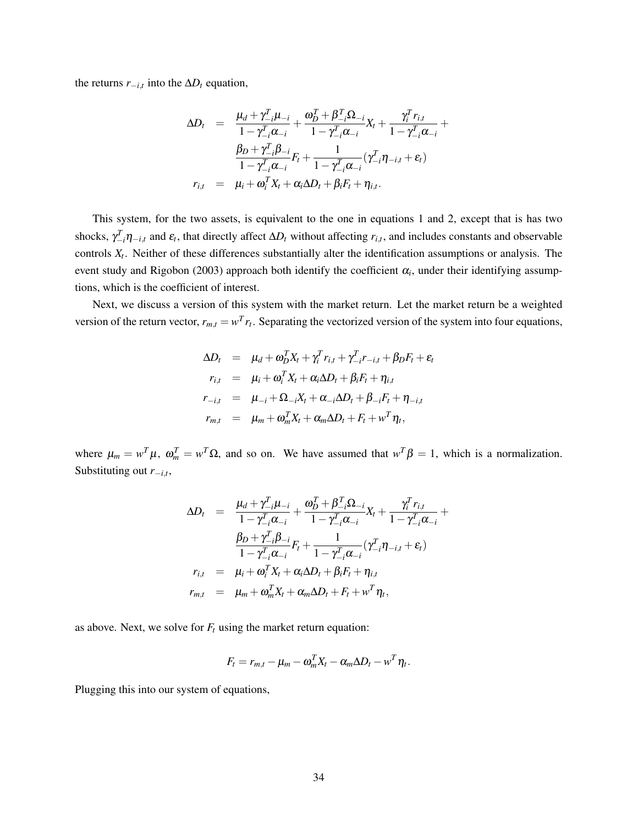the returns  $r_{-i,t}$  into the  $\Delta D_t$  equation,

$$
\Delta D_t = \frac{\mu_d + \gamma_{-i}^T \mu_{-i}}{1 - \gamma_{-i}^T \alpha_{-i}} + \frac{\omega_D^T + \beta_{-i}^T \Omega_{-i}}{1 - \gamma_{-i}^T \alpha_{-i}} X_t + \frac{\gamma_i^T r_{i,t}}{1 - \gamma_{-i}^T \alpha_{-i}} + \frac{\beta_D + \gamma_{-i}^T \beta_{-i}}{1 - \gamma_{-i}^T \alpha_{-i}} F_t + \frac{1}{1 - \gamma_{-i}^T \alpha_{-i}} (\gamma_{-i}^T \eta_{-i,t} + \varepsilon_t)
$$
  

$$
r_{i,t} = \mu_i + \omega_i^T X_t + \alpha_i \Delta D_t + \beta_i F_t + \eta_{i,t}.
$$

This system, for the two assets, is equivalent to the one in equations [1](#page-11-1) and [2,](#page-11-1) except that is has two shocks,  $\gamma_{i}^{T}$  $\eta_{-i,t}$  and  $\varepsilon_t$ , that directly affect  $\Delta D_t$  without affecting  $r_{i,t}$ , and includes constants and observable controls  $X_t$ . Neither of these differences substantially alter the identification assumptions or analysis. The event study and [Rigobon](#page-29-12) [\(2003\)](#page-29-12) approach both identify the coefficient  $\alpha_i$ , under their identifying assumptions, which is the coefficient of interest.

Next, we discuss a version of this system with the market return. Let the market return be a weighted version of the return vector,  $r_{m,t} = w^T r_t$ . Separating the vectorized version of the system into four equations,

$$
\Delta D_t = \mu_d + \omega_D^T X_t + \gamma_i^T r_{i,t} + \gamma_{-i}^T r_{-i,t} + \beta_D F_t + \varepsilon_t
$$
  
\n
$$
r_{i,t} = \mu_i + \omega_i^T X_t + \alpha_i \Delta D_t + \beta_i F_t + \eta_{i,t}
$$
  
\n
$$
r_{-i,t} = \mu_{-i} + \Omega_{-i} X_t + \alpha_{-i} \Delta D_t + \beta_{-i} F_t + \eta_{-i,t}
$$
  
\n
$$
r_{m,t} = \mu_m + \omega_m^T X_t + \alpha_m \Delta D_t + F_t + w^T \eta_t,
$$

where  $\mu_m = w^T \mu$ ,  $\omega_m^T = w^T \Omega$ , and so on. We have assumed that  $w^T \beta = 1$ , which is a normalization. Substituting out *r*−*i*,*<sup>t</sup>* ,

$$
\Delta D_t = \frac{\mu_d + \gamma_{-i}^T \mu_{-i}}{1 - \gamma_{-i}^T \alpha_{-i}} + \frac{\omega_D^T + \beta_{-i}^T \Omega_{-i}}{1 - \gamma_{-i}^T \alpha_{-i}} X_t + \frac{\gamma_i^T r_{i,t}}{1 - \gamma_{-i}^T \alpha_{-i}} + \frac{\beta_D + \gamma_{-i}^T \beta_{-i}}{1 - \gamma_{-i}^T \alpha_{-i}} F_t + \frac{1}{1 - \gamma_{-i}^T \alpha_{-i}} (\gamma_{-i}^T \eta_{-i,t} + \varepsilon_t)
$$
  

$$
r_{i,t} = \mu_i + \omega_i^T X_t + \alpha_i \Delta D_t + \beta_i F_t + \eta_{i,t}
$$
  

$$
r_{m,t} = \mu_m + \omega_m^T X_t + \alpha_m \Delta D_t + F_t + w^T \eta_t,
$$

as above. Next, we solve for  $F_t$  using the market return equation:

$$
F_t = r_{m,t} - \mu_m - \omega_m^T X_t - \alpha_m \Delta D_t - w^T \eta_t.
$$

Plugging this into our system of equations,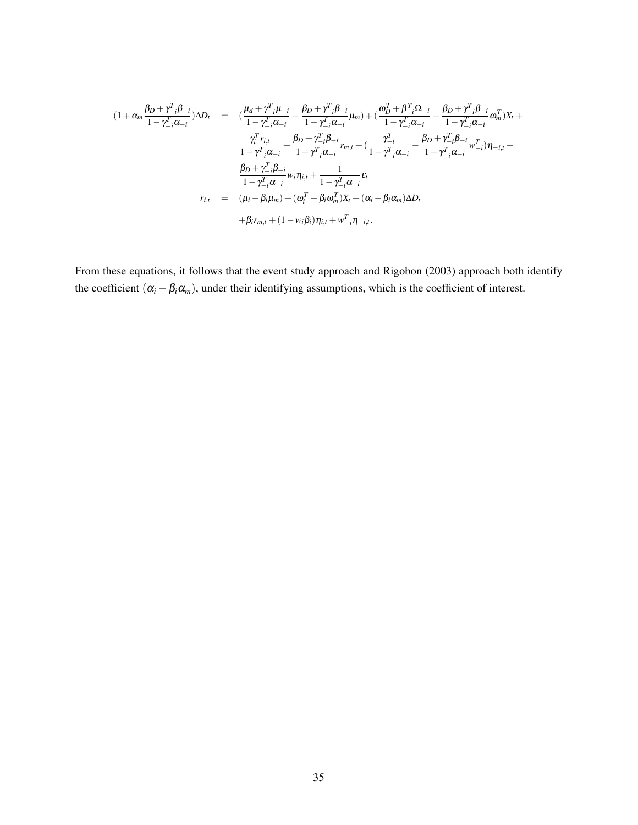$$
(1 + \alpha_m \frac{\beta_D + \gamma_{-i}^T \beta_{-i}}{1 - \gamma_{-i}^T \alpha_{-i}}) \Delta D_t = (\frac{\mu_d + \gamma_{-i}^T \mu_{-i}}{1 - \gamma_{-i}^T \alpha_{-i}} - \frac{\beta_D + \gamma_{-i}^T \beta_{-i}}{1 - \gamma_{-i}^T \alpha_{-i}} \mu_m) + (\frac{\omega_D^T + \beta_{-i}^T \Omega_{-i}}{1 - \gamma_{-i}^T \alpha_{-i}} - \frac{\beta_D + \gamma_{-i}^T \beta_{-i}}{1 - \gamma_{-i}^T \alpha_{-i}} \omega_m^T) X_t + \frac{\gamma_i^T r_{i,t}}{1 - \gamma_{-i}^T \alpha_{-i}} + \frac{\beta_D + \gamma_{-i}^T \beta_{-i}}{1 - \gamma_{-i}^T \alpha_{-i}} r_{m,t} + (\frac{\gamma_{-i}^T}{1 - \gamma_{-i}^T \alpha_{-i}} - \frac{\beta_D + \gamma_{-i}^T \beta_{-i}}{1 - \gamma_{-i}^T \alpha_{-i}} \omega_{-i}^T) \eta_{-i,t} + \frac{\beta_D + \gamma_{-i}^T \beta_{-i}}{1 - \gamma_{-i}^T \alpha_{-i}} \omega_i \eta_{i,t} + \frac{1}{1 - \gamma_{-i}^T \alpha_{-i}} \varepsilon_t + \frac{\beta_D + \gamma_{-i}^T \beta_{-i}}{1 - \gamma_{-i}^T \alpha_{-i}} \omega_i \eta_{i,t} + \frac{1}{1 - \gamma_{-i}^T \alpha_{-i}} \varepsilon_t + \beta_i r_{m,t} + (\alpha_i - \beta_i \omega_m^T) X_t + (\alpha_i - \beta_i \alpha_m) \Delta D_t + \beta_i r_{m,t} + (1 - w_i \beta_i) \eta_{i,t} + w_{-i}^T \eta_{-i,t}.
$$

From these equations, it follows that the event study approach and [Rigobon](#page-29-12) [\(2003\)](#page-29-12) approach both identify the coefficient  $(\alpha_i - \beta_i \alpha_m)$ , under their identifying assumptions, which is the coefficient of interest.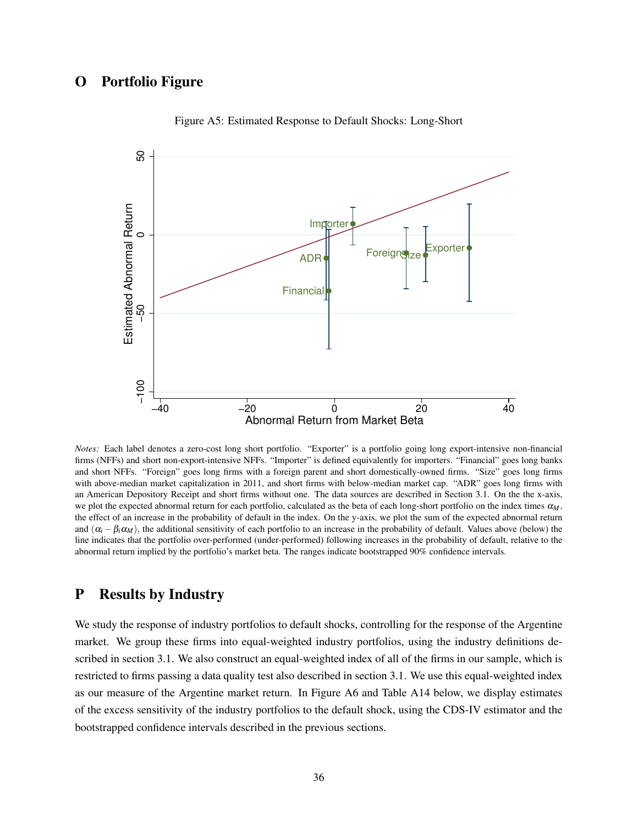# O Portfolio Figure



Figure A5: Estimated Response to Default Shocks: Long-Short

*Notes:* Each label denotes a zero-cost long short portfolio. "Exporter" is a portfolio going long export-intensive non-financial firms (NFFs) and short non-export-intensive NFFs. "Importer" is defined equivalently for importers. "Financial" goes long banks and short NFFs. "Foreign" goes long firms with a foreign parent and short domestically-owned firms. "Size" goes long firms with above-median market capitalization in 2011, and short firms with below-median market cap. "ADR" goes long firms with an American Depository Receipt and short firms without one. The data sources are described in Section [3.1.](#page-6-0) On the the x-axis, we plot the expected abnormal return for each portfolio, calculated as the beta of each long-short portfolio on the index times α*M*, the effect of an increase in the probability of default in the index. On the y-axis, we plot the sum of the expected abnormal return and  $(\alpha_i - \beta_i \alpha_M)$ , the additional sensitivity of each portfolio to an increase in the probability of default. Values above (below) the line indicates that the portfolio over-performed (under-performed) following increases in the probability of default, relative to the abnormal return implied by the portfolio's market beta. The ranges indicate bootstrapped 90% confidence intervals.

## P Results by Industry

We study the response of industry portfolios to default shocks, controlling for the response of the Argentine market. We group these firms into equal-weighted industry portfolios, using the industry definitions described in section [3.1.](#page-6-0) We also construct an equal-weighted index of all of the firms in our sample, which is restricted to firms passing a data quality test also described in section [3.1.](#page-6-0) We use this equal-weighted index as our measure of the Argentine market return. In Figure [A6](#page-73-0) and Table [A14](#page-72-0) below, we display estimates of the excess sensitivity of the industry portfolios to the default shock, using the CDS-IV estimator and the bootstrapped confidence intervals described in the previous sections.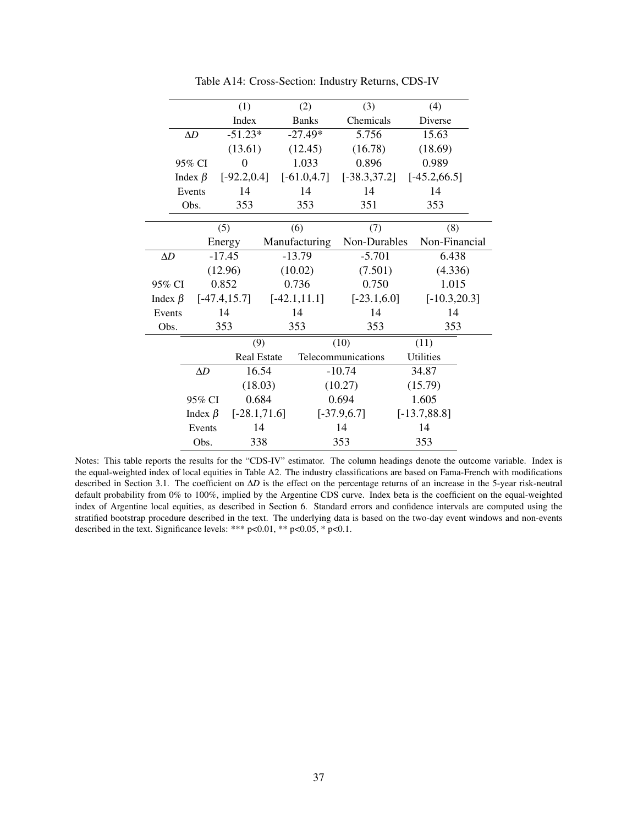|                 |  | (1)                                       |                                                                                    | (2)                                                                                                                              | (3)                                                                                      | (4)                                                                                            |                                                                                                                                                                      |
|-----------------|--|-------------------------------------------|------------------------------------------------------------------------------------|----------------------------------------------------------------------------------------------------------------------------------|------------------------------------------------------------------------------------------|------------------------------------------------------------------------------------------------|----------------------------------------------------------------------------------------------------------------------------------------------------------------------|
|                 |  | Index                                     |                                                                                    | <b>Banks</b>                                                                                                                     | Chemicals                                                                                | Diverse                                                                                        |                                                                                                                                                                      |
| $\Delta D$      |  |                                           |                                                                                    |                                                                                                                                  | 5.756                                                                                    | 15.63                                                                                          |                                                                                                                                                                      |
|                 |  |                                           |                                                                                    |                                                                                                                                  | (16.78)                                                                                  | (18.69)                                                                                        |                                                                                                                                                                      |
|                 |  | $\theta$                                  |                                                                                    | 1.033                                                                                                                            | 0.896                                                                                    | 0.989                                                                                          |                                                                                                                                                                      |
|                 |  |                                           |                                                                                    |                                                                                                                                  |                                                                                          |                                                                                                |                                                                                                                                                                      |
|                 |  | 14                                        |                                                                                    | 14                                                                                                                               | 14                                                                                       | 14                                                                                             |                                                                                                                                                                      |
|                 |  | 353                                       |                                                                                    | 353                                                                                                                              | 351                                                                                      | 353                                                                                            |                                                                                                                                                                      |
|                 |  | (5)                                       |                                                                                    | (6)                                                                                                                              | (7)                                                                                      |                                                                                                |                                                                                                                                                                      |
|                 |  |                                           |                                                                                    |                                                                                                                                  |                                                                                          |                                                                                                |                                                                                                                                                                      |
| $\Delta D$      |  |                                           |                                                                                    |                                                                                                                                  | $-5.701$                                                                                 |                                                                                                |                                                                                                                                                                      |
|                 |  |                                           |                                                                                    |                                                                                                                                  |                                                                                          |                                                                                                |                                                                                                                                                                      |
| 0.852<br>95% CI |  |                                           |                                                                                    | 0.750                                                                                                                            |                                                                                          |                                                                                                |                                                                                                                                                                      |
| Index $\beta$   |  |                                           |                                                                                    |                                                                                                                                  |                                                                                          |                                                                                                |                                                                                                                                                                      |
| Events          |  | 14                                        |                                                                                    | 14                                                                                                                               | 14                                                                                       |                                                                                                |                                                                                                                                                                      |
| Obs.            |  |                                           | 353                                                                                |                                                                                                                                  | 353                                                                                      |                                                                                                |                                                                                                                                                                      |
|                 |  |                                           |                                                                                    |                                                                                                                                  |                                                                                          | (11)                                                                                           |                                                                                                                                                                      |
|                 |  |                                           |                                                                                    |                                                                                                                                  |                                                                                          | <b>Utilities</b>                                                                               |                                                                                                                                                                      |
| $\Delta D$      |  |                                           |                                                                                    |                                                                                                                                  |                                                                                          | 34.87                                                                                          |                                                                                                                                                                      |
|                 |  |                                           |                                                                                    |                                                                                                                                  | (15.79)                                                                                  |                                                                                                |                                                                                                                                                                      |
| 95% CI          |  |                                           |                                                                                    |                                                                                                                                  |                                                                                          | 1.605                                                                                          |                                                                                                                                                                      |
|                 |  |                                           |                                                                                    |                                                                                                                                  | $[-13.7, 88.8]$                                                                          |                                                                                                |                                                                                                                                                                      |
|                 |  |                                           |                                                                                    |                                                                                                                                  | 14                                                                                       | 14                                                                                             |                                                                                                                                                                      |
| Obs.            |  |                                           | 353                                                                                |                                                                                                                                  | 353                                                                                      |                                                                                                |                                                                                                                                                                      |
|                 |  | 95% CI<br>Index $\beta$<br>Events<br>Obs. | Energy<br>$-17.45$<br>(12.96)<br>$[-47.4, 15.7]$<br>353<br>Index $\beta$<br>Events | $-51.23*$<br>(13.61)<br>$[-92.2, 0.4]$<br>(9)<br><b>Real Estate</b><br>16.54<br>(18.03)<br>0.684<br>$[-28.1, 71.6]$<br>14<br>338 | $-27.49*$<br>(12.45)<br>Manufacturing<br>$-13.79$<br>(10.02)<br>0.736<br>$[-42.1, 11.1]$ | $[-61.0, 4.7]$<br>(10)<br>Telecommunications<br>$-10.74$<br>(10.27)<br>0.694<br>$[-37.9, 6.7]$ | $[-38.3, 37.2]$<br>$[-45.2, 66.5]$<br>(8)<br>Non-Durables<br>Non-Financial<br>6.438<br>(7.501)<br>(4.336)<br>1.015<br>$[-23.1, 6.0]$<br>$[-10.3, 20.3]$<br>14<br>353 |

 $\overline{a}$ 

Table A14: Cross-Section: Industry Returns, CDS-IV

Notes: This table reports the results for the "CDS-IV" estimator. The column headings denote the outcome variable. Index is the equal-weighted index of local equities in Table [A2.](#page-39-0) The industry classifications are based on Fama-French with modifications described in Section [3.1.](#page-6-0) The coefficient on ∆*D* is the effect on the percentage returns of an increase in the 5-year risk-neutral default probability from 0% to 100%, implied by the Argentine CDS curve. Index beta is the coefficient on the equal-weighted index of Argentine local equities, as described in Section [6.](#page-20-0) Standard errors and confidence intervals are computed using the stratified bootstrap procedure described in the text. The underlying data is based on the two-day event windows and non-events described in the text. Significance levels: \*\*\*  $p<0.01$ , \*\*  $p<0.05$ , \*  $p<0.1$ .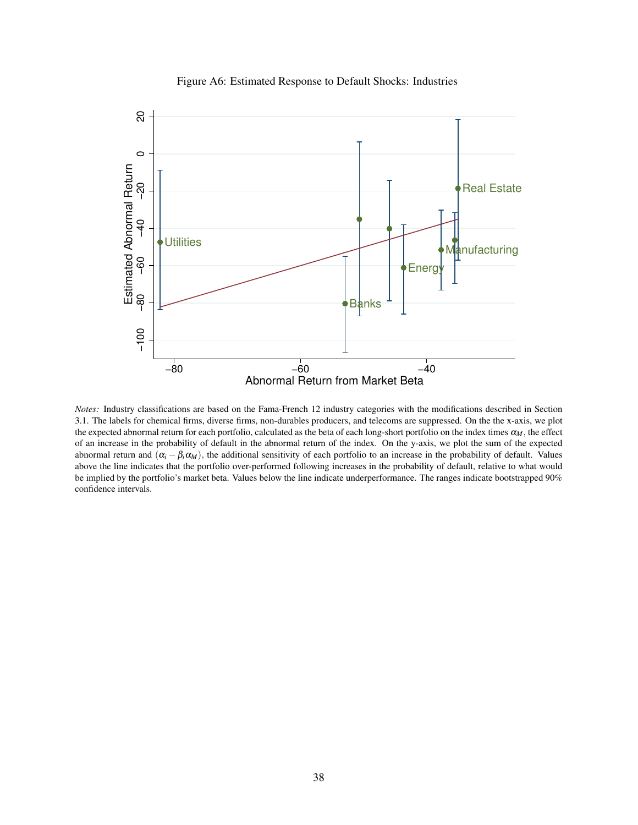

Figure A6: Estimated Response to Default Shocks: Industries

*Notes:* Industry classifications are based on the Fama-French 12 industry categories with the modifications described in Section 3.1. The labels for chemical firms, diverse firms, non-durables producers, and telecoms are suppressed. On the the x-axis, we plot the expected abnormal return for each portfolio, calculated as the beta of each long-short portfolio on the index times α*M*, the effect of an increase in the probability of default in the abnormal return of the index. On the y-axis, we plot the sum of the expected abnormal return and  $(\alpha_i - \beta_i \alpha_M)$ , the additional sensitivity of each portfolio to an increase in the probability of default. Values above the line indicates that the portfolio over-performed following increases in the probability of default, relative to what would be implied by the portfolio's market beta. Values below the line indicate underperformance. The ranges indicate bootstrapped 90% confidence intervals.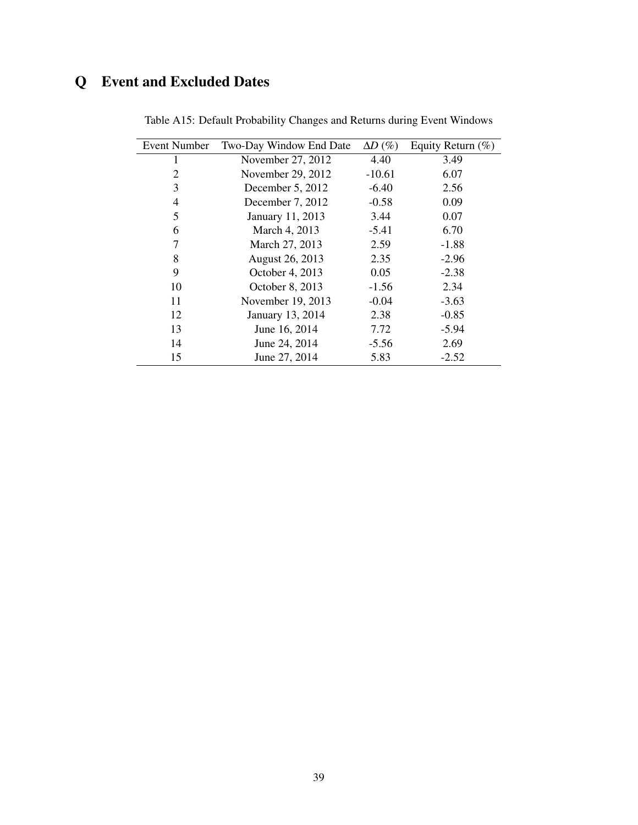## Q Event and Excluded Dates

| <b>Event Number</b> | Two-Day Window End Date | $\Delta D$ (%) | Equity Return $(\%)$ |
|---------------------|-------------------------|----------------|----------------------|
| 1                   | November 27, 2012       | 4.40           | 3.49                 |
| $\overline{2}$      | November 29, 2012       | $-10.61$       | 6.07                 |
| 3                   | December 5, 2012        | $-6.40$        | 2.56                 |
| 4                   | December 7, 2012        | $-0.58$        | 0.09                 |
| 5                   | January 11, 2013        | 3.44           | 0.07                 |
| 6                   | March 4, 2013           | $-5.41$        | 6.70                 |
| 7                   | March 27, 2013          | 2.59           | $-1.88$              |
| 8                   | August 26, 2013         | 2.35           | $-2.96$              |
| 9                   | October 4, 2013         | 0.05           | $-2.38$              |
| 10                  | October 8, 2013         | $-1.56$        | 2.34                 |
| 11                  | November 19, 2013       | $-0.04$        | $-3.63$              |
| 12                  | January 13, 2014        | 2.38           | $-0.85$              |
| 13                  | June 16, 2014           | 7.72           | $-5.94$              |
| 14                  | June 24, 2014           | $-5.56$        | 2.69                 |
| 15                  | June 27, 2014           | 5.83           | $-2.52$              |

Table A15: Default Probability Changes and Returns during Event Windows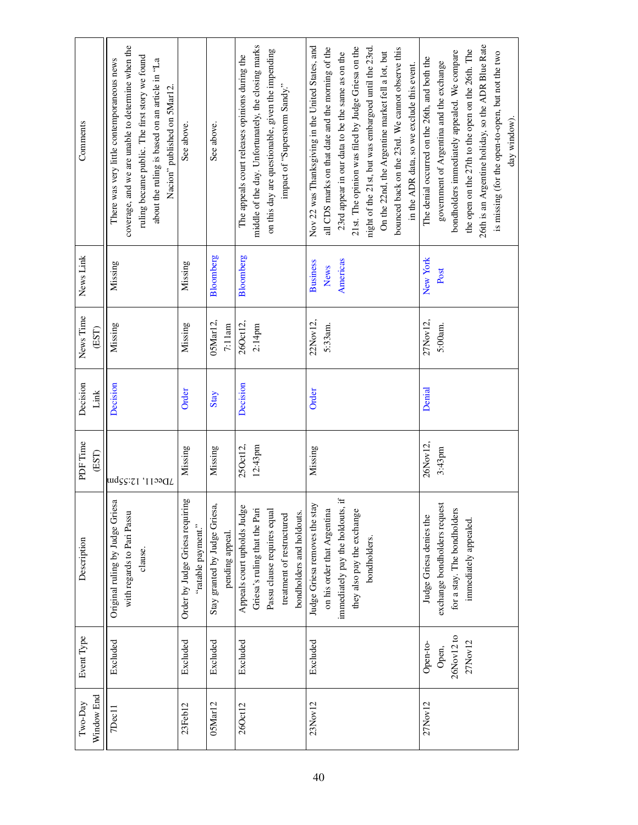| Comments              | coverage, and we are unable to determine when the<br>ruling became public. The first story we found<br>There was very little contemporaneous news<br>about the ruling is based on an article in "La<br>Nacion" published on 5Mar12. | See above.                                            | See above.                                      | middle of the day. Unfortunately, the closing marks<br>on this day are questionable, given the impending<br>The appeals court releases opinions during the<br>impact of "Superstorm Sandy." | Nov 22 was Thanksgiving in the United States, and<br>all CDS marks on that date and the morning of the<br>21st. The opinion was filed by Judge Griesa on the<br>night of the 21st, but was embargoed until the 23rd.<br>bounced back on the 23rd. We cannot observe this<br>On the 22nd, the Argentine market fell a lot, but<br>23rd appear in our data to be the same as on the<br>in the ADR data, so we exclude this event. | 26th is an Argentine holiday, so the ADR Blue Rate<br>the open on the 27th to the open on the 26th. The<br>bondholders immediately appealed. We compare<br>is missing (for the open-to-open, but not the two<br>The denial occurred on the 26th, and both the<br>government of Argentina and the exchange<br>day window). |
|-----------------------|-------------------------------------------------------------------------------------------------------------------------------------------------------------------------------------------------------------------------------------|-------------------------------------------------------|-------------------------------------------------|---------------------------------------------------------------------------------------------------------------------------------------------------------------------------------------------|---------------------------------------------------------------------------------------------------------------------------------------------------------------------------------------------------------------------------------------------------------------------------------------------------------------------------------------------------------------------------------------------------------------------------------|---------------------------------------------------------------------------------------------------------------------------------------------------------------------------------------------------------------------------------------------------------------------------------------------------------------------------|
| News Link             | Missing                                                                                                                                                                                                                             | Missing                                               | Bloomberg                                       | Bloomberg                                                                                                                                                                                   | Americas<br><b>Business</b><br><b>News</b>                                                                                                                                                                                                                                                                                                                                                                                      | New York<br>Post                                                                                                                                                                                                                                                                                                          |
| News Time<br>(EST)    | Missing                                                                                                                                                                                                                             | Missing                                               | 05Mar12,<br>7:11am                              | 260ct12,<br>2:14pm                                                                                                                                                                          | 22Nov12,<br>5:33am.                                                                                                                                                                                                                                                                                                                                                                                                             | 27Nov12,<br>5:00am.                                                                                                                                                                                                                                                                                                       |
| Decision<br>Link      | Decision                                                                                                                                                                                                                            | Order                                                 | Stay                                            | Decision                                                                                                                                                                                    | Order                                                                                                                                                                                                                                                                                                                                                                                                                           | Denial                                                                                                                                                                                                                                                                                                                    |
| PDF Time<br>(EST)     | 7Dec11, 12:55pm                                                                                                                                                                                                                     | Missing                                               | Missing                                         | 250ct12,<br>12:43pm                                                                                                                                                                         | Missing                                                                                                                                                                                                                                                                                                                                                                                                                         | 26Nov12,<br>3:43pm                                                                                                                                                                                                                                                                                                        |
| Description           | Original ruling by Judge Griesa<br>with regards to Pari Passu<br>clause.                                                                                                                                                            | Order by Judge Griesa requiring<br>"ratable payment." | Stay granted by Judge Griesa,<br>pending appeal | Appeals court upholds Judge<br>Griesa's ruling that the Pari<br>Passu clause requires equal<br>bondholders and holdouts.<br>treatment of restructured                                       | immediately pay the holdouts, if<br>Judge Griesa removes the stay<br>on his order that Argentina<br>they also pay the exchange<br>bondholders.                                                                                                                                                                                                                                                                                  | exchange bondholders request<br>for a stay. The bondholders<br>Judge Griesa denies the<br>immediately appealed.                                                                                                                                                                                                           |
| Event Type            | Excluded                                                                                                                                                                                                                            | Excluded                                              | Excluded                                        | Excluded                                                                                                                                                                                    | Excluded                                                                                                                                                                                                                                                                                                                                                                                                                        | 26Nov12 to<br>27Nov12<br>Open-to-<br>Open,                                                                                                                                                                                                                                                                                |
| Window End<br>Two-Day | 7Dec11                                                                                                                                                                                                                              | 23Feb12                                               | 05Mar12                                         | 260ct12                                                                                                                                                                                     | 23Nov12                                                                                                                                                                                                                                                                                                                                                                                                                         | 27Nov12                                                                                                                                                                                                                                                                                                                   |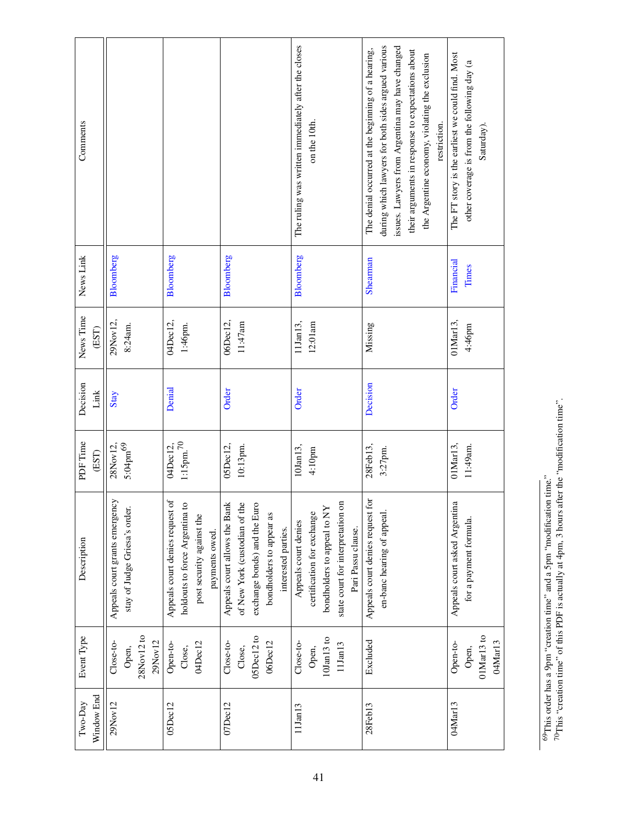<span id="page-76-0"></span>

| Comments              |                                                                 |                                                                                                                  |                                                                                                                                                   | The ruling was written immediately after the closes<br>on the 10th.                                                                          | issues. Lawyers from Argentina may have changed<br>during which lawyers for both sides argued various<br>The denial occurred at the beginning of a hearing,<br>their arguments in response to expectations about<br>the Argentine economy, violating the exclusion<br>restriction. | The FT story is the earliest we could find. Most<br>other coverage is from the following day (a<br>Saturday). |
|-----------------------|-----------------------------------------------------------------|------------------------------------------------------------------------------------------------------------------|---------------------------------------------------------------------------------------------------------------------------------------------------|----------------------------------------------------------------------------------------------------------------------------------------------|------------------------------------------------------------------------------------------------------------------------------------------------------------------------------------------------------------------------------------------------------------------------------------|---------------------------------------------------------------------------------------------------------------|
| News Link             | Bloomberg                                                       | Bloomberg                                                                                                        | Bloomberg                                                                                                                                         | Bloomberg                                                                                                                                    | <b>Shearman</b>                                                                                                                                                                                                                                                                    | Financial<br>Times                                                                                            |
| News Time<br>(EST)    | 29Nov12,<br>8:24am.                                             | 04Dec12,<br>$1:46\mathrm{pm}.$                                                                                   | 06Dec12,<br>11:47am                                                                                                                               | 12:01am<br>11Jan13,                                                                                                                          | Missing                                                                                                                                                                                                                                                                            | $01$ Mar $13$ ,<br>4:46pm                                                                                     |
| Decision<br>Link      | Stay                                                            | Denial                                                                                                           | Order                                                                                                                                             | Order                                                                                                                                        | Decision                                                                                                                                                                                                                                                                           | Order                                                                                                         |
| PDF Time<br>(EST)     | $5:04\mathrm{pm}^{69}$<br>28Nov12                               | $1{:}15\mathrm{pm.}^{70}$<br>04Dec12,                                                                            | 05Dec12,<br>$10:13$ pm.                                                                                                                           | 10Jan13,<br>4:10pm                                                                                                                           | 28Feb13,<br>3:27pm.                                                                                                                                                                                                                                                                | 01Mar13,<br>11:49am.                                                                                          |
| Description           | Appeals court grants emergency<br>stay of Judge Griesa's order. | Appeals court denies request of<br>holdouts to force Argentina to<br>post security against the<br>payments owed. | Appeals court allows the Bank<br>of New York (custodian of the<br>exchange bonds) and the Euro<br>bondholders to appear as<br>interested parties. | state court for interpretation on<br>bondholders to appeal to NY<br>certification for exchange<br>Appeals court denies<br>Pari Passu clause. | Appeals court denies request for<br>en-banc hearing of appeal.                                                                                                                                                                                                                     | Appeals court asked Argentina<br>for a payment formula.                                                       |
| Event Type            | 28Nov12 to<br>$29$ Nov $12$<br>Close-to-<br>Open,               | 04Dec12<br>Open-to-<br>Close,                                                                                    | 05Dec12 to<br>Close-to-<br>06Dec12<br>Close,                                                                                                      | $10$ Jan $13$ to<br>Close-to-<br>11Jan13<br>Open,                                                                                            | Excluded                                                                                                                                                                                                                                                                           | 01Mar13 to<br>04Mar13<br>Open-to-<br>Open,                                                                    |
| Window End<br>Two-Day | 29Nov12                                                         | 05Dec12                                                                                                          | 07Dec12                                                                                                                                           | 11Jan13                                                                                                                                      | 28Feb13                                                                                                                                                                                                                                                                            | 04Mar13                                                                                                       |

<sup>&</sup>lt;sup>69</sup>This order has a 9pm "creation time" and a 5pm "modification time."<br><sup>70</sup>This "creation time" of this PDF is actually at 4pm, 3 hours after the "modification time". 70This "creation time" of this PDF is actually at 4pm, 3 hours after the "modification time".  $^{69}$ This order has a 9pm "creation time" and a 5pm "modification time."

<span id="page-76-1"></span>41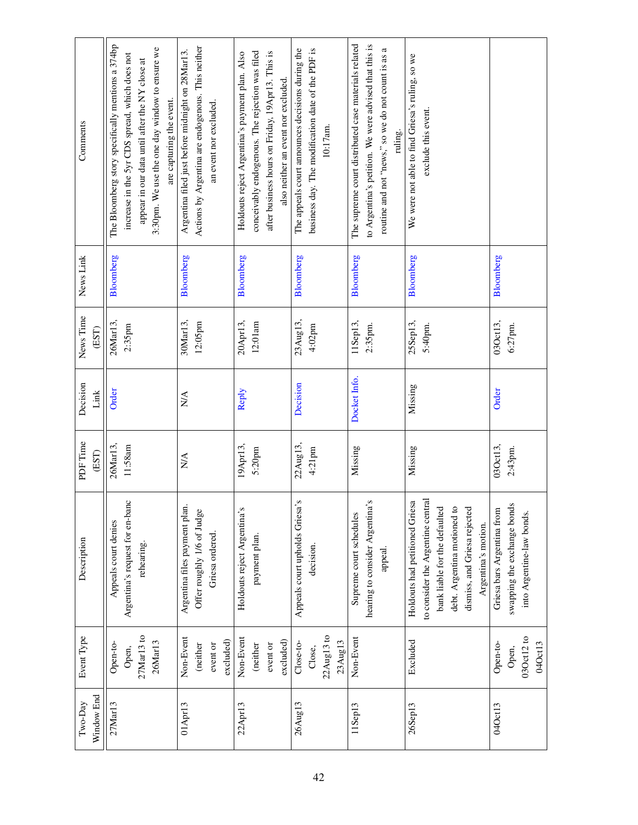| Comments              | The Bloomberg story specifically mentions a 374bp<br>3:30pm. We use the one day window to ensure we<br>increase in the 5yr CDS spread, which does not<br>appear in our data until after the NY close at<br>are capturing the event. | Actions by Argentina are endogenous. This neither<br>Argentina filed just before midnight on 28Mar13.<br>an event nor excluded. | conceivably endogenous. The rejection was filed<br>after business hours on Friday, 19Apr13. This is<br>Holdouts reject Argentina's payment plan. Also<br>also neither an event nor excluded. | The appeals court announces decisions during the<br>business day. The modification date of the PDF is<br>10:17am. | The supreme court distributed case materials related<br>to Argentina's petition. We were advised that this is<br>routine and not "news," so we do not count is as a<br>ruling. | We were not able to find Griesa's ruling, so we<br>exclude this event.                                                                                                                     |                                                                                        |
|-----------------------|-------------------------------------------------------------------------------------------------------------------------------------------------------------------------------------------------------------------------------------|---------------------------------------------------------------------------------------------------------------------------------|----------------------------------------------------------------------------------------------------------------------------------------------------------------------------------------------|-------------------------------------------------------------------------------------------------------------------|--------------------------------------------------------------------------------------------------------------------------------------------------------------------------------|--------------------------------------------------------------------------------------------------------------------------------------------------------------------------------------------|----------------------------------------------------------------------------------------|
| News Link             | Bloomberg                                                                                                                                                                                                                           | Bloomberg                                                                                                                       | Bloomberg                                                                                                                                                                                    | Bloomberg                                                                                                         | Bloomberg                                                                                                                                                                      | Bloomberg                                                                                                                                                                                  | Bloomberg                                                                              |
| News Time<br>(EST)    | 26Mar13,<br>$2:35$ pm                                                                                                                                                                                                               | 30Mar13,<br>12:05pm                                                                                                             | 20Apr13,<br>12:01 am                                                                                                                                                                         | 23Aug13,<br>4:02 <sub>pm</sub>                                                                                    | 11Sep13,<br>2:35pm.                                                                                                                                                            | 25Sep13,<br>5:40pm.                                                                                                                                                                        | 030ct13,<br>$6:27$ pm.                                                                 |
| Decision<br>Link      | Order                                                                                                                                                                                                                               | N/A                                                                                                                             | Reply                                                                                                                                                                                        | Decision                                                                                                          | Docket Info.                                                                                                                                                                   | Missing                                                                                                                                                                                    | Order                                                                                  |
| PDF Time<br>(EST)     | 26Mar13,<br>11:58am                                                                                                                                                                                                                 | N/A                                                                                                                             | 19Apr13,<br>5:20pm                                                                                                                                                                           | 22Aug13,<br>$4:21$ pm                                                                                             | Missing                                                                                                                                                                        | Missing                                                                                                                                                                                    | 030ct13,<br>2:43pm.                                                                    |
| Description           | Argentina's request for en-banc<br>Appeals court denies<br>rehearing.                                                                                                                                                               | Argentina files payment plan.<br>Offer roughly 1/6 of Judge<br>Griesa ordered.                                                  | Holdouts reject Argentina's<br>payment plan.                                                                                                                                                 | Appeals court upholds Griesa's<br>decision.                                                                       | hearing to consider Argentina's<br>Supreme court schedules<br>appeal.                                                                                                          | to consider the Argentine central<br>Holdouts had petitioned Griesa<br>bank liable for the defaulted<br>debt. Argentina motioned to<br>dismiss, and Griesa rejected<br>Argentina's motion. | swapping the exchange bonds<br>Griesa bars Argentina from<br>into Argentine-law bonds. |
| Event Type            | $27$ Mar $13$ to<br>26Mar13<br>Open-to-<br>Open,                                                                                                                                                                                    | Non-Event<br>excluded)<br>event or<br>(neither                                                                                  | Non-Event<br>excluded)<br>event or<br>(neither                                                                                                                                               | 22Aug13 to<br>23Aug13<br>Close-to-<br>Close,                                                                      | Non-Event                                                                                                                                                                      | Excluded                                                                                                                                                                                   | 030ct12 to<br>04Oct13<br>Open-to-<br>Open,                                             |
| Window End<br>Two-Day | 27 <sub>Mar13</sub>                                                                                                                                                                                                                 | 01Apr13                                                                                                                         | 22Apr13                                                                                                                                                                                      | 26Aug13                                                                                                           | 11Sep13                                                                                                                                                                        | 26Sep13                                                                                                                                                                                    | 04Oct13                                                                                |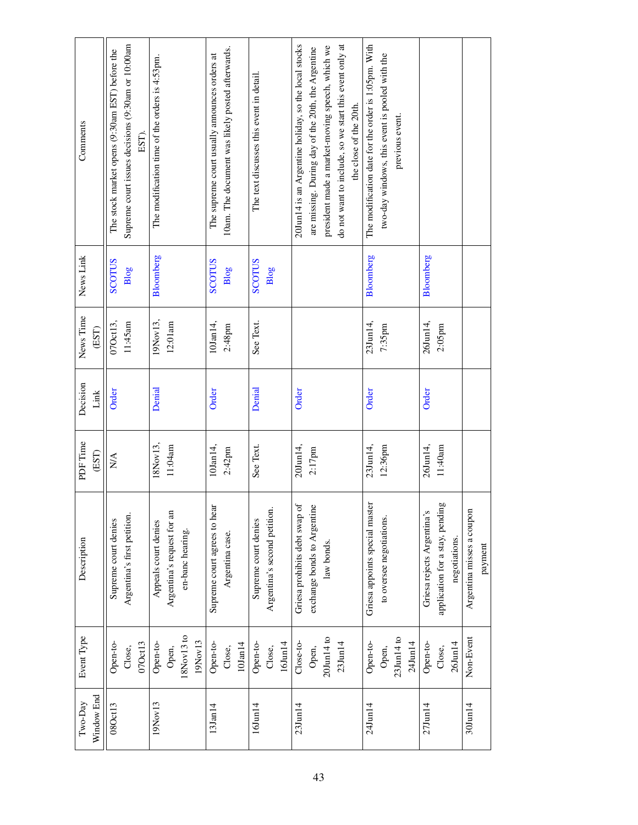| Comments              | Supreme court issues decisions (9:30am or 10:00am<br>The stock market opens (9:30am EST) before the<br>EST). | The modification time of the orders is 4:53pm.                         | 10am. The document was likely posted afterwards.<br>The supreme court usually announces orders at | The text discusses this event in detail.             | 20Jun14 is an Argentine holiday, so the local stocks<br>do not want to include, so we start this event only at<br>president made a market-moving speech, which we<br>are missing. During day of the 20th, the Argentine<br>the close of the 20th. | The modification date for the order is 1:05pm. With<br>two-day windows, this event is pooled with the<br>previous event. |                                                                                |                                      |
|-----------------------|--------------------------------------------------------------------------------------------------------------|------------------------------------------------------------------------|---------------------------------------------------------------------------------------------------|------------------------------------------------------|---------------------------------------------------------------------------------------------------------------------------------------------------------------------------------------------------------------------------------------------------|--------------------------------------------------------------------------------------------------------------------------|--------------------------------------------------------------------------------|--------------------------------------|
| News Link             | SCOLLOS<br>Blog                                                                                              | Bloomberg                                                              | <b>SCOTUS</b><br>Blog                                                                             | SCOLLOS<br>Blog                                      |                                                                                                                                                                                                                                                   | Bloomberg                                                                                                                | Bloomberg                                                                      |                                      |
| News Time<br>(EST)    | 11:45am<br>07Oct13,                                                                                          | 19Nov13,<br>12:01am                                                    | 10Jan14,<br>$2:48$ pm                                                                             | See Text.                                            |                                                                                                                                                                                                                                                   | 23Jun14,<br>$7:35$ pm                                                                                                    | 26Jun14,<br>2:05pm                                                             |                                      |
| Decision<br>Link      | Order                                                                                                        | Denial                                                                 | Order                                                                                             | Denial                                               | Order                                                                                                                                                                                                                                             | Order                                                                                                                    | Order                                                                          |                                      |
| PDF Time<br>(EST)     | $\mathop{\rm NA}\nolimits$                                                                                   | 18Nov13,<br>11:04am                                                    | $10$ Jan $14$ ,<br>$2:42$ pm                                                                      | See Text.                                            | 20Jun14,<br>$2:17$ pm                                                                                                                                                                                                                             | 23Jun14,<br>$12:36$ pm                                                                                                   | 11:40am<br>26Jun14,                                                            |                                      |
| Description           | Argentina's first petition.<br>Supreme court denies                                                          | Argentina's request for an<br>Appeals court denies<br>en-banc hearing. | Supreme court agrees to hear<br>Argentina case.                                                   | Argentina's second petition.<br>Supreme court denies | Griesa prohibits debt swap of<br>exchange bonds to Argentine<br>law bonds.                                                                                                                                                                        | Griesa appoints special master<br>to oversee negotiations.                                                               | application for a stay, pending<br>Griesa rejects Argentina's<br>negotiations. | Argentina misses a coupon<br>payment |
| Event Type            | Open-to-<br>07Oct13<br>Close,                                                                                | 18Nov13 to<br>19Nov13<br>Open-to-<br>Open,                             | Open-to-<br>$10$ Jan $14$<br>Close,                                                               | Open-to-<br>$16$ Jun $14$<br>Close,                  | $20$ Jun $14$ to<br>Close-to-<br>23Jun14<br>Open,                                                                                                                                                                                                 | 23Jun14 to<br>Open-to-<br>24Jun14<br>Open,                                                                               | 26Jun14<br>Open-to-<br>Close,                                                  | Non-Event                            |
| Window End<br>Two-Day | 08Oct13                                                                                                      | 19Nov13                                                                | 13Jan14                                                                                           | $16$ Jun $14$                                        | $23$ Jun $14$                                                                                                                                                                                                                                     | 24Jun14                                                                                                                  | $27$ Jun $14$                                                                  | $30$ Jun $14$                        |